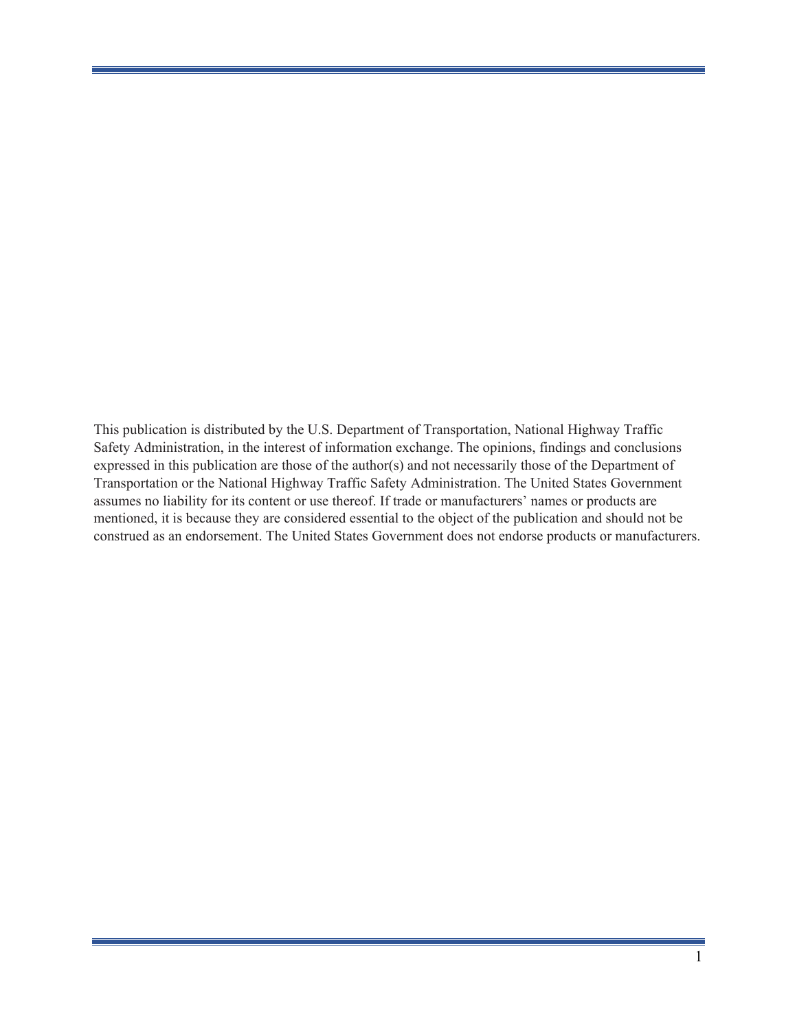This publication is distributed by the U.S. Department of Transportation, National Highway Traffic Safety Administration, in the interest of information exchange. The opinions, findings and conclusions expressed in this publication are those of the author(s) and not necessarily those of the Department of Transportation or the National Highway Traffic Safety Administration. The United States Government assumes no liability for its content or use thereof. If trade or manufacturers' names or products are mentioned, it is because they are considered essential to the object of the publication and should not be construed as an endorsement. The United States Government does not endorse products or manufacturers.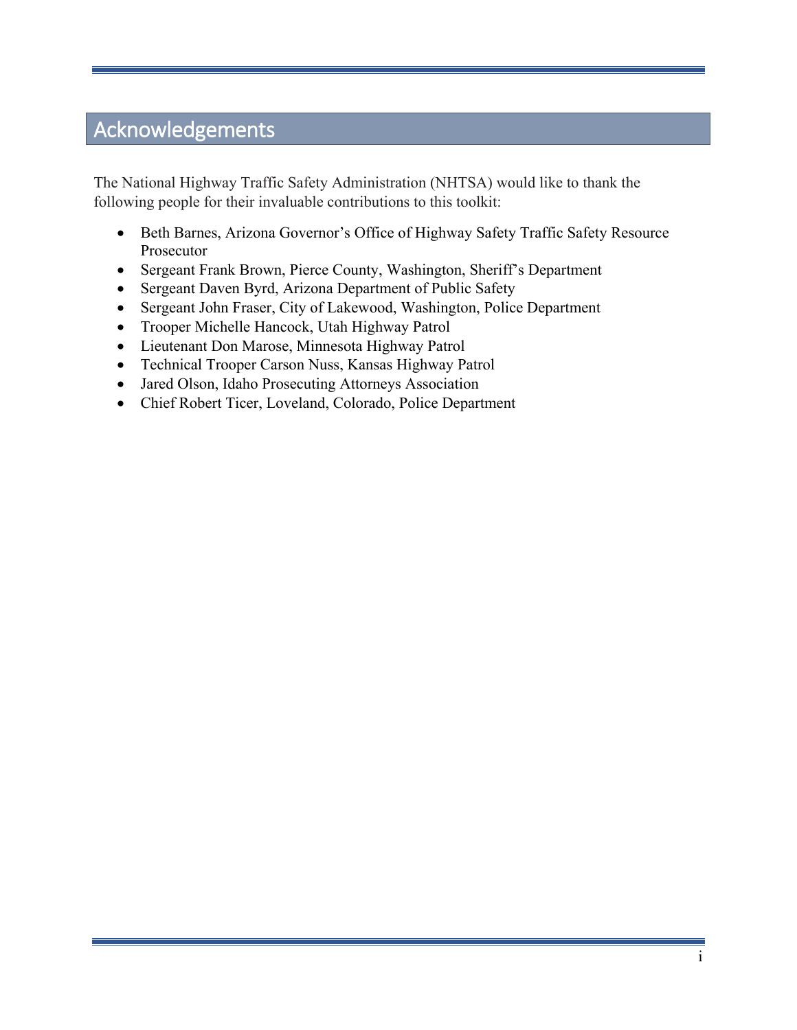# <span id="page-1-0"></span>Acknowledgements

The National Highway Traffic Safety Administration (NHTSA) would like to thank the following people for their invaluable contributions to this toolkit:

- Beth Barnes, Arizona Governor's Office of Highway Safety Traffic Safety Resource Prosecutor
- Sergeant Frank Brown, Pierce County, Washington, Sheriff's Department
- Sergeant Daven Byrd, Arizona Department of Public Safety
- Sergeant John Fraser, City of Lakewood, Washington, Police Department
- Trooper Michelle Hancock, Utah Highway Patrol
- Lieutenant Don Marose, Minnesota Highway Patrol
- Technical Trooper Carson Nuss, Kansas Highway Patrol
- Jared Olson, Idaho Prosecuting Attorneys Association
- Chief Robert Ticer, Loveland, Colorado, Police Department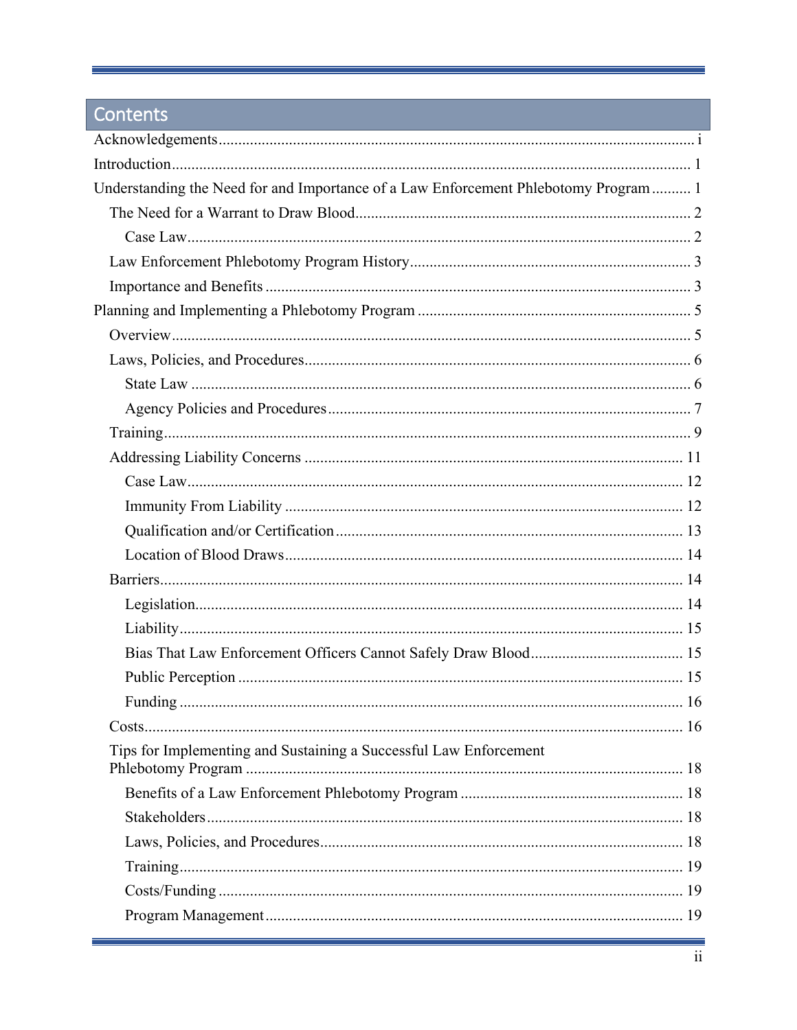# Contents

| Understanding the Need for and Importance of a Law Enforcement Phlebotomy Program 1 |  |
|-------------------------------------------------------------------------------------|--|
|                                                                                     |  |
|                                                                                     |  |
|                                                                                     |  |
|                                                                                     |  |
|                                                                                     |  |
|                                                                                     |  |
|                                                                                     |  |
|                                                                                     |  |
|                                                                                     |  |
|                                                                                     |  |
|                                                                                     |  |
|                                                                                     |  |
|                                                                                     |  |
|                                                                                     |  |
|                                                                                     |  |
|                                                                                     |  |
|                                                                                     |  |
|                                                                                     |  |
|                                                                                     |  |
|                                                                                     |  |
|                                                                                     |  |
|                                                                                     |  |
| Tips for Implementing and Sustaining a Successful Law Enforcement                   |  |
|                                                                                     |  |
|                                                                                     |  |
|                                                                                     |  |
|                                                                                     |  |
|                                                                                     |  |
|                                                                                     |  |
|                                                                                     |  |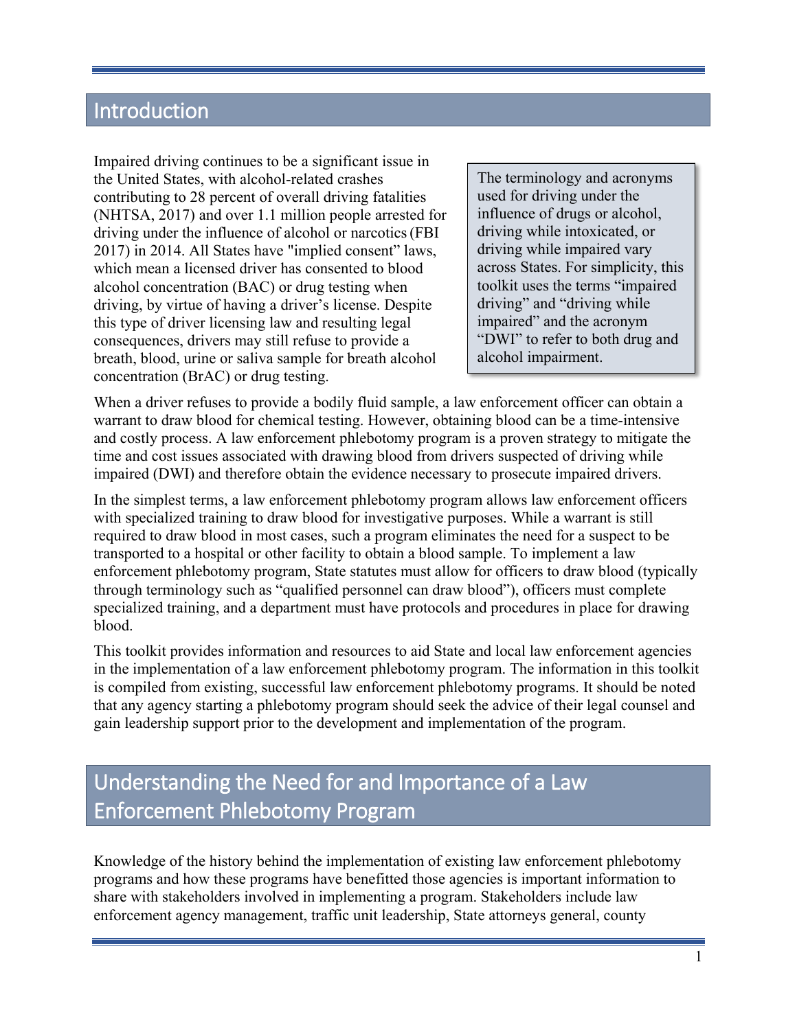# <span id="page-4-0"></span>Introduction

Impaired driving continues to be a significant issue in the United States, with alcohol-related crashes contributing to 28 percent of overall driving fatalities (NHTSA, 2017) and over 1.1 million people arrested for driving under the influence of alcohol or narcotics(FBI 2017) in 2014. All States have "implied consent" laws, which mean a licensed driver has consented to blood alcohol concentration (BAC) or drug testing when driving, by virtue of having a driver's license. Despite this type of driver licensing law and resulting legal consequences, drivers may still refuse to provide a breath, blood, urine or saliva sample for breath alcohol concentration (BrAC) or drug testing.

The terminology and acronyms used for driving under the influence of drugs or alcohol, driving while intoxicated, or driving while impaired vary across States. For simplicity, this toolkit uses the terms "impaired driving" and "driving while impaired" and the acronym "DWI" to refer to both drug and alcohol impairment.

When a driver refuses to provide a bodily fluid sample, a law enforcement officer can obtain a warrant to draw blood for chemical testing. However, obtaining blood can be a time-intensive and costly process. A law enforcement phlebotomy program is a proven strategy to mitigate the time and cost issues associated with drawing blood from drivers suspected of driving while impaired (DWI) and therefore obtain the evidence necessary to prosecute impaired drivers.

In the simplest terms, a law enforcement phlebotomy program allows law enforcement officers with specialized training to draw blood for investigative purposes. While a warrant is still required to draw blood in most cases, such a program eliminates the need for a suspect to be transported to a hospital or other facility to obtain a blood sample. To implement a law enforcement phlebotomy program, State statutes must allow for officers to draw blood (typically through terminology such as "qualified personnel can draw blood"), officers must complete specialized training, and a department must have protocols and procedures in place for drawing blood.

This toolkit provides information and resources to aid State and local law enforcement agencies in the implementation of a law enforcement phlebotomy program. The information in this toolkit is compiled from existing, successful law enforcement phlebotomy programs. It should be noted that any agency starting a phlebotomy program should seek the advice of their legal counsel and gain leadership support prior to the development and implementation of the program.

# <span id="page-4-1"></span>Understanding the Need for and Importance of a Law Enforcement Phlebotomy Program

Knowledge of the history behind the implementation of existing law enforcement phlebotomy programs and how these programs have benefitted those agencies is important information to share with stakeholders involved in implementing a program. Stakeholders include law enforcement agency management, traffic unit leadership, State attorneys general, county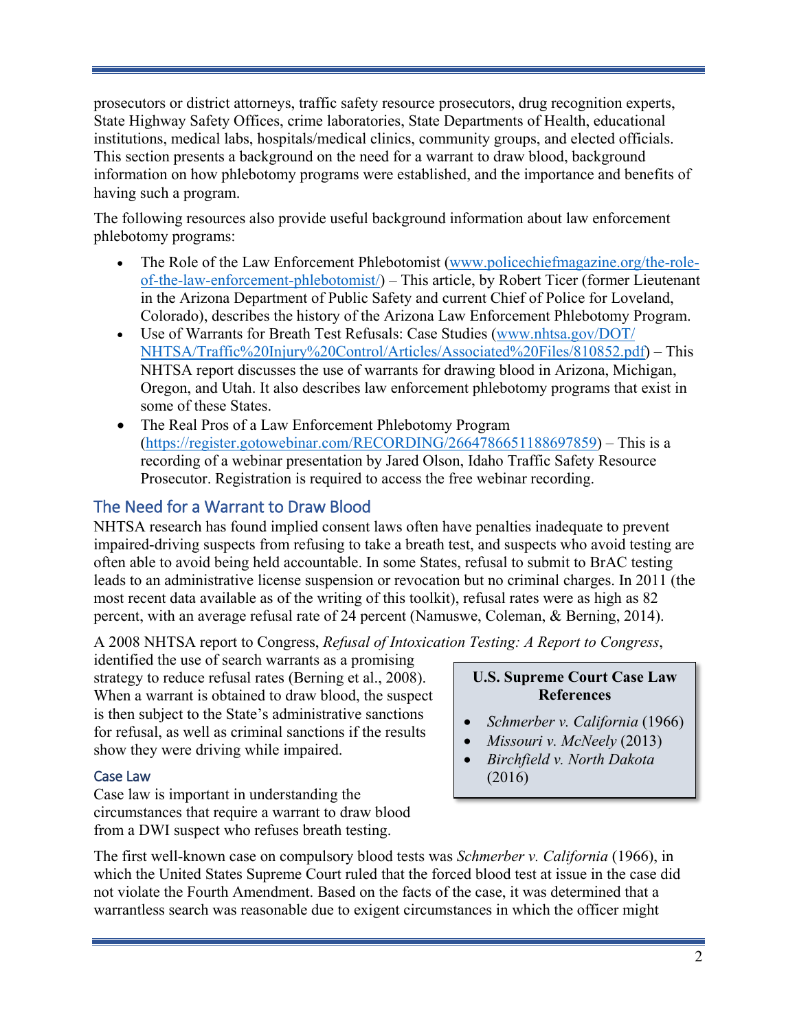prosecutors or district attorneys, traffic safety resource prosecutors, drug recognition experts, State Highway Safety Offices, crime laboratories, State Departments of Health, educational institutions, medical labs, hospitals/medical clinics, community groups, and elected officials. This section presents a background on the need for a warrant to draw blood, background information on how phlebotomy programs were established, and the importance and benefits of having such a program.

The following resources also provide useful background information about law enforcement phlebotomy programs:

- The Role of the Law Enforcement Phlebotomist (www.policechiefmagazine.org/the-roleof-the-law-enforcement-phlebotomist/) – This article, by Robert Ticer (former Lieutenant in the Arizona Department of Public Safety and current Chief of Police for Loveland, Colorado), describes the history of the Arizona Law Enforcement Phlebotomy Program.
- Use of Warrants for Breath Test Refusals: Case Studies [\(www.nhtsa.gov/DOT/](https://www.nhtsa.gov/DOT/%20NHTSA/Traffic%20Injury%20Control/Articles/Associated%20Files/810852.pdf) [NHTSA/Traffic%20Injury%20Control/Articles/Associated%20Files/810852.pdf\)](https://www.nhtsa.gov/DOT/%20NHTSA/Traffic%20Injury%20Control/Articles/Associated%20Files/810852.pdf) – This NHTSA report discusses the use of warrants for drawing blood in Arizona, Michigan, Oregon, and Utah. It also describes law enforcement phlebotomy programs that exist in some of these States.
- The Real Pros of a Law Enforcement Phlebotomy Program [\(https://register.gotowebinar.com/RECORDING/2664786651188697859\)](https://register.gotowebinar.com/RECORDING/2664786651188697859) – This is a recording of a webinar presentation by Jared Olson, Idaho Traffic Safety Resource Prosecutor. Registration is required to access the free webinar recording.

### <span id="page-5-0"></span>The Need for a Warrant to Draw Blood

NHTSA research has found implied consent laws often have penalties inadequate to prevent impaired-driving suspects from refusing to take a breath test, and suspects who avoid testing are often able to avoid being held accountable. In some States, refusal to submit to BrAC testing leads to an administrative license suspension or revocation but no criminal charges. In 2011 (the most recent data available as of the writing of this toolkit), refusal rates were as high as 82 percent, with an average refusal rate of 24 percent (Namuswe, Coleman, & Berning, 2014).

A 2008 NHTSA report to Congress, *Refusal of Intoxication Testing: A Report to Congress*,

identified the use of search warrants as a promising strategy to reduce refusal rates (Berning et al., 2008). When a warrant is obtained to draw blood, the suspect is then subject to the State's administrative sanctions for refusal, as well as criminal sanctions if the results show they were driving while impaired.

### <span id="page-5-1"></span>Case Law

Case law is important in understanding the circumstances that require a warrant to draw blood from a DWI suspect who refuses breath testing.

The first well-known case on compulsory blood tests was *Schmerber v. California* (1966), in which the United States Supreme Court ruled that the forced blood test at issue in the case did not violate the Fourth Amendment. Based on the facts of the case, it was determined that a warrantless search was reasonable due to exigent circumstances in which the officer might

### **U.S. Supreme Court Case Law References**

- *Schmerber v. California* (1966)
- *Missouri v. McNeely* (2013)
- *Birchfield v. North Dakota*  (2016)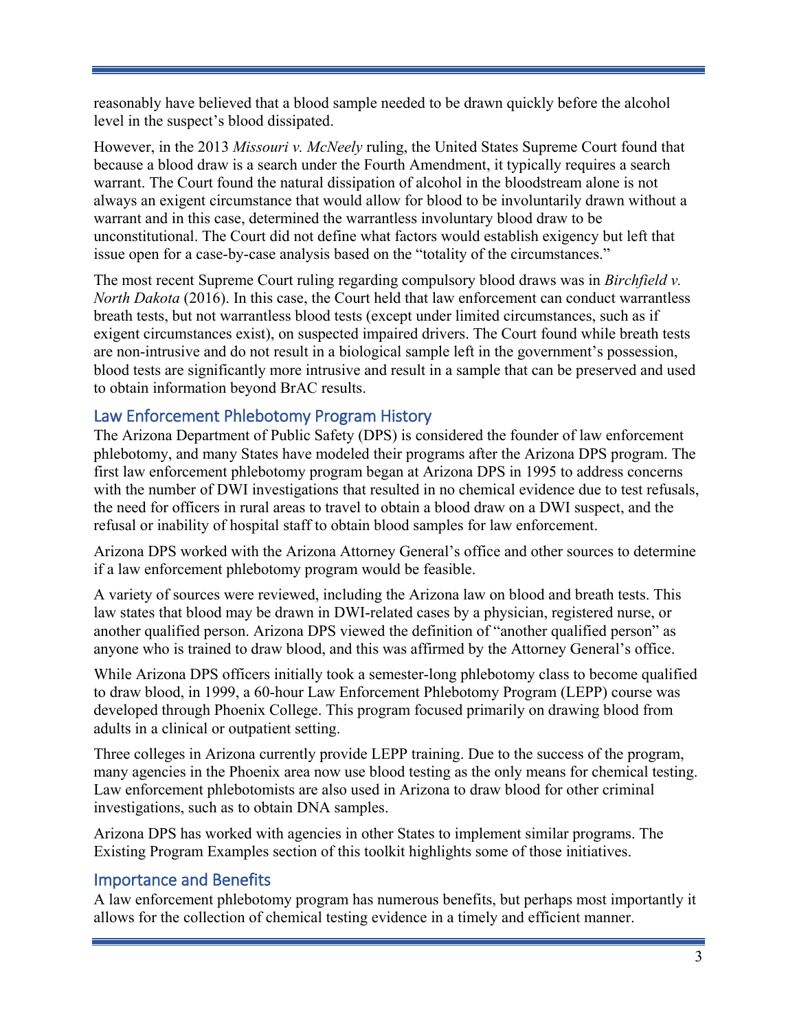reasonably have believed that a blood sample needed to be drawn quickly before the alcohol level in the suspect's blood dissipated.

However, in the 2013 *Missouri v. McNeely* ruling, the United States Supreme Court found that because a blood draw is a search under the Fourth Amendment, it typically requires a search warrant. The Court found the natural dissipation of alcohol in the bloodstream alone is not always an exigent circumstance that would allow for blood to be involuntarily drawn without a warrant and in this case, determined the warrantless involuntary blood draw to be unconstitutional. The Court did not define what factors would establish exigency but left that issue open for a case-by-case analysis based on the "totality of the circumstances."

The most recent Supreme Court ruling regarding compulsory blood draws was in *Birchfield v. North Dakota* (2016). In this case, the Court held that law enforcement can conduct warrantless breath tests, but not warrantless blood tests (except under limited circumstances, such as if exigent circumstances exist), on suspected impaired drivers. The Court found while breath tests are non-intrusive and do not result in a biological sample left in the government's possession, blood tests are significantly more intrusive and result in a sample that can be preserved and used to obtain information beyond BrAC results.

### <span id="page-6-0"></span>Law Enforcement Phlebotomy Program History

The Arizona Department of Public Safety (DPS) is considered the founder of law enforcement phlebotomy, and many States have modeled their programs after the Arizona DPS program. The first law enforcement phlebotomy program began at Arizona DPS in 1995 to address concerns with the number of DWI investigations that resulted in no chemical evidence due to test refusals, the need for officers in rural areas to travel to obtain a blood draw on a DWI suspect, and the refusal or inability of hospital staff to obtain blood samples for law enforcement.

Arizona DPS worked with the Arizona Attorney General's office and other sources to determine if a law enforcement phlebotomy program would be feasible.

A variety of sources were reviewed, including the Arizona law on blood and breath tests. This law states that blood may be drawn in DWI-related cases by a physician, registered nurse, or another qualified person. Arizona DPS viewed the definition of "another qualified person" as anyone who is trained to draw blood, and this was affirmed by the Attorney General's office.

While Arizona DPS officers initially took a semester-long phlebotomy class to become qualified to draw blood, in 1999, a 60-hour Law Enforcement Phlebotomy Program (LEPP) course was developed through Phoenix College. This program focused primarily on drawing blood from adults in a clinical or outpatient setting.

Three colleges in Arizona currently provide LEPP training. Due to the success of the program, many agencies in the Phoenix area now use blood testing as the only means for chemical testing. Law enforcement phlebotomists are also used in Arizona to draw blood for other criminal investigations, such as to obtain DNA samples.

Arizona DPS has worked with agencies in other States to implement similar programs. The Existing Program Examples section of this toolkit highlights some of those initiatives.

### <span id="page-6-1"></span>Importance and Benefits

A law enforcement phlebotomy program has numerous benefits, but perhaps most importantly it allows for the collection of chemical testing evidence in a timely and efficient manner.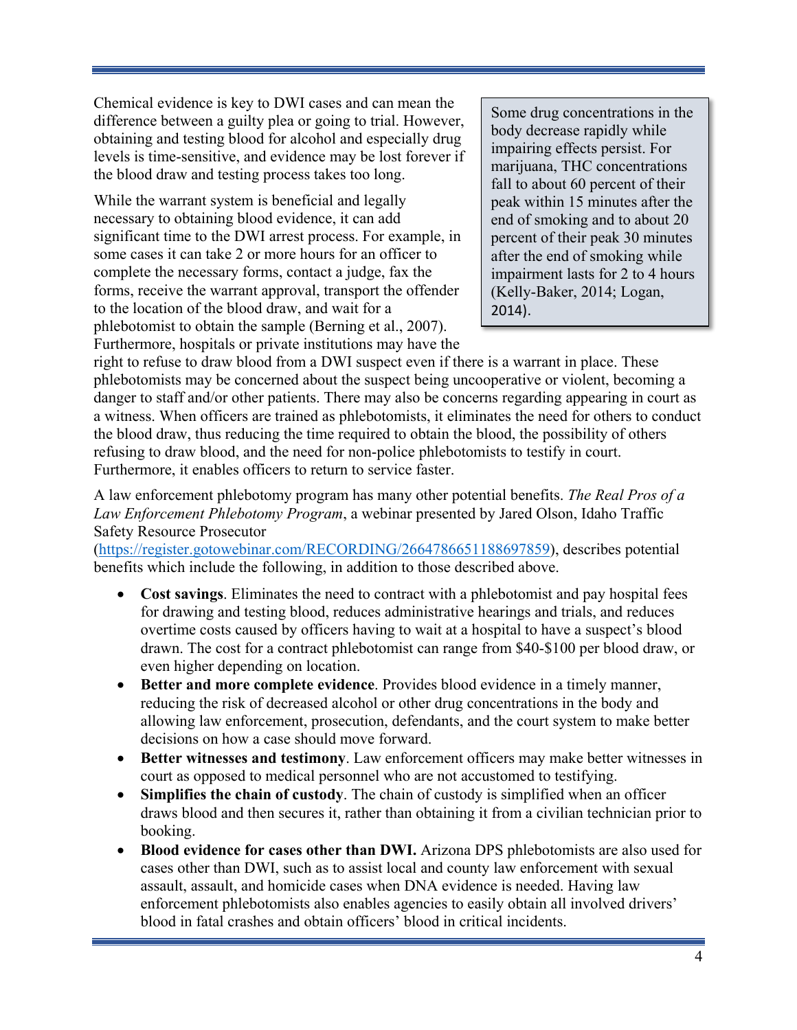Chemical evidence is key to DWI cases and can mean the difference between a guilty plea or going to trial. However, obtaining and testing blood for alcohol and especially drug levels is time-sensitive, and evidence may be lost forever if the blood draw and testing process takes too long.

While the warrant system is beneficial and legally necessary to obtaining blood evidence, it can add significant time to the DWI arrest process. For example, in some cases it can take 2 or more hours for an officer to complete the necessary forms, contact a judge, fax the forms, receive the warrant approval, transport the offender to the location of the blood draw, and wait for a phlebotomist to obtain the sample (Berning et al., 2007). Furthermore, hospitals or private institutions may have the

Some drug concentrations in the body decrease rapidly while impairing effects persist. For marijuana, THC concentrations fall to about 60 percent of their peak within 15 minutes after the end of smoking and to about 20 percent of their peak 30 minutes after the end of smoking while impairment lasts for 2 to 4 hours (Kelly-Baker, 2014; Logan, 2014).

right to refuse to draw blood from a DWI suspect even if there is a warrant in place. These phlebotomists may be concerned about the suspect being uncooperative or violent, becoming a danger to staff and/or other patients. There may also be concerns regarding appearing in court as a witness. When officers are trained as phlebotomists, it eliminates the need for others to conduct the blood draw, thus reducing the time required to obtain the blood, the possibility of others refusing to draw blood, and the need for non-police phlebotomists to testify in court. Furthermore, it enables officers to return to service faster.

A law enforcement phlebotomy program has many other potential benefits. *The Real Pros of a Law Enforcement Phlebotomy Program*, a webinar presented by Jared Olson, Idaho Traffic Safety Resource Prosecutor

[\(https://register.gotowebinar.com/RECORDING/2664786651188697859\)](https://register.gotowebinar.com/RECORDING/2664786651188697859), describes potential benefits which include the following, in addition to those described above.

- **Cost savings**. Eliminates the need to contract with a phlebotomist and pay hospital fees for drawing and testing blood, reduces administrative hearings and trials, and reduces overtime costs caused by officers having to wait at a hospital to have a suspect's blood drawn. The cost for a contract phlebotomist can range from \$40-\$100 per blood draw, or even higher depending on location.
- **Better and more complete evidence**. Provides blood evidence in a timely manner, reducing the risk of decreased alcohol or other drug concentrations in the body and allowing law enforcement, prosecution, defendants, and the court system to make better decisions on how a case should move forward.
- **Better witnesses and testimony**. Law enforcement officers may make better witnesses in court as opposed to medical personnel who are not accustomed to testifying.
- **Simplifies the chain of custody**. The chain of custody is simplified when an officer draws blood and then secures it, rather than obtaining it from a civilian technician prior to booking.
- **Blood evidence for cases other than DWI.** Arizona DPS phlebotomists are also used for cases other than DWI, such as to assist local and county law enforcement with sexual assault, assault, and homicide cases when DNA evidence is needed. Having law enforcement phlebotomists also enables agencies to easily obtain all involved drivers' blood in fatal crashes and obtain officers' blood in critical incidents.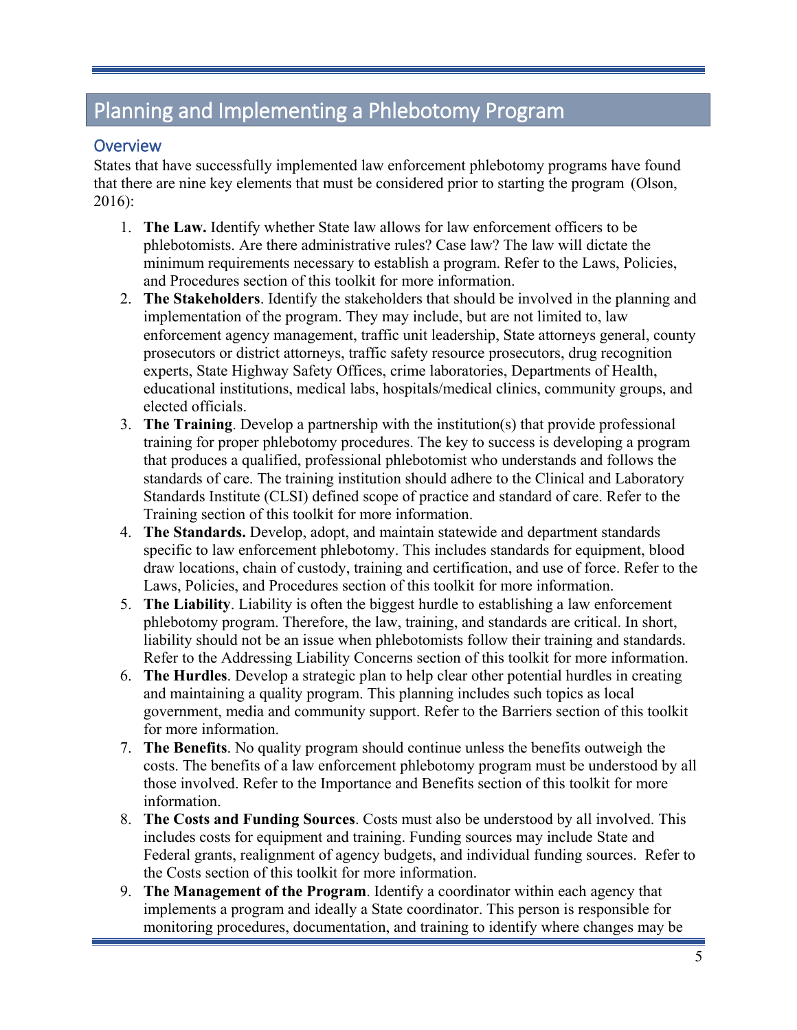# <span id="page-8-0"></span>Planning and Implementing a Phlebotomy Program

### <span id="page-8-1"></span>**Overview**

States that have successfully implemented law enforcement phlebotomy programs have found that there are nine key elements that must be considered prior to starting the program (Olson, 2016):

- 1. **The Law.** Identify whether State law allows for law enforcement officers to be phlebotomists. Are there administrative rules? Case law? The law will dictate the minimum requirements necessary to establish a program. Refer to the Laws, Policies, and Procedures section of this toolkit for more information.
- 2. **The Stakeholders**. Identify the stakeholders that should be involved in the planning and implementation of the program. They may include, but are not limited to, law enforcement agency management, traffic unit leadership, State attorneys general, county prosecutors or district attorneys, traffic safety resource prosecutors, drug recognition experts, State Highway Safety Offices, crime laboratories, Departments of Health, educational institutions, medical labs, hospitals/medical clinics, community groups, and elected officials.
- 3. **The Training**. Develop a partnership with the institution(s) that provide professional training for proper phlebotomy procedures. The key to success is developing a program that produces a qualified, professional phlebotomist who understands and follows the standards of care. The training institution should adhere to the Clinical and Laboratory Standards Institute (CLSI) defined scope of practice and standard of care. Refer to the Training section of this toolkit for more information.
- 4. **The Standards.** Develop, adopt, and maintain statewide and department standards specific to law enforcement phlebotomy. This includes standards for equipment, blood draw locations, chain of custody, training and certification, and use of force. Refer to the Laws, Policies, and Procedures section of this toolkit for more information.
- 5. **The Liability**. Liability is often the biggest hurdle to establishing a law enforcement phlebotomy program. Therefore, the law, training, and standards are critical. In short, liability should not be an issue when phlebotomists follow their training and standards. Refer to the Addressing Liability Concerns section of this toolkit for more information.
- 6. **The Hurdles**. Develop a strategic plan to help clear other potential hurdles in creating and maintaining a quality program. This planning includes such topics as local government, media and community support. Refer to the Barriers section of this toolkit for more information.
- 7. **The Benefits**. No quality program should continue unless the benefits outweigh the costs. The benefits of a law enforcement phlebotomy program must be understood by all those involved. Refer to the Importance and Benefits section of this toolkit for more information.
- 8. **The Costs and Funding Sources**. Costs must also be understood by all involved. This includes costs for equipment and training. Funding sources may include State and Federal grants, realignment of agency budgets, and individual funding sources. Refer to the Costs section of this toolkit for more information.
- 9. **The Management of the Program**. Identify a coordinator within each agency that implements a program and ideally a State coordinator. This person is responsible for monitoring procedures, documentation, and training to identify where changes may be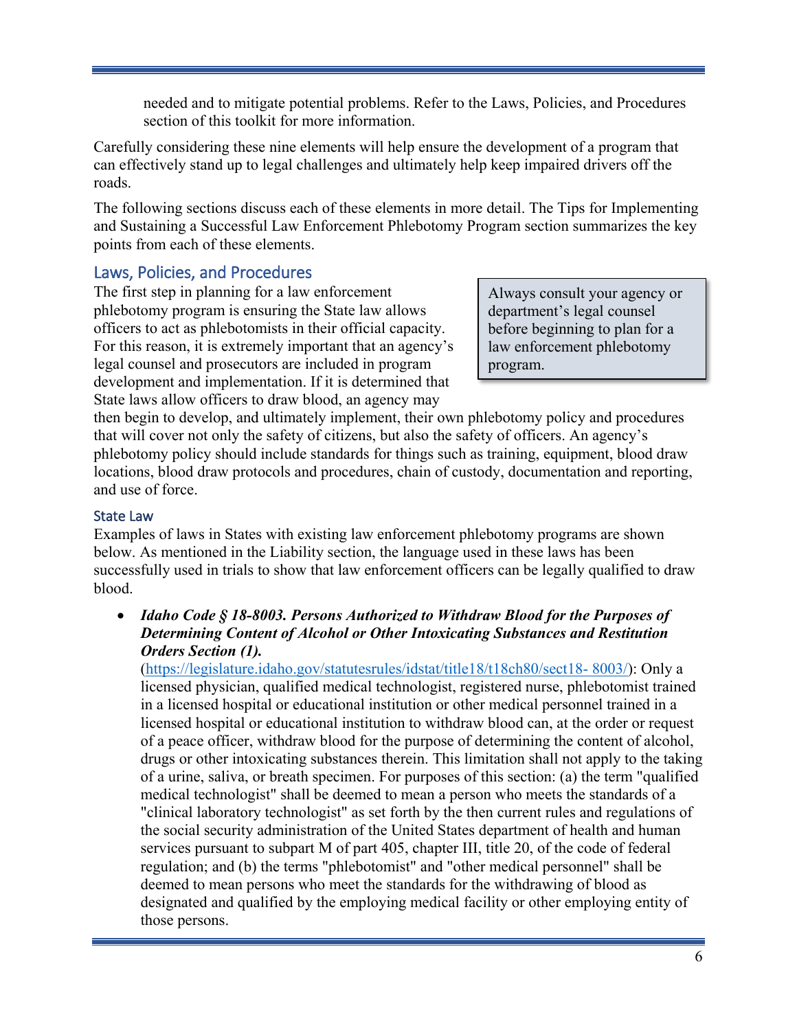needed and to mitigate potential problems. Refer to the Laws, Policies, and Procedures section of this toolkit for more information.

<span id="page-9-0"></span>Carefully considering these nine elements will help ensure the development of a program that can effectively stand up to legal challenges and ultimately help keep impaired drivers off the roads.

The following sections discuss each of these elements in more detail. The Tips for Implementing and Sustaining a Successful Law Enforcement Phlebotomy Program section summarizes the key points from each of these elements.

### Laws, Policies, and Procedures

The first step in planning for a law enforcement phlebotomy program is ensuring the State law allows officers to act as phlebotomists in their official capacity. For this reason, it is extremely important that an agency's legal counsel and prosecutors are included in program development and implementation. If it is determined that State laws allow officers to draw blood, an agency may

Always consult your agency or department's legal counsel before beginning to plan for a law enforcement phlebotomy program.

then begin to develop, and ultimately implement, their own phlebotomy policy and procedures that will cover not only the safety of citizens, but also the safety of officers. An agency's phlebotomy policy should include standards for things such as training, equipment, blood draw locations, blood draw protocols and procedures, chain of custody, documentation and reporting, and use of force.

### <span id="page-9-1"></span>State Law

Examples of laws in States with existing law enforcement phlebotomy programs are shown below. As mentioned in the Liability section, the language used in these laws has been successfully used in trials to show that law enforcement officers can be legally qualified to draw blood.

• *Idaho Code § 18-8003. Persons Authorized to Withdraw Blood for the Purposes of Determining Content of Alcohol or Other Intoxicating Substances and Restitution Orders Section (1).* 

[\(https://legislature.idaho.gov/statutesrules/idstat/title18/t18ch80/sect18-](https://legislature.idaho.gov/statutesrules/idstat/title18/t18ch80/sect18-%208003/) 8003/): Only a licensed physician, qualified medical technologist, registered nurse, phlebotomist trained in a licensed hospital or educational institution or other medical personnel trained in a licensed hospital or educational institution to withdraw blood can, at the order or request of a peace officer, withdraw blood for the purpose of determining the content of alcohol, drugs or other intoxicating substances therein. This limitation shall not apply to the taking of a urine, saliva, or breath specimen. For purposes of this section: (a) the term "qualified medical technologist" shall be deemed to mean a person who meets the standards of a "clinical laboratory technologist" as set forth by the then current rules and regulations of the social security administration of the United States department of health and human services pursuant to subpart M of part 405, chapter III, [title 20,](https://legislature.idaho.gov/statutesrules/idstat/Title20/T20) of the code of federal regulation; and (b) the terms "phlebotomist" and "other medical personnel" shall be deemed to mean persons who meet the standards for the withdrawing of blood as designated and qualified by the employing medical facility or other employing entity of those persons.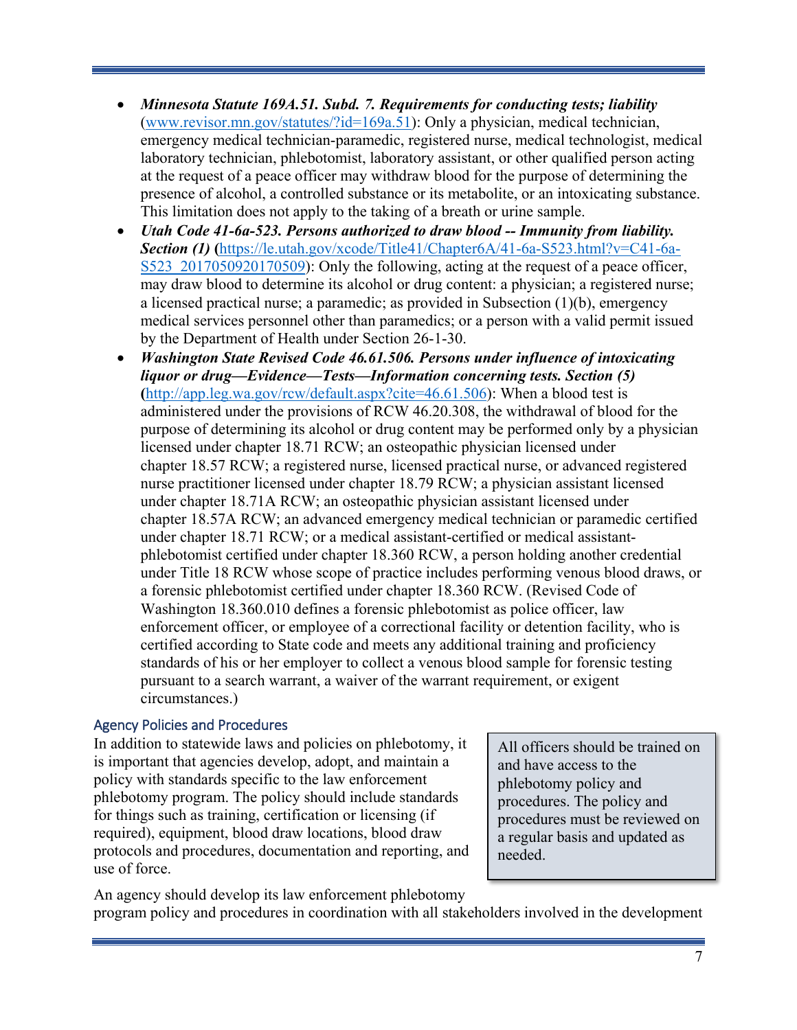- *Minnesota Statute 169A.51. Subd. 7. Requirements for conducting tests; liability*  [\(www.revisor.mn.gov/statutes/?id=169a.51\)](https://www.revisor.mn.gov/statutes/?id=169a.51): Only a physician, medical technician, emergency medical technician-paramedic, registered nurse, medical technologist, medical laboratory technician, phlebotomist, laboratory assistant, or other qualified person acting at the request of a peace officer may withdraw blood for the purpose of determining the presence of alcohol, a controlled substance or its metabolite, or an intoxicating substance. This limitation does not apply to the taking of a breath or urine sample.
- *Utah Code 41-6a-523. Persons authorized to draw blood -- Immunity from liability. Section (1)* **(**[https://le.utah.gov/xcode/Title41/Chapter6A/41-6a-S523.html?v=C41-6a-](https://le.utah.gov/xcode/Title41/Chapter6A/41-6a-S523.html?v=C41-6a-S523_2017050920170509)S523 2017050920170509): Only the following, acting at the request of a peace officer, may draw blood to determine its alcohol or drug content: a physician; a registered nurse; a licensed practical nurse; a paramedic; as provided in Subsection (1)(b), emergency medical services personnel other than paramedics; or a person with a valid permit issued by the Department of Health under Section 26-1-30.
- *Washington State Revised Code 46.61.506. Persons under influence of intoxicating liquor or drug—Evidence—Tests—Information concerning tests. Section (5)* **(**[http://app.leg.wa.gov/rcw/default.aspx?cite=46.61.506\)](http://app.leg.wa.gov/rcw/default.aspx?cite=46.61.506): When a blood test is administered under the provisions of RCW [46.20.308,](http://app.leg.wa.gov/RCW/default.aspx?cite=46.20.308) the withdrawal of blood for the purpose of determining its alcohol or drug content may be performed only by a physician licensed under chapter [18.71](http://app.leg.wa.gov/RCW/default.aspx?cite=18.71) RCW; an osteopathic physician licensed under chapter [18.57](http://app.leg.wa.gov/RCW/default.aspx?cite=18.57) RCW; a registered nurse, licensed practical nurse, or advanced registered nurse practitioner licensed under chapter [18.79](http://app.leg.wa.gov/RCW/default.aspx?cite=18.79) RCW; a physician assistant licensed under chapter [18.71A](http://app.leg.wa.gov/RCW/default.aspx?cite=18.71A) RCW; an osteopathic physician assistant licensed under chapter [18.57A](http://app.leg.wa.gov/RCW/default.aspx?cite=18.57A) RCW; an advanced emergency medical technician or paramedic certified under chapter [18.71](http://app.leg.wa.gov/RCW/default.aspx?cite=18.71) RCW; or a medical assistant-certified or medical assistantphlebotomist certified under chapter [18.360](http://app.leg.wa.gov/RCW/default.aspx?cite=18.360) RCW, a person holding another credential under Title [18](http://app.leg.wa.gov/RCW/default.aspx?cite=%2018) RCW whose scope of practice includes performing venous blood draws, or a forensic phlebotomist certified under chapter [18.360](http://app.leg.wa.gov/RCW/default.aspx?cite=18.360) RCW. (Revised Code of Washington 18.360.010 defines a forensic phlebotomist as police officer, law enforcement officer, or employee of a correctional facility or detention facility, who is certified according to State code and meets any additional training and proficiency standards of his or her employer to collect a venous blood sample for forensic testing pursuant to a search warrant, a waiver of the warrant requirement, or exigent circumstances.)

### <span id="page-10-0"></span>Agency Policies and Procedures

In addition to statewide laws and policies on phlebotomy, it is important that agencies develop, adopt, and maintain a policy with standards specific to the law enforcement phlebotomy program. The policy should include standards for things such as training, certification or licensing (if required), equipment, blood draw locations, blood draw protocols and procedures, documentation and reporting, and use of force.

All officers should be trained on and have access to the phlebotomy policy and procedures. The policy and procedures must be reviewed on a regular basis and updated as needed.

An agency should develop its law enforcement phlebotomy program policy and procedures in coordination with all stakeholders involved in the development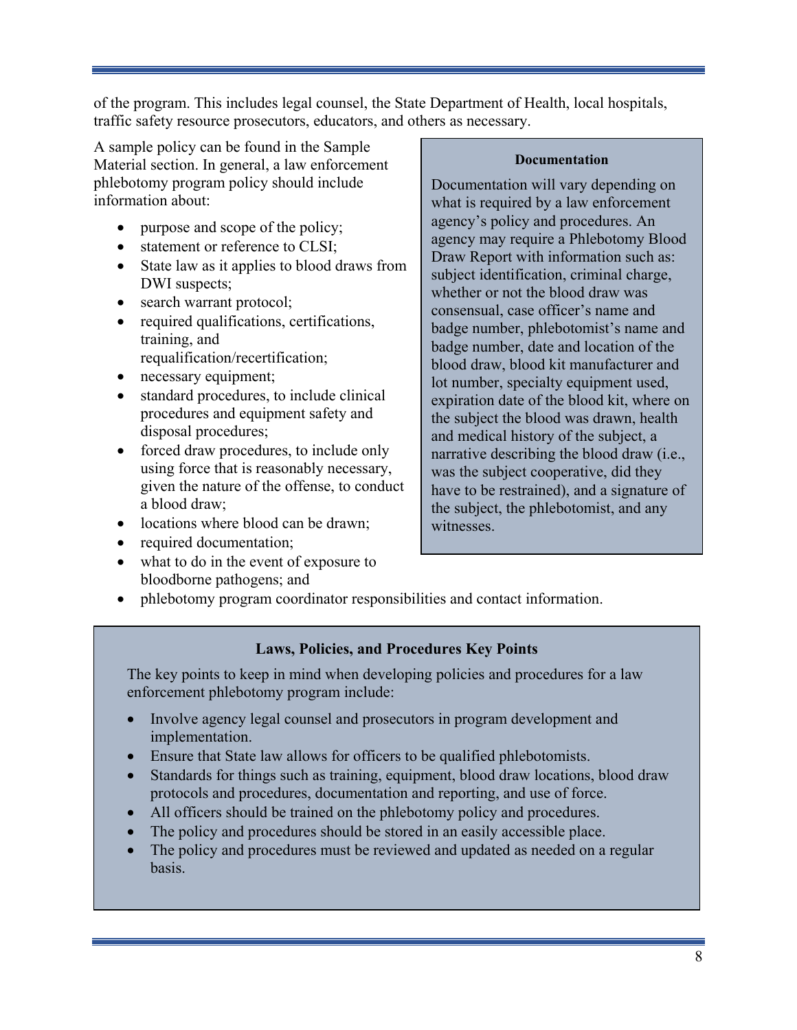of the program. This includes legal counsel, the State Department of Health, local hospitals, traffic safety resource prosecutors, educators, and others as necessary.

A sample policy can be found in the Sample Material section. In general, a law enforcement phlebotomy program policy should include information about:

- purpose and scope of the policy;
- statement or reference to CLSI:
- State law as it applies to blood draws from DWI suspects;
- search warrant protocol;
- required qualifications, certifications, training, and requalification/recertification;
- necessary equipment;
- standard procedures, to include clinical procedures and equipment safety and disposal procedures;
- forced draw procedures, to include only using force that is reasonably necessary, given the nature of the offense, to conduct a blood draw;
- locations where blood can be drawn;
- required documentation;
- what to do in the event of exposure to bloodborne pathogens; and

#### **Documentation**

Documentation will vary depending on what is required by a law enforcement agency's policy and procedures. An agency may require a Phlebotomy Blood Draw Report with information such as: subject identification, criminal charge, whether or not the blood draw was consensual, case officer's name and badge number, phlebotomist's name and badge number, date and location of the blood draw, blood kit manufacturer and lot number, specialty equipment used, expiration date of the blood kit, where on the subject the blood was drawn, health and medical history of the subject, a narrative describing the blood draw (i.e., was the subject cooperative, did they have to be restrained), and a signature of the subject, the phlebotomist, and any witnesses.

• phlebotomy program coordinator responsibilities and contact information.

### **Laws, Policies, and Procedures Key Points**

The key points to keep in mind when developing policies and procedures for a law enforcement phlebotomy program include:

- Involve agency legal counsel and prosecutors in program development and implementation.
- Ensure that State law allows for officers to be qualified phlebotomists.
- Standards for things such as training, equipment, blood draw locations, blood draw protocols and procedures, documentation and reporting, and use of force.
- All officers should be trained on the phlebotomy policy and procedures.
- The policy and procedures should be stored in an easily accessible place.
- The policy and procedures must be reviewed and updated as needed on a regular basis.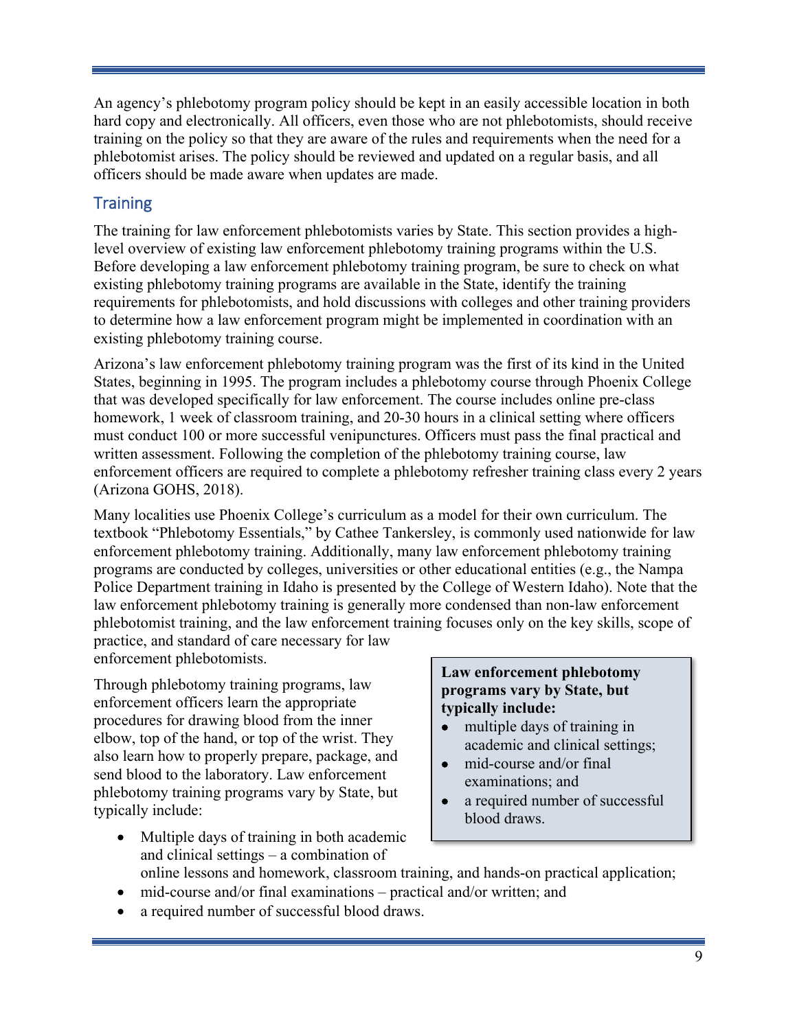An agency's phlebotomy program policy should be kept in an easily accessible location in both hard copy and electronically. All officers, even those who are not phlebotomists, should receive training on the policy so that they are aware of the rules and requirements when the need for a phlebotomist arises. The policy should be reviewed and updated on a regular basis, and all officers should be made aware when updates are made.

### <span id="page-12-0"></span>**Training**

The training for law enforcement phlebotomists varies by State. This section provides a highlevel overview of existing law enforcement phlebotomy training programs within the U.S. Before developing a law enforcement phlebotomy training program, be sure to check on what existing phlebotomy training programs are available in the State, identify the training requirements for phlebotomists, and hold discussions with colleges and other training providers to determine how a law enforcement program might be implemented in coordination with an existing phlebotomy training course.

Arizona's law enforcement phlebotomy training program was the first of its kind in the United States, beginning in 1995. The program includes a phlebotomy course through Phoenix College that was developed specifically for law enforcement. The course includes online pre-class homework, 1 week of classroom training, and 20-30 hours in a clinical setting where officers must conduct 100 or more successful venipunctures. Officers must pass the final practical and written assessment. Following the completion of the phlebotomy training course, law enforcement officers are required to complete a phlebotomy refresher training class every 2 years (Arizona GOHS, 2018).

Many localities use Phoenix College's curriculum as a model for their own curriculum. The textbook "Phlebotomy Essentials," by Cathee Tankersley, is commonly used nationwide for law enforcement phlebotomy training. Additionally, many law enforcement phlebotomy training programs are conducted by colleges, universities or other educational entities (e.g., the Nampa Police Department training in Idaho is presented by the College of Western Idaho). Note that the law enforcement phlebotomy training is generally more condensed than non-law enforcement phlebotomist training, and the law enforcement training focuses only on the key skills, scope of practice, and standard of care necessary for law

enforcement phlebotomists.

Through phlebotomy training programs, law enforcement officers learn the appropriate procedures for drawing blood from the inner elbow, top of the hand, or top of the wrist. They also learn how to properly prepare, package, and send blood to the laboratory. Law enforcement phlebotomy training programs vary by State, but typically include:

• Multiple days of training in both academic and clinical settings – a combination of

### **Law enforcement phlebotomy programs vary by State, but typically include:**

- multiple days of training in academic and clinical settings;
- mid-course and/or final examinations; and
- a required number of successful blood draws.
- online lessons and homework, classroom training, and hands-on practical application;
- mid-course and/or final examinations practical and/or written; and
- a required number of successful blood draws.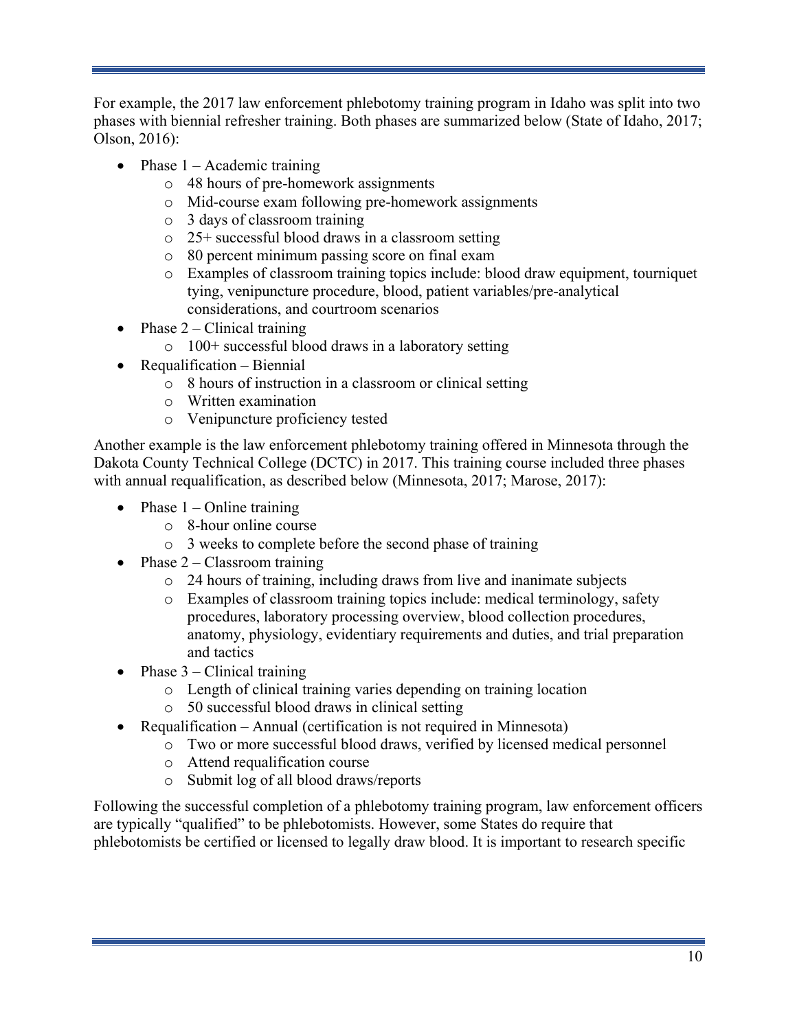For example, the 2017 law enforcement phlebotomy training program in Idaho was split into two phases with biennial refresher training. Both phases are summarized below (State of Idaho, 2017; Olson, 2016):

- Phase  $1 -$  Academic training
	- o 48 hours of pre-homework assignments
	- o Mid-course exam following pre-homework assignments
	- o 3 days of classroom training
	- o 25+ successful blood draws in a classroom setting
	- o 80 percent minimum passing score on final exam
	- o Examples of classroom training topics include: blood draw equipment, tourniquet tying, venipuncture procedure, blood, patient variables/pre-analytical considerations, and courtroom scenarios
- Phase  $2$  Clinical training
	- o 100+ successful blood draws in a laboratory setting
- Requalification Biennial
	- o 8 hours of instruction in a classroom or clinical setting
	- o Written examination
	- o Venipuncture proficiency tested

Another example is the law enforcement phlebotomy training offered in Minnesota through the Dakota County Technical College (DCTC) in 2017. This training course included three phases with annual requalification, as described below (Minnesota, 2017; Marose, 2017):

- Phase  $1 -$ Online training
	- o 8-hour online course
	- o 3 weeks to complete before the second phase of training
- Phase  $2 -$ Classroom training
	- o 24 hours of training, including draws from live and inanimate subjects
	- o Examples of classroom training topics include: medical terminology, safety procedures, laboratory processing overview, blood collection procedures, anatomy, physiology, evidentiary requirements and duties, and trial preparation and tactics
- Phase  $3$  Clinical training
	- o Length of clinical training varies depending on training location
	- o 50 successful blood draws in clinical setting
- Requalification Annual (certification is not required in Minnesota)
	- o Two or more successful blood draws, verified by licensed medical personnel
		- o Attend requalification course
		- o Submit log of all blood draws/reports

Following the successful completion of a phlebotomy training program, law enforcement officers are typically "qualified" to be phlebotomists. However, some States do require that phlebotomists be certified or licensed to legally draw blood. It is important to research specific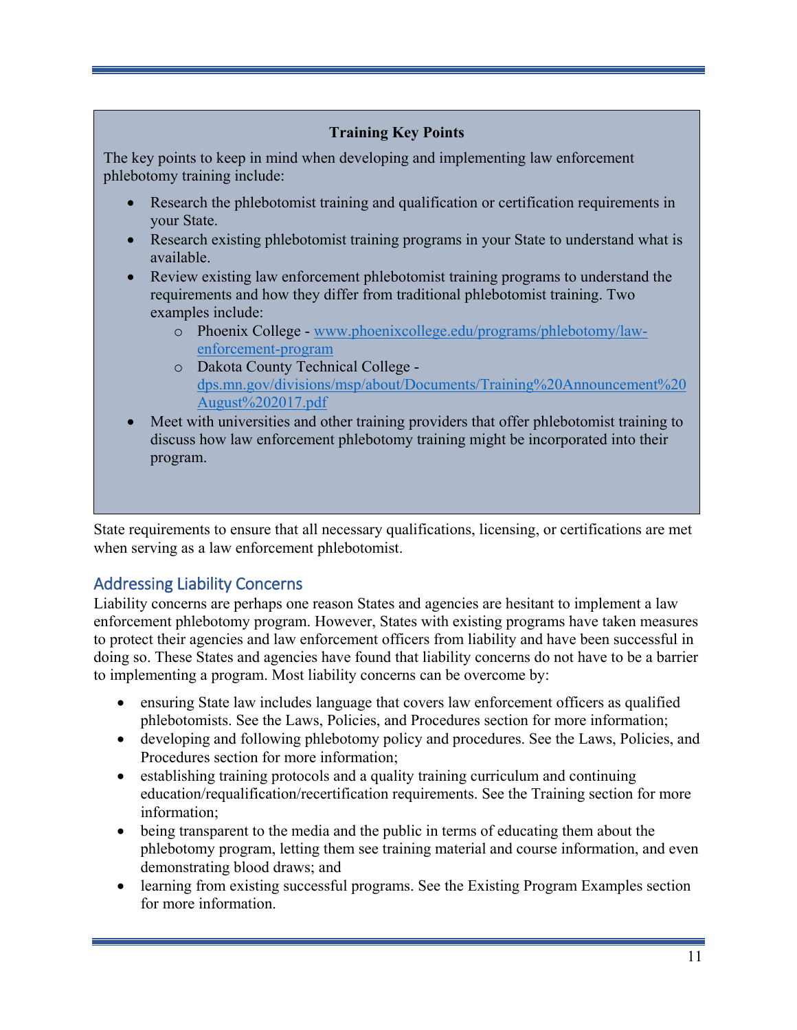### **Training Key Points**

The key points to keep in mind when developing and implementing law enforcement phlebotomy training include:

- Research the phlebotomist training and qualification or certification requirements in your State.
- Research existing phlebotomist training programs in your State to understand what is available.
- Review existing law enforcement phlebotomist training programs to understand the requirements and how they differ from traditional phlebotomist training. Two examples include:
	- o Phoenix College [www.phoenixcollege.edu/programs/phlebotomy/law](https://www.phoenixcollege.edu/programs/phlebotomy/law-enforcement-program)[enforcement-program](https://www.phoenixcollege.edu/programs/phlebotomy/law-enforcement-program)
	- o Dakota County Technical College [dps.mn.gov/divisions/msp/about/Documents/Training%20Announcement%20](file://dothqncfs003/nhtsanas001/2%20Jobs/14222-Plebodomy%20Toolkit/dps.mn.gov/divisions/msp/about/Documents/Training%20Announcement%20August%202017.pdf) [August%202017.pdf](file://dothqncfs003/nhtsanas001/2%20Jobs/14222-Plebodomy%20Toolkit/dps.mn.gov/divisions/msp/about/Documents/Training%20Announcement%20August%202017.pdf)
- Meet with universities and other training providers that offer phlebotomist training to discuss how law enforcement phlebotomy training might be incorporated into their program.

State requirements to ensure that all necessary qualifications, licensing, or certifications are met when serving as a law enforcement phlebotomist.

# <span id="page-14-0"></span>Addressing Liability Concerns

Liability concerns are perhaps one reason States and agencies are hesitant to implement a law enforcement phlebotomy program. However, States with existing programs have taken measures to protect their agencies and law enforcement officers from liability and have been successful in doing so. These States and agencies have found that liability concerns do not have to be a barrier to implementing a program. Most liability concerns can be overcome by:

- ensuring State law includes language that covers law enforcement officers as qualified phlebotomists. See the Laws, Policies, and Procedures section for more information;
- developing and following phlebotomy policy and procedures. See the Laws, Policies, and Procedures section for more information;
- establishing training protocols and a quality training curriculum and continuing education/requalification/recertification requirements. See the Training section for more information;
- being transparent to the media and the public in terms of educating them about the phlebotomy program, letting them see training material and course information, and even demonstrating blood draws; and
- learning from existing successful programs. See the Existing Program Examples section for more information.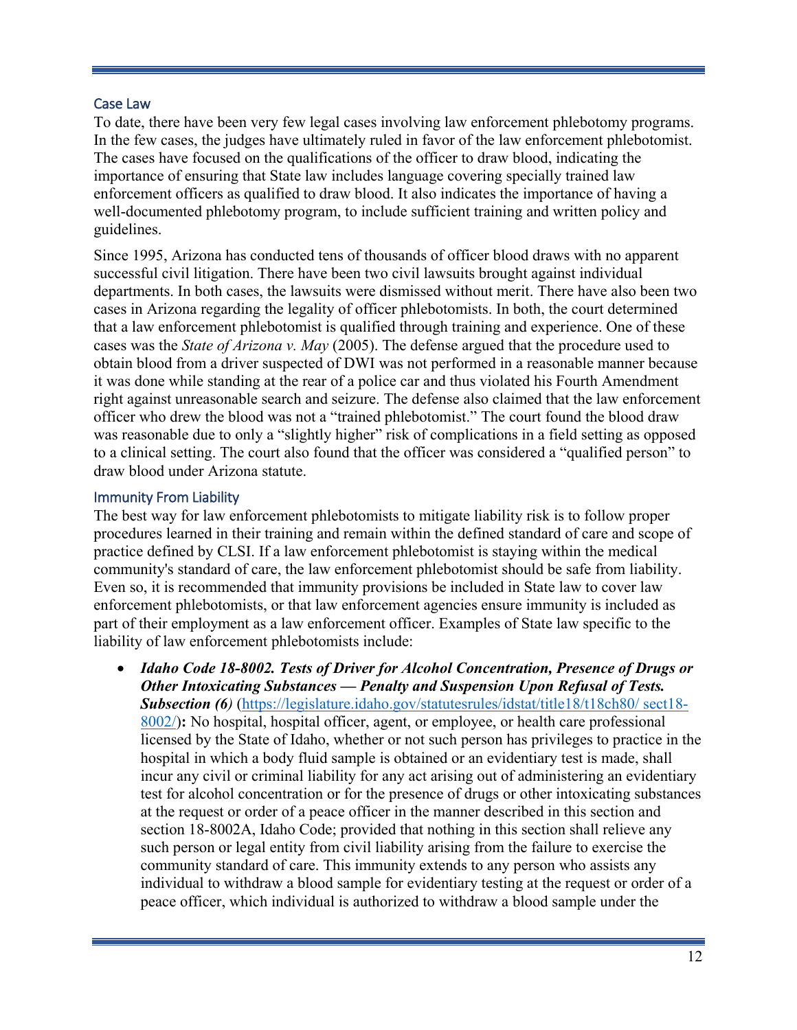#### <span id="page-15-0"></span>Case Law

To date, there have been very few legal cases involving law enforcement phlebotomy programs. In the few cases, the judges have ultimately ruled in favor of the law enforcement phlebotomist. The cases have focused on the qualifications of the officer to draw blood, indicating the importance of ensuring that State law includes language covering specially trained law enforcement officers as qualified to draw blood. It also indicates the importance of having a well-documented phlebotomy program, to include sufficient training and written policy and guidelines.

Since 1995, Arizona has conducted tens of thousands of officer blood draws with no apparent successful civil litigation. There have been two civil lawsuits brought against individual departments. In both cases, the lawsuits were dismissed without merit. There have also been two cases in Arizona regarding the legality of officer phlebotomists. In both, the court determined that a law enforcement phlebotomist is qualified through training and experience. One of these cases was the *State of Arizona v. May* (2005). The defense argued that the procedure used to obtain blood from a driver suspected of DWI was not performed in a reasonable manner because it was done while standing at the rear of a police car and thus violated his Fourth Amendment right against unreasonable search and seizure. The defense also claimed that the law enforcement officer who drew the blood was not a "trained phlebotomist." The court found the blood draw was reasonable due to only a "slightly higher" risk of complications in a field setting as opposed to a clinical setting. The court also found that the officer was considered a "qualified person" to draw blood under Arizona statute.

### <span id="page-15-1"></span>Immunity From Liability

The best way for law enforcement phlebotomists to mitigate liability risk is to follow proper procedures learned in their training and remain within the defined standard of care and scope of practice defined by CLSI. If a law enforcement phlebotomist is staying within the medical community's standard of care, the law enforcement phlebotomist should be safe from liability. Even so, it is recommended that immunity provisions be included in State law to cover law enforcement phlebotomists, or that law enforcement agencies ensure immunity is included as part of their employment as a law enforcement officer. Examples of State law specific to the liability of law enforcement phlebotomists include:

• *Idaho Code 18-8002. Tests of Driver for Alcohol Concentration, Presence of Drugs or Other Intoxicating Substances — Penalty and Suspension Upon Refusal of Tests.*  **Subsection (6)** [\(https://legislature.idaho.gov/statutesrules/idstat/title18/t18ch80/](https://legislature.idaho.gov/statutesrules/idstat/title18/t18ch80/%20sect18-8002/) sect18-[8002/\)](https://legislature.idaho.gov/statutesrules/idstat/title18/t18ch80/%20sect18-8002/)**:** No hospital, hospital officer, agent, or employee, or health care professional licensed by the State of Idaho, whether or not such person has privileges to practice in the hospital in which a body fluid sample is obtained or an evidentiary test is made, shall incur any civil or criminal liability for any act arising out of administering an evidentiary test for alcohol concentration or for the presence of drugs or other intoxicating substances at the request or order of a peace officer in the manner described in this section and section [18-8002A,](https://legislature.idaho.gov/statutesrules/idstat/Title18/T18CH80/SECT18-8002A) Idaho Code; provided that nothing in this section shall relieve any such person or legal entity from civil liability arising from the failure to exercise the community standard of care. This immunity extends to any person who assists any individual to withdraw a blood sample for evidentiary testing at the request or order of a peace officer, which individual is authorized to withdraw a blood sample under the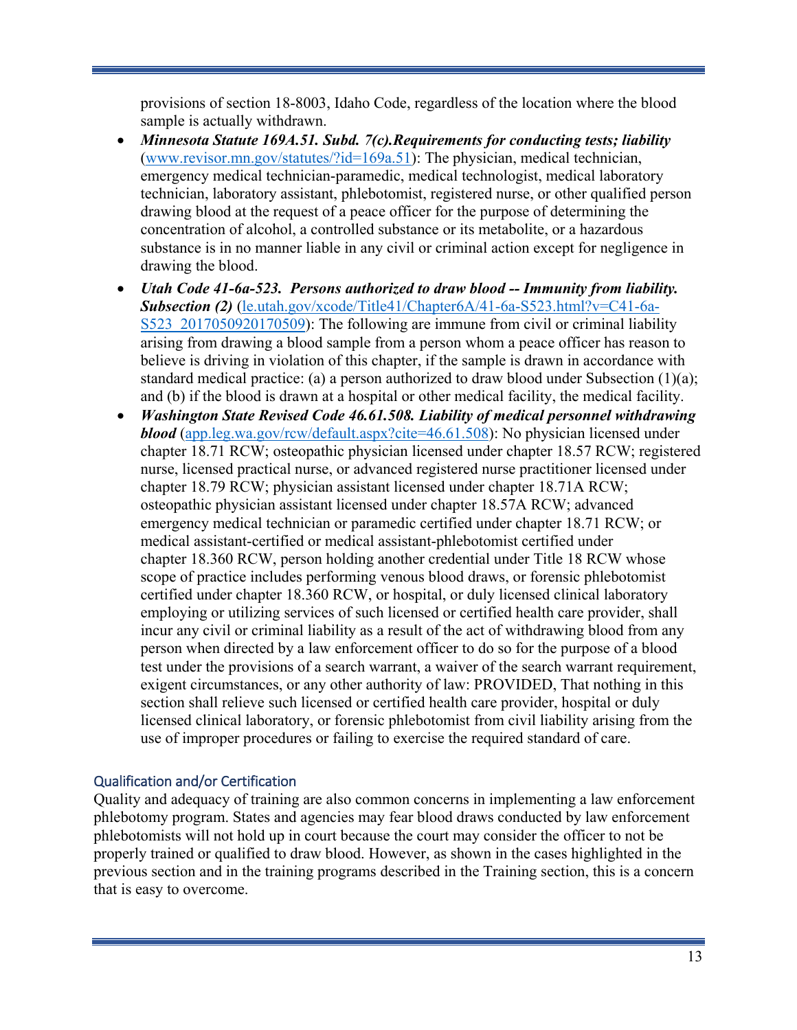provisions of section [18-8003,](https://legislature.idaho.gov/statutesrules/idstat/Title18/T18CH80/SECT18-8003) Idaho Code, regardless of the location where the blood sample is actually withdrawn.

- *Minnesota Statute 169A.51. Subd. 7(c).Requirements for conducting tests; liability*  [\(www.revisor.mn.gov/statutes/?id=169a.51\)](https://www.revisor.mn.gov/statutes/?id=169a.51): The physician, medical technician, emergency medical technician-paramedic, medical technologist, medical laboratory technician, laboratory assistant, phlebotomist, registered nurse, or other qualified person drawing blood at the request of a peace officer for the purpose of determining the concentration of alcohol, a controlled substance or its metabolite, or a hazardous substance is in no manner liable in any civil or criminal action except for negligence in drawing the blood.
- *Utah Code 41-6a-523. Persons authorized to draw blood -- Immunity from liability. Subsection (2)* [\(le.utah.gov/xcode/Title41/Chapter6A/41-6a-S523.html?v=C41-6a-](https://le.utah.gov/xcode/Title41/Chapter6A/41-6a-S523.html?v=C41-6a-S523_2017050920170509)S523 2017050920170509): The following are immune from civil or criminal liability arising from drawing a blood sample from a person whom a peace officer has reason to believe is driving in violation of this chapter, if the sample is drawn in accordance with standard medical practice: (a) a person authorized to draw blood under Subsection (1)(a); and (b) if the blood is drawn at a hospital or other medical facility, the medical facility.
- *Washington State Revised Code 46.61.508. Liability of medical personnel withdrawing blood* [\(app.leg.wa.gov/rcw/default.aspx?cite=46.61.508\)](http://app.leg.wa.gov/rcw/default.aspx?cite=46.61.508): No physician licensed under chapter [18.71](http://app.leg.wa.gov/RCW/default.aspx?cite=18.71) RCW; osteopathic physician licensed under chapter [18.57](http://app.leg.wa.gov/RCW/default.aspx?cite=18.57) RCW; registered nurse, licensed practical nurse, or advanced registered nurse practitioner licensed under chapter [18.79](http://app.leg.wa.gov/RCW/default.aspx?cite=18.79) RCW; physician assistant licensed under chapter [18.71A](http://app.leg.wa.gov/RCW/default.aspx?cite=18.71A) RCW; osteopathic physician assistant licensed under chapter [18.57A](http://app.leg.wa.gov/RCW/default.aspx?cite=18.57A) RCW; advanced emergency medical technician or paramedic certified under chapter [18.71](http://app.leg.wa.gov/RCW/default.aspx?cite=18.71) RCW; or medical assistant-certified or medical assistant-phlebotomist certified under chapter [18.360](http://app.leg.wa.gov/RCW/default.aspx?cite=18.360) RCW, person holding another credential under Title [18](http://app.leg.wa.gov/RCW/default.aspx?cite=%2018) RCW whose scope of practice includes performing venous blood draws, or forensic phlebotomist certified under chapter [18.360](http://app.leg.wa.gov/RCW/default.aspx?cite=18.360) RCW, or hospital, or duly licensed clinical laboratory employing or utilizing services of such licensed or certified health care provider, shall incur any civil or criminal liability as a result of the act of withdrawing blood from any person when directed by a law enforcement officer to do so for the purpose of a blood test under the provisions of a search warrant, a waiver of the search warrant requirement, exigent circumstances, or any other authority of law: PROVIDED, That nothing in this section shall relieve such licensed or certified health care provider, hospital or duly licensed clinical laboratory, or forensic phlebotomist from civil liability arising from the use of improper procedures or failing to exercise the required standard of care.

### <span id="page-16-0"></span>Qualification and/or Certification

Quality and adequacy of training are also common concerns in implementing a law enforcement phlebotomy program. States and agencies may fear blood draws conducted by law enforcement phlebotomists will not hold up in court because the court may consider the officer to not be properly trained or qualified to draw blood. However, as shown in the cases highlighted in the previous section and in the training programs described in the Training section, this is a concern that is easy to overcome.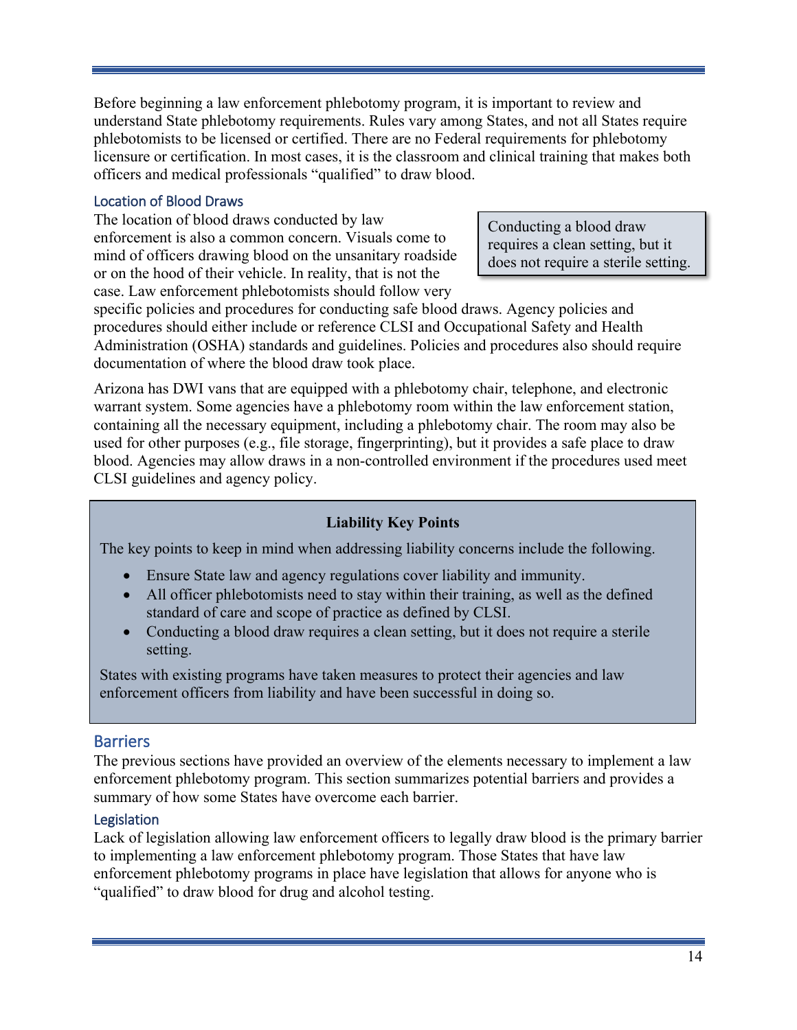Before beginning a law enforcement phlebotomy program, it is important to review and understand State phlebotomy requirements. Rules vary among States, and not all States require phlebotomists to be licensed or certified. There are no Federal requirements for phlebotomy licensure or certification. In most cases, it is the classroom and clinical training that makes both officers and medical professionals "qualified" to draw blood.

### <span id="page-17-0"></span>Location of Blood Draws

The location of blood draws conducted by law enforcement is also a common concern. Visuals come to mind of officers drawing blood on the unsanitary roadside or on the hood of their vehicle. In reality, that is not the case. Law enforcement phlebotomists should follow very

Conducting a blood draw requires a clean setting, but it does not require a sterile setting.

specific policies and procedures for conducting safe blood draws. Agency policies and procedures should either include or reference CLSI and Occupational Safety and Health Administration (OSHA) standards and guidelines. Policies and procedures also should require documentation of where the blood draw took place.

Arizona has DWI vans that are equipped with a phlebotomy chair, telephone, and electronic warrant system. Some agencies have a phlebotomy room within the law enforcement station, containing all the necessary equipment, including a phlebotomy chair. The room may also be used for other purposes (e.g., file storage, fingerprinting), but it provides a safe place to draw blood. Agencies may allow draws in a non-controlled environment if the procedures used meet CLSI guidelines and agency policy.

### **Liability Key Points**

The key points to keep in mind when addressing liability concerns include the following.

- Ensure State law and agency regulations cover liability and immunity.
- All officer phlebotomists need to stay within their training, as well as the defined standard of care and scope of practice as defined by CLSI.
- Conducting a blood draw requires a clean setting, but it does not require a sterile setting.

States with existing programs have taken measures to protect their agencies and law enforcement officers from liability and have been successful in doing so.

### <span id="page-17-1"></span>Barriers

The previous sections have provided an overview of the elements necessary to implement a law enforcement phlebotomy program. This section summarizes potential barriers and provides a summary of how some States have overcome each barrier.

### <span id="page-17-2"></span>Legislation

Lack of legislation allowing law enforcement officers to legally draw blood is the primary barrier to implementing a law enforcement phlebotomy program. Those States that have law enforcement phlebotomy programs in place have legislation that allows for anyone who is "qualified" to draw blood for drug and alcohol testing.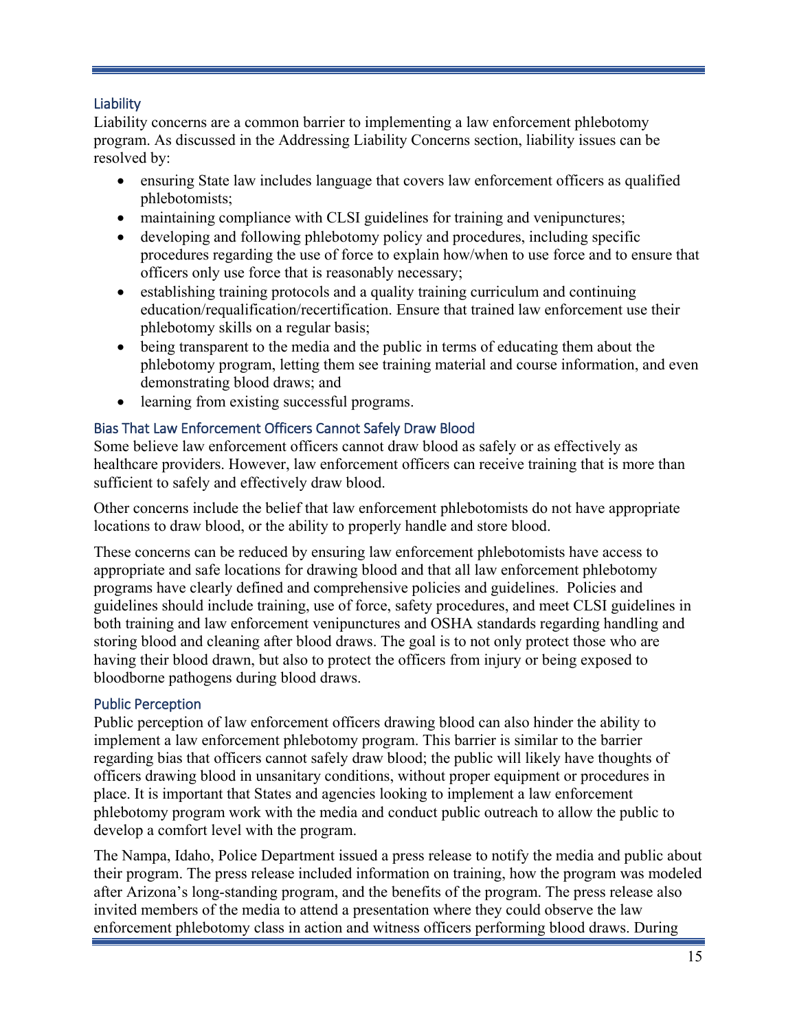### <span id="page-18-0"></span>**Liability**

Liability concerns are a common barrier to implementing a law enforcement phlebotomy program. As discussed in the Addressing Liability Concerns section, liability issues can be resolved by:

- ensuring State law includes language that covers law enforcement officers as qualified phlebotomists;
- maintaining compliance with CLSI guidelines for training and venipunctures;
- developing and following phlebotomy policy and procedures, including specific procedures regarding the use of force to explain how/when to use force and to ensure that officers only use force that is reasonably necessary;
- establishing training protocols and a quality training curriculum and continuing education/requalification/recertification. Ensure that trained law enforcement use their phlebotomy skills on a regular basis;
- being transparent to the media and the public in terms of educating them about the phlebotomy program, letting them see training material and course information, and even demonstrating blood draws; and
- learning from existing successful programs.

### <span id="page-18-1"></span>Bias That Law Enforcement Officers Cannot Safely Draw Blood

Some believe law enforcement officers cannot draw blood as safely or as effectively as healthcare providers. However, law enforcement officers can receive training that is more than sufficient to safely and effectively draw blood.

Other concerns include the belief that law enforcement phlebotomists do not have appropriate locations to draw blood, or the ability to properly handle and store blood.

These concerns can be reduced by ensuring law enforcement phlebotomists have access to appropriate and safe locations for drawing blood and that all law enforcement phlebotomy programs have clearly defined and comprehensive policies and guidelines. Policies and guidelines should include training, use of force, safety procedures, and meet CLSI guidelines in both training and law enforcement venipunctures and OSHA standards regarding handling and storing blood and cleaning after blood draws. The goal is to not only protect those who are having their blood drawn, but also to protect the officers from injury or being exposed to bloodborne pathogens during blood draws.

### <span id="page-18-2"></span>Public Perception

Public perception of law enforcement officers drawing blood can also hinder the ability to implement a law enforcement phlebotomy program. This barrier is similar to the barrier regarding bias that officers cannot safely draw blood; the public will likely have thoughts of officers drawing blood in unsanitary conditions, without proper equipment or procedures in place. It is important that States and agencies looking to implement a law enforcement phlebotomy program work with the media and conduct public outreach to allow the public to develop a comfort level with the program.

The Nampa, Idaho, Police Department issued a press release to notify the media and public about their program. The press release included information on training, how the program was modeled after Arizona's long-standing program, and the benefits of the program. The press release also invited members of the media to attend a presentation where they could observe the law enforcement phlebotomy class in action and witness officers performing blood draws. During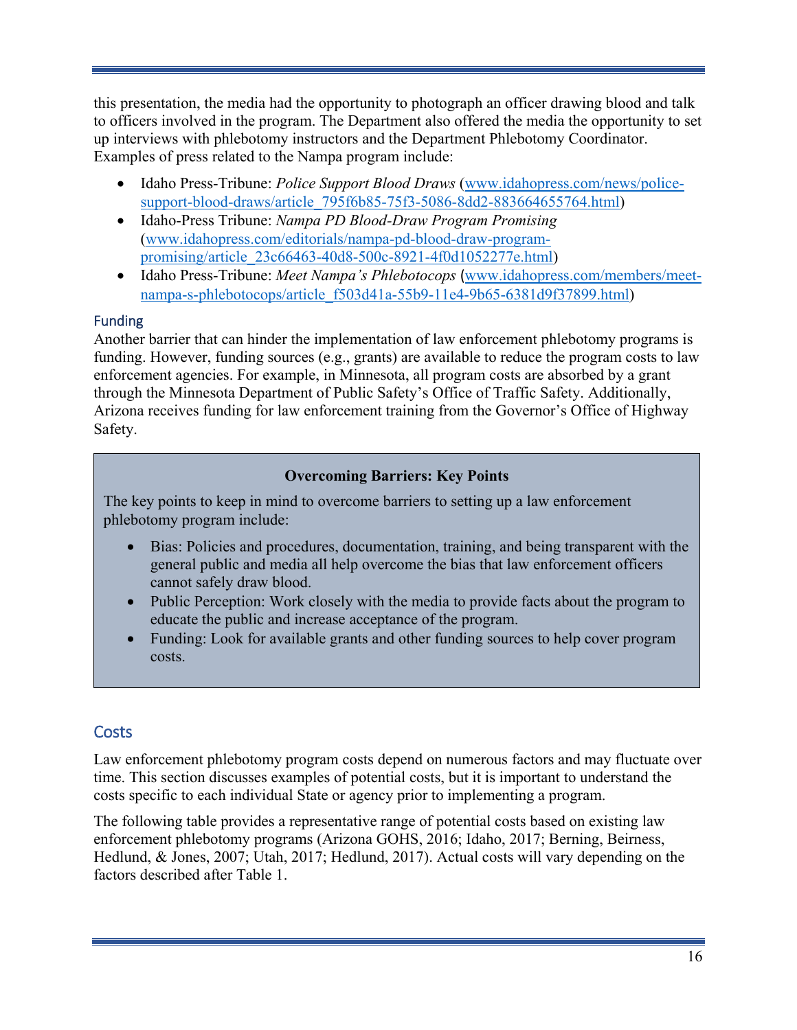this presentation, the media had the opportunity to photograph an officer drawing blood and talk to officers involved in the program. The Department also offered the media the opportunity to set up interviews with phlebotomy instructors and the Department Phlebotomy Coordinator. Examples of press related to the Nampa program include:

- Idaho Press-Tribune: *Police Support Blood Draws* [\(www.idahopress.com/news/police](file://dothqewfs101/VDI_User_Profiles/maryf.jones/Documents/Documents/Job%2014222/www.idahopress.com/news/police-support-blood-draws/article_795f6b85-75f3-5086-8dd2-883664655764.html)[support-blood-draws/article\\_795f6b85-75f3-5086-8dd2-883664655764.html\)](file://dothqewfs101/VDI_User_Profiles/maryf.jones/Documents/Documents/Job%2014222/www.idahopress.com/news/police-support-blood-draws/article_795f6b85-75f3-5086-8dd2-883664655764.html)
- Idaho-Press Tribune: *Nampa PD Blood-Draw Program Promising*  [\(www.idahopress.com/editorials/nampa-pd-blood-draw-program](file://dothqewfs101/VDI_User_Profiles/maryf.jones/Documents/Documents/Job%2014222/www.idahopress.com/editorials/nampa-pd-blood-draw-program-promising/article_23c66463-40d8-500c-8921-4f0d1052277e.html)[promising/article\\_23c66463-40d8-500c-8921-4f0d1052277e.html\)](file://dothqewfs101/VDI_User_Profiles/maryf.jones/Documents/Documents/Job%2014222/www.idahopress.com/editorials/nampa-pd-blood-draw-program-promising/article_23c66463-40d8-500c-8921-4f0d1052277e.html)
- Idaho Press-Tribune: *Meet Nampa's Phlebotocops* (www.idahopress.com/members/meet[nampa-s-phlebotocops/article\\_f503d41a-55b9-11e4-9b65-6381d9f37899.html\)](file://dothqewfs101/VDI_User_Profiles/maryf.jones/Documents/Documents/Job%2014222/www.idahopress.com/members/meet-nampa-s-phlebotocops/article_f503d41a-55b9-11e4-9b65-6381d9f37899.html)

### <span id="page-19-0"></span>Funding

Another barrier that can hinder the implementation of law enforcement phlebotomy programs is funding. However, funding sources (e.g., grants) are available to reduce the program costs to law enforcement agencies. For example, in Minnesota, all program costs are absorbed by a grant through the Minnesota Department of Public Safety's Office of Traffic Safety. Additionally, Arizona receives funding for law enforcement training from the Governor's Office of Highway Safety.

### **Overcoming Barriers: Key Points**

The key points to keep in mind to overcome barriers to setting up a law enforcement phlebotomy program include:

- Bias: Policies and procedures, documentation, training, and being transparent with the general public and media all help overcome the bias that law enforcement officers cannot safely draw blood.
- Public Perception: Work closely with the media to provide facts about the program to educate the public and increase acceptance of the program.
- Funding: Look for available grants and other funding sources to help cover program costs.

### <span id="page-19-1"></span>**Costs**

Law enforcement phlebotomy program costs depend on numerous factors and may fluctuate over time. This section discusses examples of potential costs, but it is important to understand the costs specific to each individual State or agency prior to implementing a program.

The following table provides a representative range of potential costs based on existing law enforcement phlebotomy programs (Arizona GOHS, 2016; Idaho, 2017; Berning, Beirness, Hedlund, & Jones, 2007; Utah, 2017; Hedlund, 2017). Actual costs will vary depending on the factors described after Table 1.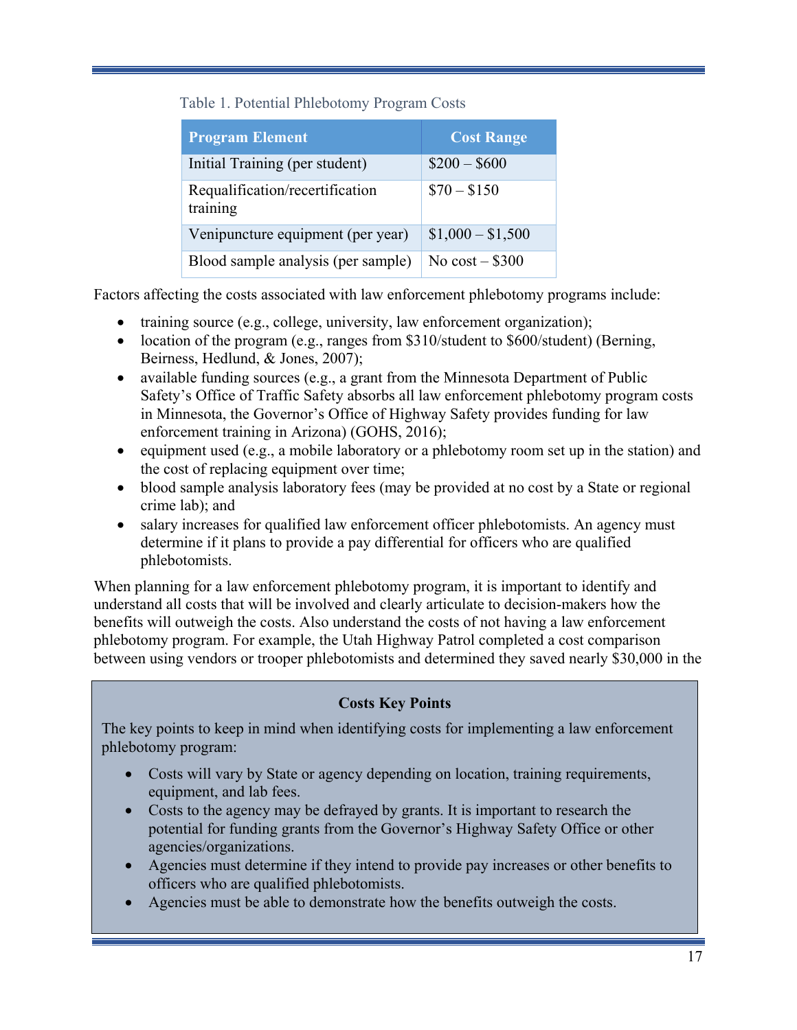Table 1. Potential Phlebotomy Program Costs

| <b>Program Element</b>                      | <b>Cost Range</b> |
|---------------------------------------------|-------------------|
| Initial Training (per student)              | $$200 - $600$     |
| Requalification/recertification<br>training | $$70 - $150$      |
| Venipuncture equipment (per year)           | $$1,000 - $1,500$ |
| Blood sample analysis (per sample)          | No $cost - $300$  |

Factors affecting the costs associated with law enforcement phlebotomy programs include:

- training source (e.g., college, university, law enforcement organization);
- location of the program (e.g., ranges from \$310/student to \$600/student) (Berning, Beirness, Hedlund, & Jones, 2007);
- available funding sources (e.g., a grant from the Minnesota Department of Public Safety's Office of Traffic Safety absorbs all law enforcement phlebotomy program costs in Minnesota, the Governor's Office of Highway Safety provides funding for law enforcement training in Arizona) (GOHS, 2016);
- equipment used (e.g., a mobile laboratory or a phlebotomy room set up in the station) and the cost of replacing equipment over time;
- blood sample analysis laboratory fees (may be provided at no cost by a State or regional crime lab); and
- salary increases for qualified law enforcement officer phlebotomists. An agency must determine if it plans to provide a pay differential for officers who are qualified phlebotomists.

When planning for a law enforcement phlebotomy program, it is important to identify and understand all costs that will be involved and clearly articulate to decision-makers how the benefits will outweigh the costs. Also understand the costs of not having a law enforcement phlebotomy program. For example, the Utah Highway Patrol completed a cost comparison between using vendors or trooper phlebotomists and determined they saved nearly \$30,000 in the

### **Costs Key Points**

The key points to keep in mind when identifying costs for implementing a law enforcement phlebotomy program:

- Costs will vary by State or agency depending on location, training requirements, equipment, and lab fees.
- Costs to the agency may be defrayed by grants. It is important to research the potential for funding grants from the Governor's Highway Safety Office or other agencies/organizations.
- Agencies must determine if they intend to provide pay increases or other benefits to officers who are qualified phlebotomists.
- Agencies must be able to demonstrate how the benefits outweigh the costs.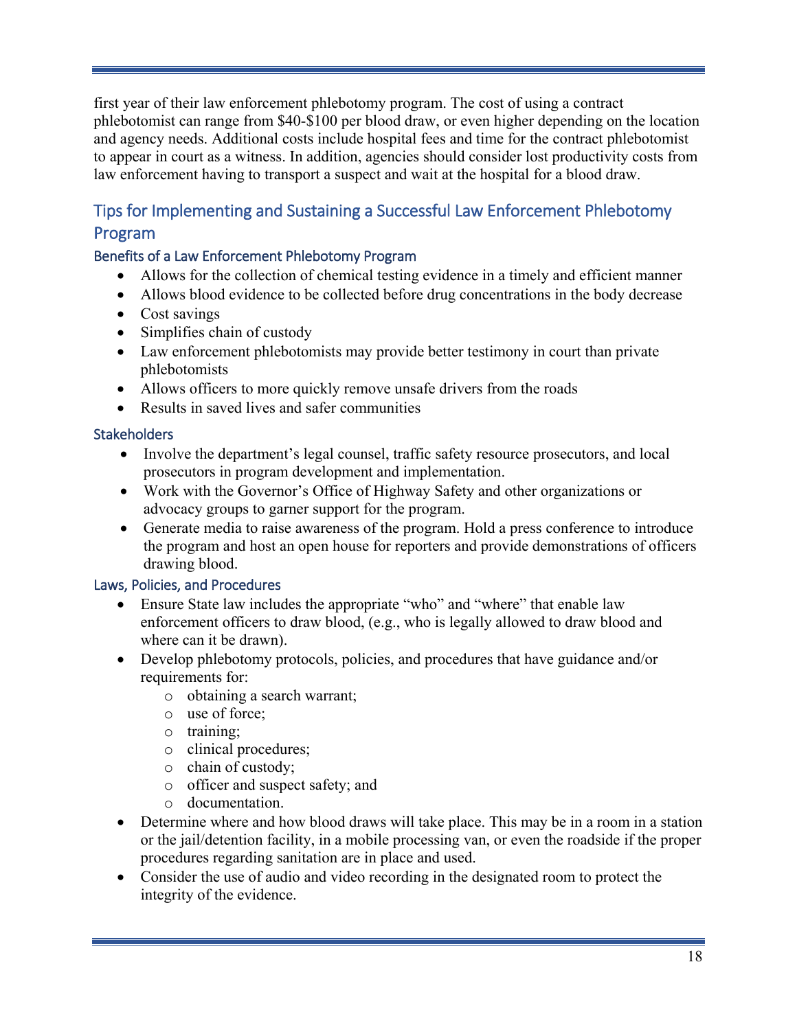first year of their law enforcement phlebotomy program. The cost of using a contract phlebotomist can range from \$40-\$100 per blood draw, or even higher depending on the location and agency needs. Additional costs include hospital fees and time for the contract phlebotomist to appear in court as a witness. In addition, agencies should consider lost productivity costs from law enforcement having to transport a suspect and wait at the hospital for a blood draw.

### <span id="page-21-0"></span>Tips for Implementing and Sustaining a Successful Law Enforcement Phlebotomy Program

### <span id="page-21-1"></span>Benefits of a Law Enforcement Phlebotomy Program

- Allows for the collection of chemical testing evidence in a timely and efficient manner
- Allows blood evidence to be collected before drug concentrations in the body decrease
- Cost savings
- Simplifies chain of custody
- Law enforcement phlebotomists may provide better testimony in court than private phlebotomists
- Allows officers to more quickly remove unsafe drivers from the roads
- Results in saved lives and safer communities

### <span id="page-21-2"></span>**Stakeholders**

- Involve the department's legal counsel, traffic safety resource prosecutors, and local prosecutors in program development and implementation.
- Work with the Governor's Office of Highway Safety and other organizations or advocacy groups to garner support for the program.
- Generate media to raise awareness of the program. Hold a press conference to introduce the program and host an open house for reporters and provide demonstrations of officers drawing blood.

### <span id="page-21-3"></span>Laws, Policies, and Procedures

- Ensure State law includes the appropriate "who" and "where" that enable law enforcement officers to draw blood, (e.g., who is legally allowed to draw blood and where can it be drawn).
- Develop phlebotomy protocols, policies, and procedures that have guidance and/or requirements for:
	- o obtaining a search warrant;
	- o use of force;
	- o training;
	- o clinical procedures;
	- o chain of custody;
	- o officer and suspect safety; and
	- o documentation.
- Determine where and how blood draws will take place. This may be in a room in a station or the jail/detention facility, in a mobile processing van, or even the roadside if the proper procedures regarding sanitation are in place and used.
- Consider the use of audio and video recording in the designated room to protect the integrity of the evidence.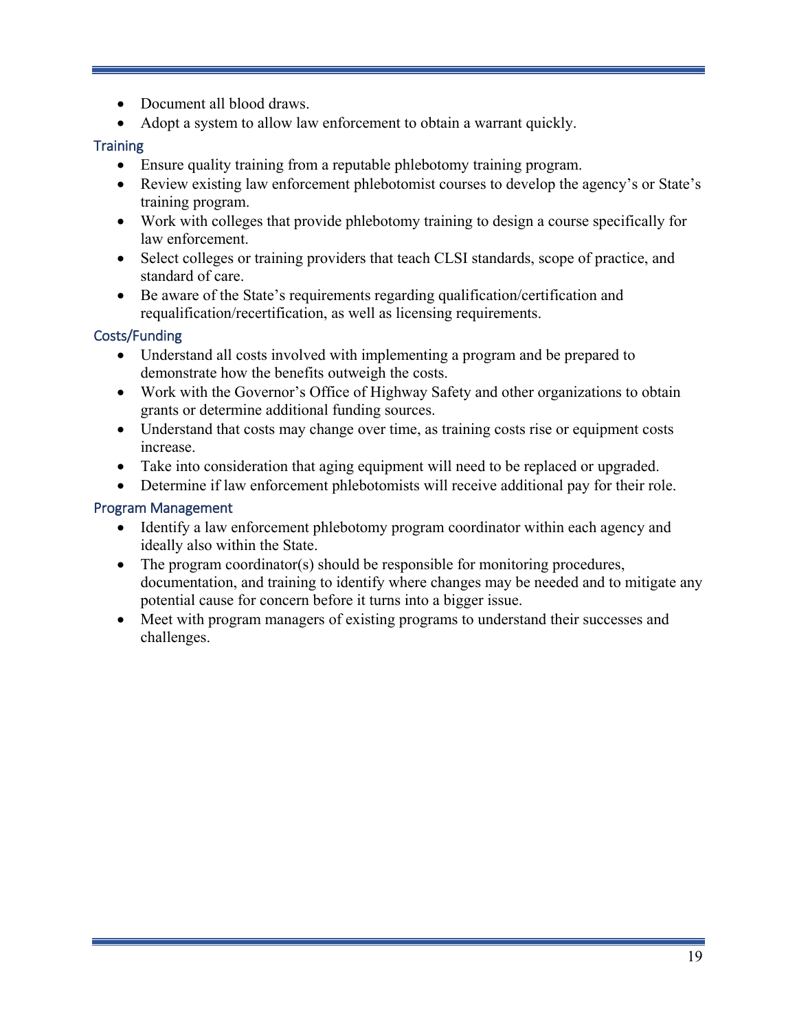- Document all blood draws.
- Adopt a system to allow law enforcement to obtain a warrant quickly.

### <span id="page-22-0"></span>**Training**

- Ensure quality training from a reputable phlebotomy training program.
- Review existing law enforcement phlebotomist courses to develop the agency's or State's training program.
- Work with colleges that provide phlebotomy training to design a course specifically for law enforcement.
- Select colleges or training providers that teach CLSI standards, scope of practice, and standard of care.
- Be aware of the State's requirements regarding qualification/certification and requalification/recertification, as well as licensing requirements.

### <span id="page-22-1"></span>Costs/Funding

- Understand all costs involved with implementing a program and be prepared to demonstrate how the benefits outweigh the costs.
- Work with the Governor's Office of Highway Safety and other organizations to obtain grants or determine additional funding sources.
- Understand that costs may change over time, as training costs rise or equipment costs increase.
- Take into consideration that aging equipment will need to be replaced or upgraded.
- Determine if law enforcement phlebotomists will receive additional pay for their role.

### <span id="page-22-2"></span>Program Management

- Identify a law enforcement phlebotomy program coordinator within each agency and ideally also within the State.
- The program coordinator(s) should be responsible for monitoring procedures, documentation, and training to identify where changes may be needed and to mitigate any potential cause for concern before it turns into a bigger issue.
- Meet with program managers of existing programs to understand their successes and challenges.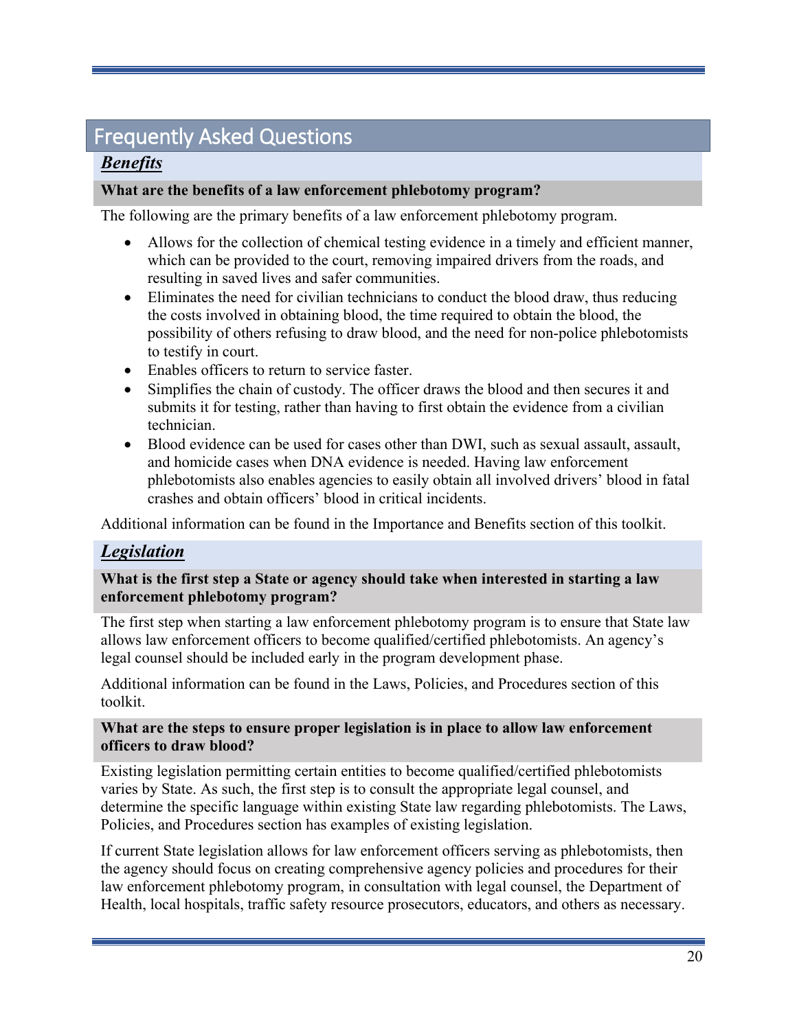# <span id="page-23-0"></span>Frequently Asked Questions

### *Benefits*

### **What are the benefits of a law enforcement phlebotomy program?**

The following are the primary benefits of a law enforcement phlebotomy program.

- Allows for the collection of chemical testing evidence in a timely and efficient manner, which can be provided to the court, removing impaired drivers from the roads, and resulting in saved lives and safer communities.
- Eliminates the need for civilian technicians to conduct the blood draw, thus reducing the costs involved in obtaining blood, the time required to obtain the blood, the possibility of others refusing to draw blood, and the need for non-police phlebotomists to testify in court.
- Enables officers to return to service faster.
- Simplifies the chain of custody. The officer draws the blood and then secures it and submits it for testing, rather than having to first obtain the evidence from a civilian technician.
- Blood evidence can be used for cases other than DWI, such as sexual assault, assault, and homicide cases when DNA evidence is needed. Having law enforcement phlebotomists also enables agencies to easily obtain all involved drivers' blood in fatal crashes and obtain officers' blood in critical incidents.

Additional information can be found in the Importance and Benefits section of this toolkit.

### *Legislation*

### **What is the first step a State or agency should take when interested in starting a law enforcement phlebotomy program?**

The first step when starting a law enforcement phlebotomy program is to ensure that State law allows law enforcement officers to become qualified/certified phlebotomists. An agency's legal counsel should be included early in the program development phase.

Additional information can be found in the Laws, Policies, and Procedures section of this toolkit.

### **What are the steps to ensure proper legislation is in place to allow law enforcement officers to draw blood?**

Existing legislation permitting certain entities to become qualified/certified phlebotomists varies by State. As such, the first step is to consult the appropriate legal counsel, and determine the specific language within existing State law regarding phlebotomists. The Laws, Policies, and Procedures section has examples of existing legislation.

If current State legislation allows for law enforcement officers serving as phlebotomists, then the agency should focus on creating comprehensive agency policies and procedures for their law enforcement phlebotomy program, in consultation with legal counsel, the Department of Health, local hospitals, traffic safety resource prosecutors, educators, and others as necessary.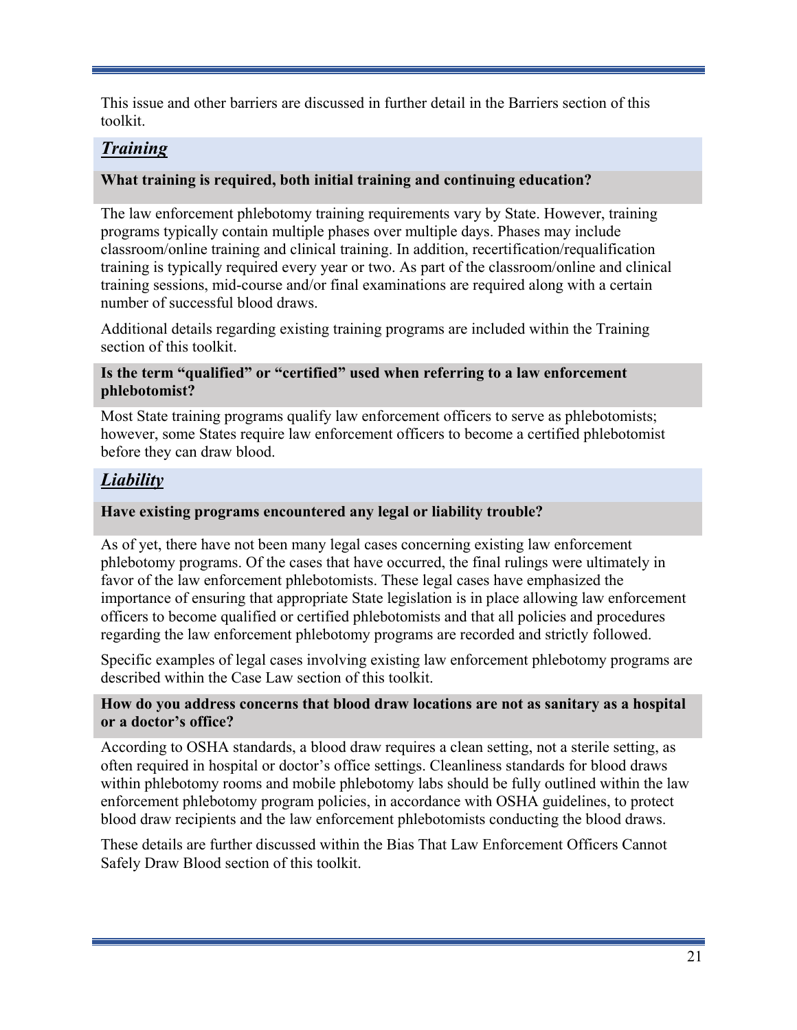This issue and other barriers are discussed in further detail in the Barriers section of this toolkit.

### *Training*

### **What training is required, both initial training and continuing education?**

The law enforcement phlebotomy training requirements vary by State. However, training programs typically contain multiple phases over multiple days. Phases may include classroom/online training and clinical training. In addition, recertification/requalification training is typically required every year or two. As part of the classroom/online and clinical training sessions, mid-course and/or final examinations are required along with a certain number of successful blood draws.

Additional details regarding existing training programs are included within the Training section of this toolkit.

### **Is the term "qualified" or "certified" used when referring to a law enforcement phlebotomist?**

Most State training programs qualify law enforcement officers to serve as phlebotomists; however, some States require law enforcement officers to become a certified phlebotomist before they can draw blood.

### *Liability*

### **Have existing programs encountered any legal or liability trouble?**

As of yet, there have not been many legal cases concerning existing law enforcement phlebotomy programs. Of the cases that have occurred, the final rulings were ultimately in favor of the law enforcement phlebotomists. These legal cases have emphasized the importance of ensuring that appropriate State legislation is in place allowing law enforcement officers to become qualified or certified phlebotomists and that all policies and procedures regarding the law enforcement phlebotomy programs are recorded and strictly followed.

Specific examples of legal cases involving existing law enforcement phlebotomy programs are described within the Case Law section of this toolkit.

#### **How do you address concerns that blood draw locations are not as sanitary as a hospital or a doctor's office?**

According to OSHA standards, a blood draw requires a clean setting, not a sterile setting, as often required in hospital or doctor's office settings. Cleanliness standards for blood draws within phlebotomy rooms and mobile phlebotomy labs should be fully outlined within the law enforcement phlebotomy program policies, in accordance with OSHA guidelines, to protect blood draw recipients and the law enforcement phlebotomists conducting the blood draws.

These details are further discussed within the Bias That Law Enforcement Officers Cannot Safely Draw Blood section of this toolkit.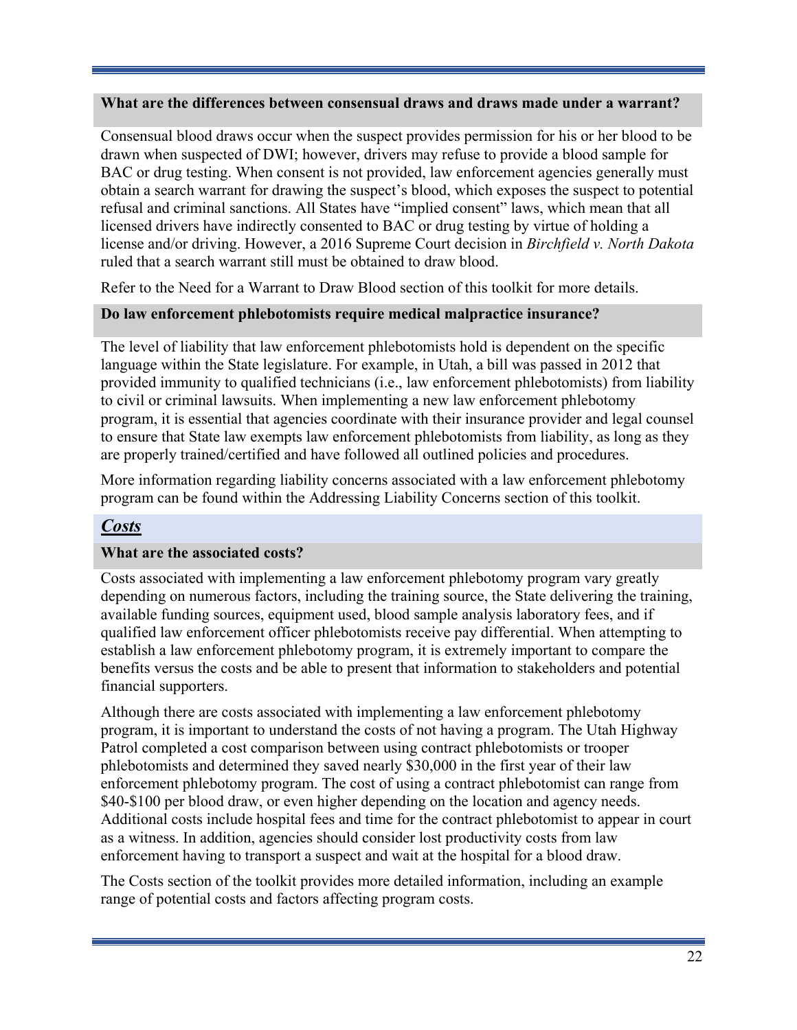#### **What are the differences between consensual draws and draws made under a warrant?**

Consensual blood draws occur when the suspect provides permission for his or her blood to be drawn when suspected of DWI; however, drivers may refuse to provide a blood sample for BAC or drug testing. When consent is not provided, law enforcement agencies generally must obtain a search warrant for drawing the suspect's blood, which exposes the suspect to potential refusal and criminal sanctions. All States have "implied consent" laws, which mean that all licensed drivers have indirectly consented to BAC or drug testing by virtue of holding a license and/or driving. However, a 2016 Supreme Court decision in *Birchfield v. North Dakota*  ruled that a search warrant still must be obtained to draw blood.

Refer to the Need for a Warrant to Draw Blood section of this toolkit for more details.

### **Do law enforcement phlebotomists require medical malpractice insurance?**

The level of liability that law enforcement phlebotomists hold is dependent on the specific language within the State legislature. For example, in Utah, a bill was passed in 2012 that provided immunity to qualified technicians (i.e., law enforcement phlebotomists) from liability to civil or criminal lawsuits. When implementing a new law enforcement phlebotomy program, it is essential that agencies coordinate with their insurance provider and legal counsel to ensure that State law exempts law enforcement phlebotomists from liability, as long as they are properly trained/certified and have followed all outlined policies and procedures.

More information regarding liability concerns associated with a law enforcement phlebotomy program can be found within the Addressing Liability Concerns section of this toolkit.

### *Costs*

### **What are the associated costs?**

Costs associated with implementing a law enforcement phlebotomy program vary greatly depending on numerous factors, including the training source, the State delivering the training, available funding sources, equipment used, blood sample analysis laboratory fees, and if qualified law enforcement officer phlebotomists receive pay differential. When attempting to establish a law enforcement phlebotomy program, it is extremely important to compare the benefits versus the costs and be able to present that information to stakeholders and potential financial supporters.

Although there are costs associated with implementing a law enforcement phlebotomy program, it is important to understand the costs of not having a program. The Utah Highway Patrol completed a cost comparison between using contract phlebotomists or trooper phlebotomists and determined they saved nearly \$30,000 in the first year of their law enforcement phlebotomy program. The cost of using a contract phlebotomist can range from \$40-\$100 per blood draw, or even higher depending on the location and agency needs. Additional costs include hospital fees and time for the contract phlebotomist to appear in court as a witness. In addition, agencies should consider lost productivity costs from law enforcement having to transport a suspect and wait at the hospital for a blood draw.

The Costs section of the toolkit provides more detailed information, including an example range of potential costs and factors affecting program costs.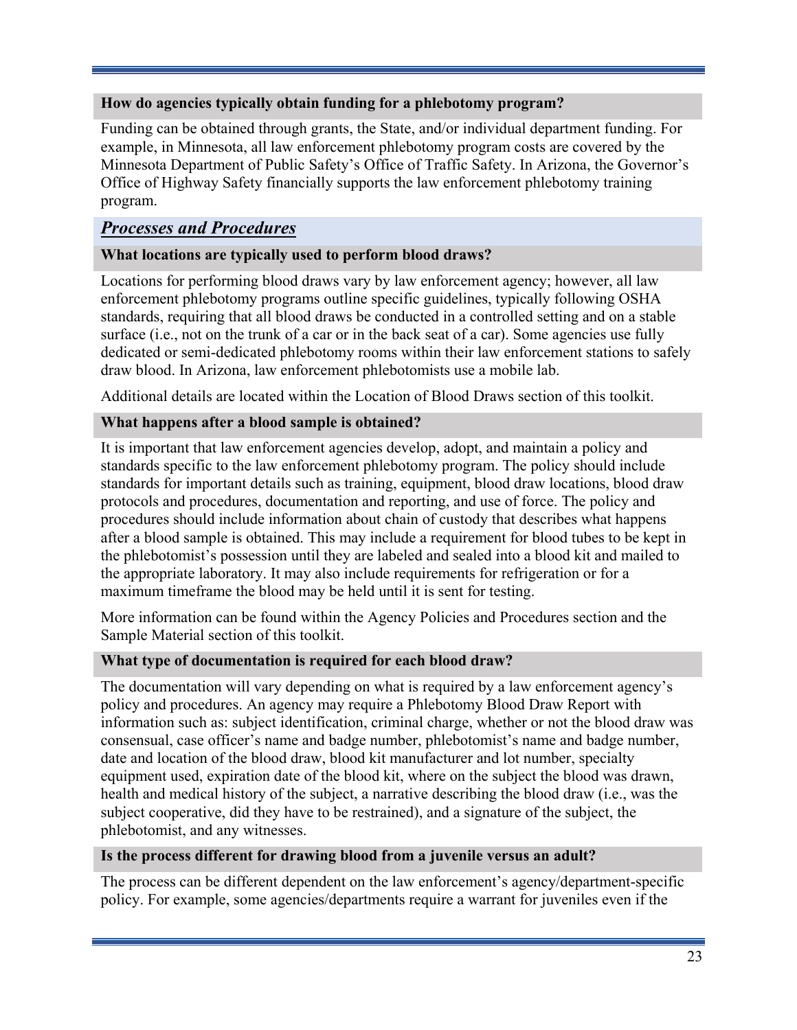### **How do agencies typically obtain funding for a phlebotomy program?**

Funding can be obtained through grants, the State, and/or individual department funding. For example, in Minnesota, all law enforcement phlebotomy program costs are covered by the Minnesota Department of Public Safety's Office of Traffic Safety. In Arizona, the Governor's Office of Highway Safety financially supports the law enforcement phlebotomy training program.

### *Processes and Procedures*

### **What locations are typically used to perform blood draws?**

Locations for performing blood draws vary by law enforcement agency; however, all law enforcement phlebotomy programs outline specific guidelines, typically following OSHA standards, requiring that all blood draws be conducted in a controlled setting and on a stable surface (i.e., not on the trunk of a car or in the back seat of a car). Some agencies use fully dedicated or semi-dedicated phlebotomy rooms within their law enforcement stations to safely draw blood. In Arizona, law enforcement phlebotomists use a mobile lab.

Additional details are located within the Location of Blood Draws section of this toolkit.

### **What happens after a blood sample is obtained?**

It is important that law enforcement agencies develop, adopt, and maintain a policy and standards specific to the law enforcement phlebotomy program. The policy should include standards for important details such as training, equipment, blood draw locations, blood draw protocols and procedures, documentation and reporting, and use of force. The policy and procedures should include information about chain of custody that describes what happens after a blood sample is obtained. This may include a requirement for blood tubes to be kept in the phlebotomist's possession until they are labeled and sealed into a blood kit and mailed to the appropriate laboratory. It may also include requirements for refrigeration or for a maximum timeframe the blood may be held until it is sent for testing.

More information can be found within the Agency Policies and Procedures section and the Sample Material section of this toolkit.

### **What type of documentation is required for each blood draw?**

The documentation will vary depending on what is required by a law enforcement agency's policy and procedures. An agency may require a Phlebotomy Blood Draw Report with information such as: subject identification, criminal charge, whether or not the blood draw was consensual, case officer's name and badge number, phlebotomist's name and badge number, date and location of the blood draw, blood kit manufacturer and lot number, specialty equipment used, expiration date of the blood kit, where on the subject the blood was drawn, health and medical history of the subject, a narrative describing the blood draw (i.e., was the subject cooperative, did they have to be restrained), and a signature of the subject, the phlebotomist, and any witnesses.

### **Is the process different for drawing blood from a juvenile versus an adult?**

The process can be different dependent on the law enforcement's agency/department-specific policy. For example, some agencies/departments require a warrant for juveniles even if the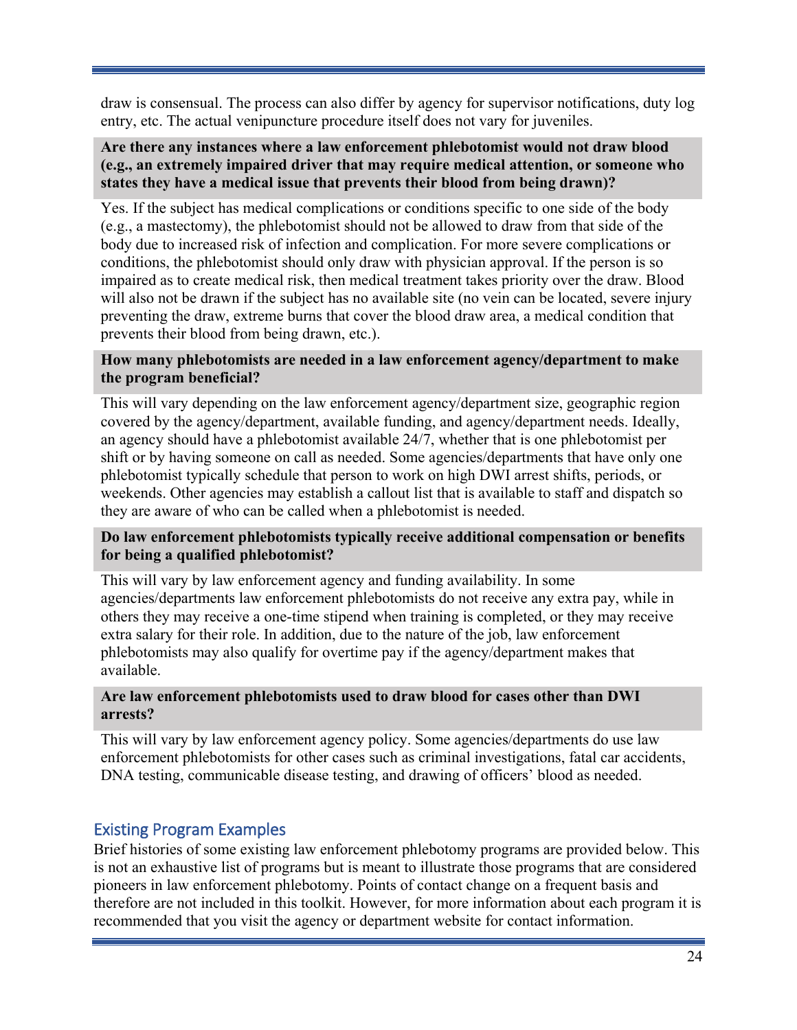draw is consensual. The process can also differ by agency for supervisor notifications, duty log entry, etc. The actual venipuncture procedure itself does not vary for juveniles.

#### **Are there any instances where a law enforcement phlebotomist would not draw blood (e.g., an extremely impaired driver that may require medical attention, or someone who states they have a medical issue that prevents their blood from being drawn)?**

Yes. If the subject has medical complications or conditions specific to one side of the body (e.g., a mastectomy), the phlebotomist should not be allowed to draw from that side of the body due to increased risk of infection and complication. For more severe complications or conditions, the phlebotomist should only draw with physician approval. If the person is so impaired as to create medical risk, then medical treatment takes priority over the draw. Blood will also not be drawn if the subject has no available site (no vein can be located, severe injury preventing the draw, extreme burns that cover the blood draw area, a medical condition that prevents their blood from being drawn, etc.).

### **How many phlebotomists are needed in a law enforcement agency/department to make the program beneficial?**

This will vary depending on the law enforcement agency/department size, geographic region covered by the agency/department, available funding, and agency/department needs. Ideally, an agency should have a phlebotomist available 24/7, whether that is one phlebotomist per shift or by having someone on call as needed. Some agencies/departments that have only one phlebotomist typically schedule that person to work on high DWI arrest shifts, periods, or weekends. Other agencies may establish a callout list that is available to staff and dispatch so they are aware of who can be called when a phlebotomist is needed.

#### **Do law enforcement phlebotomists typically receive additional compensation or benefits for being a qualified phlebotomist?**

This will vary by law enforcement agency and funding availability. In some agencies/departments law enforcement phlebotomists do not receive any extra pay, while in others they may receive a one-time stipend when training is completed, or they may receive extra salary for their role. In addition, due to the nature of the job, law enforcement phlebotomists may also qualify for overtime pay if the agency/department makes that available.

#### **Are law enforcement phlebotomists used to draw blood for cases other than DWI arrests?**

This will vary by law enforcement agency policy. Some agencies/departments do use law enforcement phlebotomists for other cases such as criminal investigations, fatal car accidents, DNA testing, communicable disease testing, and drawing of officers' blood as needed.

### <span id="page-27-0"></span>Existing Program Examples

Brief histories of some existing law enforcement phlebotomy programs are provided below. This is not an exhaustive list of programs but is meant to illustrate those programs that are considered pioneers in law enforcement phlebotomy. Points of contact change on a frequent basis and therefore are not included in this toolkit. However, for more information about each program it is recommended that you visit the agency or department website for contact information.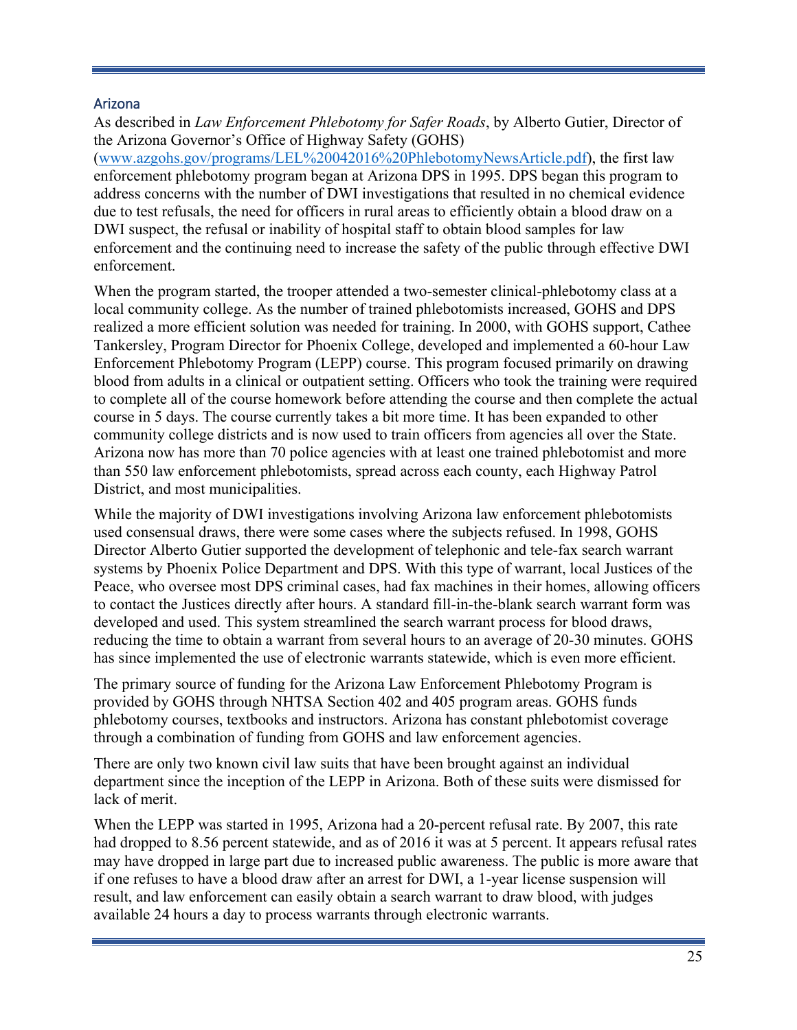### <span id="page-28-0"></span>Arizona

As described in *Law Enforcement Phlebotomy for Safer Roads*, by Alberto Gutier, Director of the Arizona Governor's Office of Highway Safety (GOHS)

[\(www.azgohs.gov/programs/LEL%20042016%20PhlebotomyNewsArticle.pdf\)](file://dothqewfs101/VDI_User_Profiles/maryf.jones/Documents/Documents/Job%2014222/www.azgohs.gov/programs/LEL%20042016%20PhlebotomyNewsArticle.pdf), the first law enforcement phlebotomy program began at Arizona DPS in 1995. DPS began this program to address concerns with the number of DWI investigations that resulted in no chemical evidence due to test refusals, the need for officers in rural areas to efficiently obtain a blood draw on a DWI suspect, the refusal or inability of hospital staff to obtain blood samples for law enforcement and the continuing need to increase the safety of the public through effective DWI enforcement.

When the program started, the trooper attended a two-semester clinical-phlebotomy class at a local community college. As the number of trained phlebotomists increased, GOHS and DPS realized a more efficient solution was needed for training. In 2000, with GOHS support, Cathee Tankersley, Program Director for Phoenix College, developed and implemented a 60-hour Law Enforcement Phlebotomy Program (LEPP) course. This program focused primarily on drawing blood from adults in a clinical or outpatient setting. Officers who took the training were required to complete all of the course homework before attending the course and then complete the actual course in 5 days. The course currently takes a bit more time. It has been expanded to other community college districts and is now used to train officers from agencies all over the State. Arizona now has more than 70 police agencies with at least one trained phlebotomist and more than 550 law enforcement phlebotomists, spread across each county, each Highway Patrol District, and most municipalities.

While the majority of DWI investigations involving Arizona law enforcement phlebotomists used consensual draws, there were some cases where the subjects refused. In 1998, GOHS Director Alberto Gutier supported the development of telephonic and tele-fax search warrant systems by Phoenix Police Department and DPS. With this type of warrant, local Justices of the Peace, who oversee most DPS criminal cases, had fax machines in their homes, allowing officers to contact the Justices directly after hours. A standard fill-in-the-blank search warrant form was developed and used. This system streamlined the search warrant process for blood draws, reducing the time to obtain a warrant from several hours to an average of 20-30 minutes. GOHS has since implemented the use of electronic warrants statewide, which is even more efficient.

The primary source of funding for the Arizona Law Enforcement Phlebotomy Program is provided by GOHS through NHTSA Section 402 and 405 program areas. GOHS funds phlebotomy courses, textbooks and instructors. Arizona has constant phlebotomist coverage through a combination of funding from GOHS and law enforcement agencies.

There are only two known civil law suits that have been brought against an individual department since the inception of the LEPP in Arizona. Both of these suits were dismissed for lack of merit.

When the LEPP was started in 1995, Arizona had a 20-percent refusal rate. By 2007, this rate had dropped to 8.56 percent statewide, and as of 2016 it was at 5 percent. It appears refusal rates may have dropped in large part due to increased public awareness. The public is more aware that if one refuses to have a blood draw after an arrest for DWI, a 1-year license suspension will result, and law enforcement can easily obtain a search warrant to draw blood, with judges available 24 hours a day to process warrants through electronic warrants.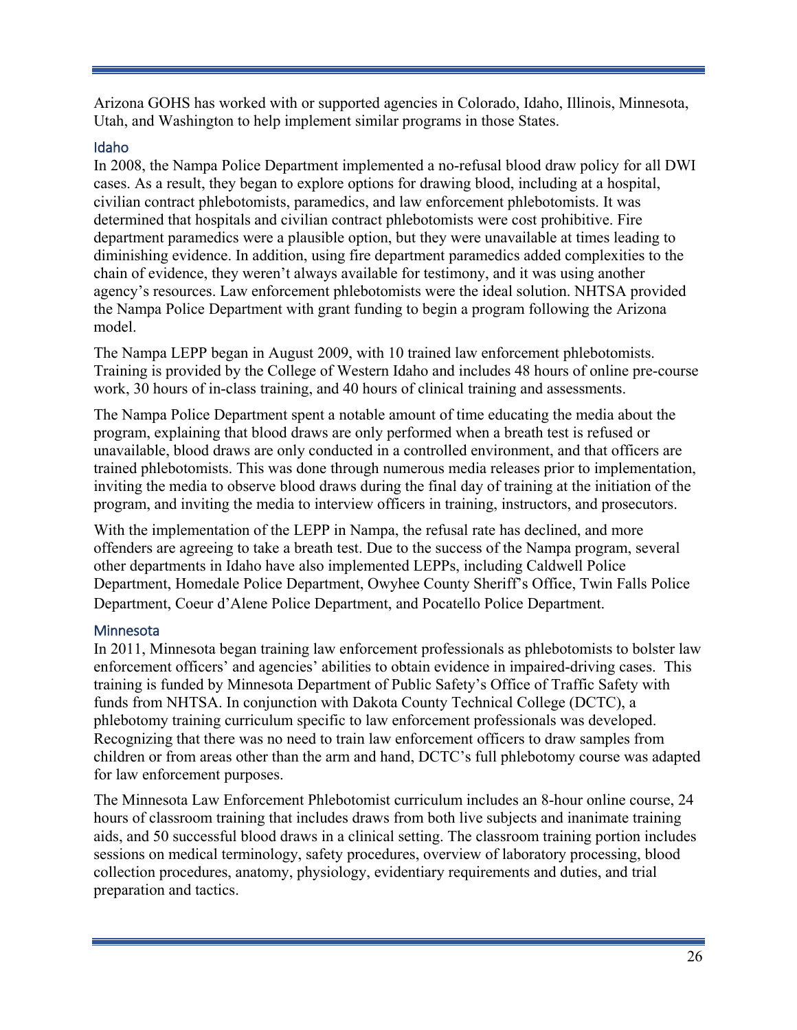Arizona GOHS has worked with or supported agencies in Colorado, Idaho, Illinois, Minnesota, Utah, and Washington to help implement similar programs in those States.

### <span id="page-29-0"></span>Idaho

In 2008, the Nampa Police Department implemented a no-refusal blood draw policy for all DWI cases. As a result, they began to explore options for drawing blood, including at a hospital, civilian contract phlebotomists, paramedics, and law enforcement phlebotomists. It was determined that hospitals and civilian contract phlebotomists were cost prohibitive. Fire department paramedics were a plausible option, but they were unavailable at times leading to diminishing evidence. In addition, using fire department paramedics added complexities to the chain of evidence, they weren't always available for testimony, and it was using another agency's resources. Law enforcement phlebotomists were the ideal solution. NHTSA provided the Nampa Police Department with grant funding to begin a program following the Arizona model.

The Nampa LEPP began in August 2009, with 10 trained law enforcement phlebotomists. Training is provided by the College of Western Idaho and includes 48 hours of online pre-course work, 30 hours of in-class training, and 40 hours of clinical training and assessments.

The Nampa Police Department spent a notable amount of time educating the media about the program, explaining that blood draws are only performed when a breath test is refused or unavailable, blood draws are only conducted in a controlled environment, and that officers are trained phlebotomists. This was done through numerous media releases prior to implementation, inviting the media to observe blood draws during the final day of training at the initiation of the program, and inviting the media to interview officers in training, instructors, and prosecutors.

With the implementation of the LEPP in Nampa, the refusal rate has declined, and more offenders are agreeing to take a breath test. Due to the success of the Nampa program, several other departments in Idaho have also implemented LEPPs, including Caldwell Police Department, Homedale Police Department, Owyhee County Sheriff's Office, Twin Falls Police Department, Coeur d'Alene Police Department, and Pocatello Police Department.

### <span id="page-29-1"></span>**Minnesota**

In 2011, Minnesota began training law enforcement professionals as phlebotomists to bolster law enforcement officers' and agencies' abilities to obtain evidence in impaired-driving cases. This training is funded by Minnesota Department of Public Safety's Office of Traffic Safety with funds from NHTSA. In conjunction with Dakota County Technical College (DCTC), a phlebotomy training curriculum specific to law enforcement professionals was developed. Recognizing that there was no need to train law enforcement officers to draw samples from children or from areas other than the arm and hand, DCTC's full phlebotomy course was adapted for law enforcement purposes.

The Minnesota Law Enforcement Phlebotomist curriculum includes an 8-hour online course, 24 hours of classroom training that includes draws from both live subjects and inanimate training aids, and 50 successful blood draws in a clinical setting. The classroom training portion includes sessions on medical terminology, safety procedures, overview of laboratory processing, blood collection procedures, anatomy, physiology, evidentiary requirements and duties, and trial preparation and tactics.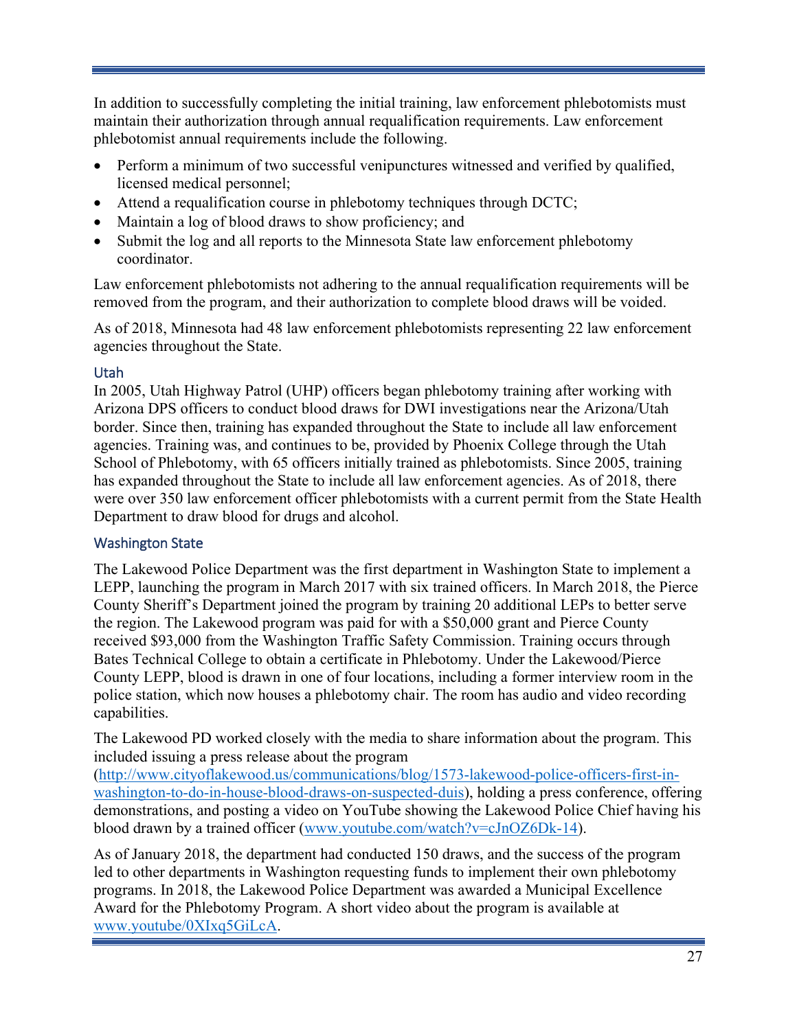In addition to successfully completing the initial training, law enforcement phlebotomists must maintain their authorization through annual requalification requirements. Law enforcement phlebotomist annual requirements include the following.

- Perform a minimum of two successful venipunctures witnessed and verified by qualified, licensed medical personnel;
- Attend a requalification course in phlebotomy techniques through DCTC;
- Maintain a log of blood draws to show proficiency; and
- Submit the log and all reports to the Minnesota State law enforcement phlebotomy coordinator.

Law enforcement phlebotomists not adhering to the annual requalification requirements will be removed from the program, and their authorization to complete blood draws will be voided.

As of 2018, Minnesota had 48 law enforcement phlebotomists representing 22 law enforcement agencies throughout the State.

### <span id="page-30-0"></span>Utah

In 2005, Utah Highway Patrol (UHP) officers began phlebotomy training after working with Arizona DPS officers to conduct blood draws for DWI investigations near the Arizona/Utah border. Since then, training has expanded throughout the State to include all law enforcement agencies. Training was, and continues to be, provided by Phoenix College through the Utah School of Phlebotomy, with 65 officers initially trained as phlebotomists. Since 2005, training has expanded throughout the State to include all law enforcement agencies. As of 2018, there were over 350 law enforcement officer phlebotomists with a current permit from the State Health Department to draw blood for drugs and alcohol.

### <span id="page-30-1"></span>Washington State

The Lakewood Police Department was the first department in Washington State to implement a LEPP, launching the program in March 2017 with six trained officers. In March 2018, the Pierce County Sheriff's Department joined the program by training 20 additional LEPs to better serve the region. The Lakewood program was paid for with a \$50,000 grant and Pierce County received \$93,000 from the Washington Traffic Safety Commission. Training occurs through Bates Technical College to obtain a certificate in Phlebotomy. Under the Lakewood/Pierce County LEPP, blood is drawn in one of four locations, including a former interview room in the police station, which now houses a phlebotomy chair. The room has audio and video recording capabilities.

The Lakewood PD worked closely with the media to share information about the program. This included issuing a press release about the program

[\(http://www.cityoflakewood.us/communications/blog/1573-lakewood-police-officers-first-in](http://www.cityoflakewood.us/communications/blog/1573-lakewood-police-officers-first-in-washington-to-do-in-house-blood-draws-on-suspected-duis)[washington-to-do-in-house-blood-draws-on-suspected-duis\)](http://www.cityoflakewood.us/communications/blog/1573-lakewood-police-officers-first-in-washington-to-do-in-house-blood-draws-on-suspected-duis), holding a press conference, offering demonstrations, and posting a video on YouTube showing the Lakewood Police Chief having his blood drawn by a trained officer (www.youtube.com/watch?v=cJnOZ6Dk-14).

As of January 2018, the department had conducted 150 draws, and the success of the program led to other departments in Washington requesting funds to implement their own phlebotomy programs. In 2018, the Lakewood Police Department was awarded a Municipal Excellence Award for the Phlebotomy Program. A short video about the program is available at [www.youtube/0XIxq5GiLcA.](https://www.youtube/0XIxq5GiLcA)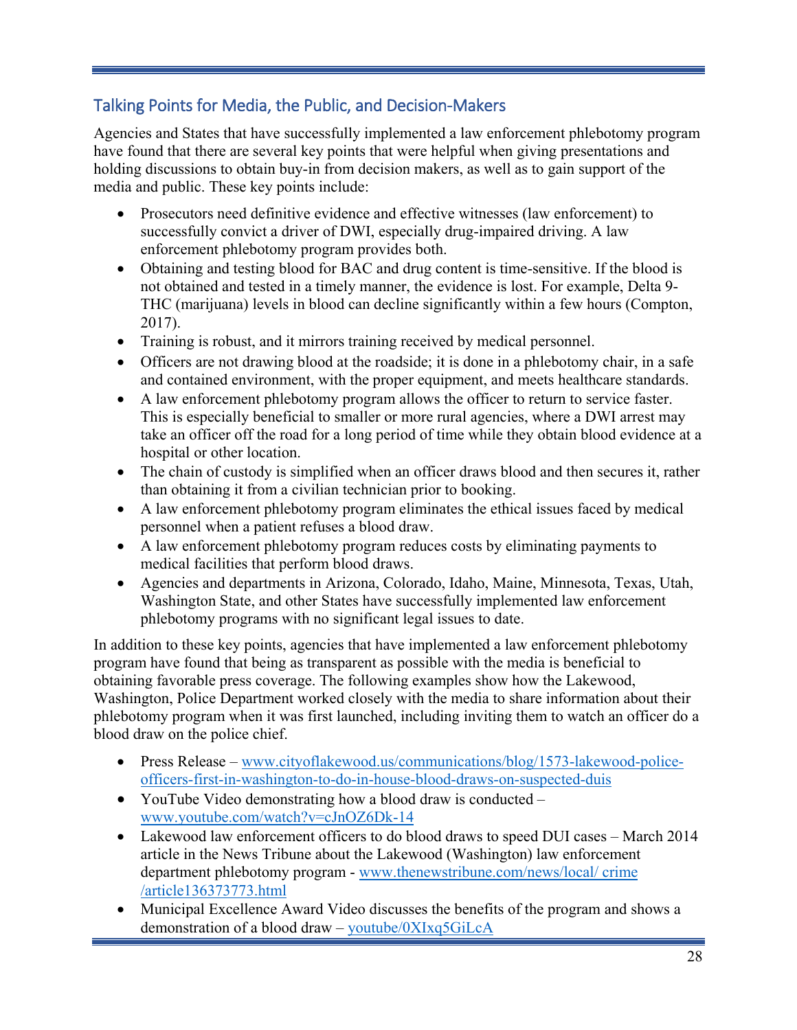### <span id="page-31-0"></span>Talking Points for Media, the Public, and Decision-Makers

Agencies and States that have successfully implemented a law enforcement phlebotomy program have found that there are several key points that were helpful when giving presentations and holding discussions to obtain buy-in from decision makers, as well as to gain support of the media and public. These key points include:

- Prosecutors need definitive evidence and effective witnesses (law enforcement) to successfully convict a driver of DWI, especially drug-impaired driving. A law enforcement phlebotomy program provides both.
- Obtaining and testing blood for BAC and drug content is time-sensitive. If the blood is not obtained and tested in a timely manner, the evidence is lost. For example, Delta 9- THC (marijuana) levels in blood can decline significantly within a few hours (Compton, 2017).
- Training is robust, and it mirrors training received by medical personnel.
- Officers are not drawing blood at the roadside; it is done in a phlebotomy chair, in a safe and contained environment, with the proper equipment, and meets healthcare standards.
- A law enforcement phlebotomy program allows the officer to return to service faster. This is especially beneficial to smaller or more rural agencies, where a DWI arrest may take an officer off the road for a long period of time while they obtain blood evidence at a hospital or other location.
- The chain of custody is simplified when an officer draws blood and then secures it, rather than obtaining it from a civilian technician prior to booking.
- A law enforcement phlebotomy program eliminates the ethical issues faced by medical personnel when a patient refuses a blood draw.
- A law enforcement phlebotomy program reduces costs by eliminating payments to medical facilities that perform blood draws.
- Agencies and departments in Arizona, Colorado, Idaho, Maine, Minnesota, Texas, Utah, Washington State, and other States have successfully implemented law enforcement phlebotomy programs with no significant legal issues to date.

In addition to these key points, agencies that have implemented a law enforcement phlebotomy program have found that being as transparent as possible with the media is beneficial to obtaining favorable press coverage. The following examples show how the Lakewood, Washington, Police Department worked closely with the media to share information about their phlebotomy program when it was first launched, including inviting them to watch an officer do a blood draw on the police chief.

- Press Release [www.cityoflakewood.us/communications/blog/1573-lakewood-police](https://www.cityoflakewood.us/communications/blog/1573-lakewood-police-officers-first-in-washington-to-do-in-house-blood-draws-on-suspected-duis)[officers-first-in-washington-to-do-in-house-blood-draws-on-suspected-duis](https://www.cityoflakewood.us/communications/blog/1573-lakewood-police-officers-first-in-washington-to-do-in-house-blood-draws-on-suspected-duis)
- YouTube Video demonstrating how a blood draw is conducted [www.youtube.com/watch?v=cJnOZ6Dk-14](https://www.youtube.com/watch?v=cJnOZ6Dk-14)
- Lakewood law enforcement officers to do blood draws to speed DUI cases March 2014 article in the News Tribune about the Lakewood (Washington) law enforcement department phlebotomy program - [www.thenewstribune.com/news/local/ crime](http://www.thenewstribune.com/news/local/%20crime%20/article136373773.html)  [/article136373773.html](http://www.thenewstribune.com/news/local/%20crime%20/article136373773.html)
- Municipal Excellence Award Video discusses the benefits of the program and shows a demonstration of a blood draw – [youtube/0XIxq5GiLcA](https://youtube/0XIxq5GiLcA)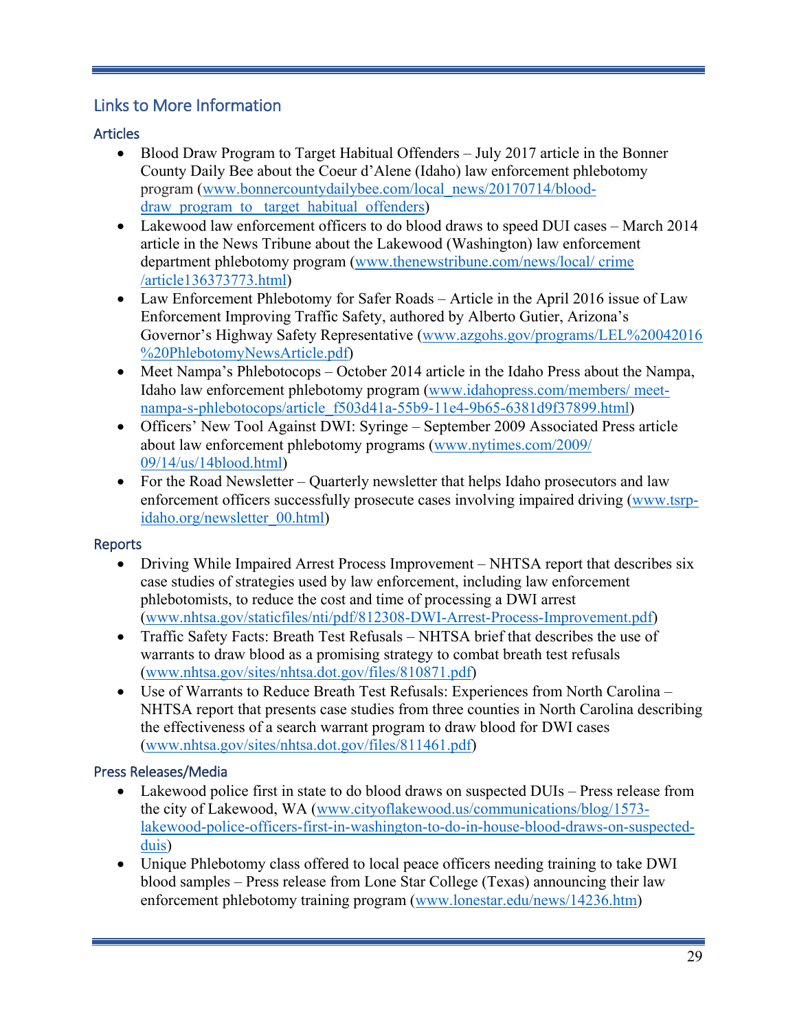### <span id="page-32-0"></span>Links to More Information

### <span id="page-32-1"></span>**Articles**

- Blood Draw Program to Target Habitual Offenders July 2017 article in the Bonner County Daily Bee about the Coeur d'Alene (Idaho) law enforcement phlebotomy program [\(www.bonnercountydailybee.com/local\\_news/20170714/blood](https://www.bonnercountydailybee.com/local_news/20170714/blood-draw_program_to_%20target_habitual_offenders)draw program to target habitual offenders)
- Lakewood law enforcement officers to do blood draws to speed DUI cases March 2014 article in the News Tribune about the Lakewood (Washington) law enforcement department phlebotomy program [\(www.thenewstribune.com/news/local/ crime](file://dothqewfs101/VDI_User_Profiles/maryf.jones/Documents/Documents/Job%2014222/www.thenewstribune.com/news/local/%20crime%20/article136373773.html)  [/article136373773.html\)](file://dothqewfs101/VDI_User_Profiles/maryf.jones/Documents/Documents/Job%2014222/www.thenewstribune.com/news/local/%20crime%20/article136373773.html)
- Law Enforcement Phlebotomy for Safer Roads Article in the April 2016 issue of Law Enforcement Improving Traffic Safety, authored by Alberto Gutier, Arizona's Governor's Highway Safety Representative [\(www.azgohs.gov/programs/LEL%20042016](file://dothqewfs101/VDI_User_Profiles/maryf.jones/Documents/Documents/Job%2014222/www.azgohs.gov/programs/LEL%20042016%20%20PhlebotomyNewsArticle.pdf)  [%20PhlebotomyNewsArticle.pdf\)](file://dothqewfs101/VDI_User_Profiles/maryf.jones/Documents/Documents/Job%2014222/www.azgohs.gov/programs/LEL%20042016%20%20PhlebotomyNewsArticle.pdf)
- Meet Nampa's Phlebotocops October 2014 article in the Idaho Press about the Nampa, Idaho law enforcement phlebotomy program [\(www.idahopress.com/members/ meet](file://dothqewfs101/VDI_User_Profiles/maryf.jones/Documents/Documents/Job%2014222/www.idahopress.com/members/%20meet-nampa-s-phlebotocops/article_f503d41a-55b9-11e4-9b65-6381d9f37899.html)[nampa-s-phlebotocops/article\\_f503d41a-55b9-11e4-9b65-6381d9f37899.html\)](file://dothqewfs101/VDI_User_Profiles/maryf.jones/Documents/Documents/Job%2014222/www.idahopress.com/members/%20meet-nampa-s-phlebotocops/article_f503d41a-55b9-11e4-9b65-6381d9f37899.html)
- Officers' New Tool Against DWI: Syringe September 2009 Associated Press article about law enforcement phlebotomy programs [\(www.nytimes.com/2009/](file://dothqewfs101/VDI_User_Profiles/maryf.jones/Documents/Documents/Job%2014222/www.nytimes.com/2009/%2009/14/us/14blood.html)  [09/14/us/14blood.html\)](file://dothqewfs101/VDI_User_Profiles/maryf.jones/Documents/Documents/Job%2014222/www.nytimes.com/2009/%2009/14/us/14blood.html)
- For the Road Newsletter Quarterly newsletter that helps Idaho prosecutors and law enforcement officers successfully prosecute cases involving impaired driving [\(www.tsrp](file://dothqewfs101/VDI_User_Profiles/maryf.jones/Documents/Documents/Job%2014222/www.tsrp-idaho.org/newsletter_00.html)[idaho.org/newsletter\\_00.html\)](file://dothqewfs101/VDI_User_Profiles/maryf.jones/Documents/Documents/Job%2014222/www.tsrp-idaho.org/newsletter_00.html)

### <span id="page-32-2"></span>**Reports**

- Driving While Impaired Arrest Process Improvement NHTSA report that describes six case studies of strategies used by law enforcement, including law enforcement phlebotomists, to reduce the cost and time of processing a DWI arrest [\(www.nhtsa.gov/staticfiles/nti/pdf/812308-DWI-Arrest-Process-Improvement.pdf\)](file://dothqewfs101/VDI_User_Profiles/maryf.jones/Documents/Documents/Job%2014222/www.nhtsa.gov/staticfiles/nti/pdf/812308-DWI-Arrest-Process-Improvement.pdf)
- Traffic Safety Facts: Breath Test Refusals NHTSA brief that describes the use of warrants to draw blood as a promising strategy to combat breath test refusals [\(www.nhtsa.gov/sites/nhtsa.dot.gov/files/810871.pdf\)](file://dothqewfs101/VDI_User_Profiles/maryf.jones/Documents/Documents/Job%2014222/www.nhtsa.gov/sites/nhtsa.dot.gov/files/810871.pdf)
- Use of Warrants to Reduce Breath Test Refusals: Experiences from North Carolina NHTSA report that presents case studies from three counties in North Carolina describing the effectiveness of a search warrant program to draw blood for DWI cases [\(www.nhtsa.gov/sites/nhtsa.dot.gov/files/811461.pdf\)](file://dothqewfs101/VDI_User_Profiles/maryf.jones/Documents/Documents/Job%2014222/www.nhtsa.gov/sites/nhtsa.dot.gov/files/811461.pdf)

### <span id="page-32-3"></span>Press Releases/Media

- Lakewood police first in state to do blood draws on suspected DUIs Press release from the city of Lakewood, WA [\(www.cityoflakewood.us/communications/blog/1573](file://dothqewfs101/VDI_User_Profiles/maryf.jones/Documents/Documents/Job%2014222/www.cityoflakewood.us/communications/blog/1573-lakewood-police-officers-first-in-washington-to-do-in-house-blood-draws-on-suspected-duis) [lakewood-police-officers-first-in-washington-to-do-in-house-blood-draws-on-suspected](file://dothqewfs101/VDI_User_Profiles/maryf.jones/Documents/Documents/Job%2014222/www.cityoflakewood.us/communications/blog/1573-lakewood-police-officers-first-in-washington-to-do-in-house-blood-draws-on-suspected-duis)[duis\)](file://dothqewfs101/VDI_User_Profiles/maryf.jones/Documents/Documents/Job%2014222/www.cityoflakewood.us/communications/blog/1573-lakewood-police-officers-first-in-washington-to-do-in-house-blood-draws-on-suspected-duis)
- Unique Phlebotomy class offered to local peace officers needing training to take DWI blood samples – Press release from Lone Star College (Texas) announcing their law enforcement phlebotomy training program [\(www.lonestar.edu/news/14236.htm\)](file://dothqewfs101/VDI_User_Profiles/maryf.jones/Documents/Documents/Job%2014222/www.lonestar.edu/news/14236.htm)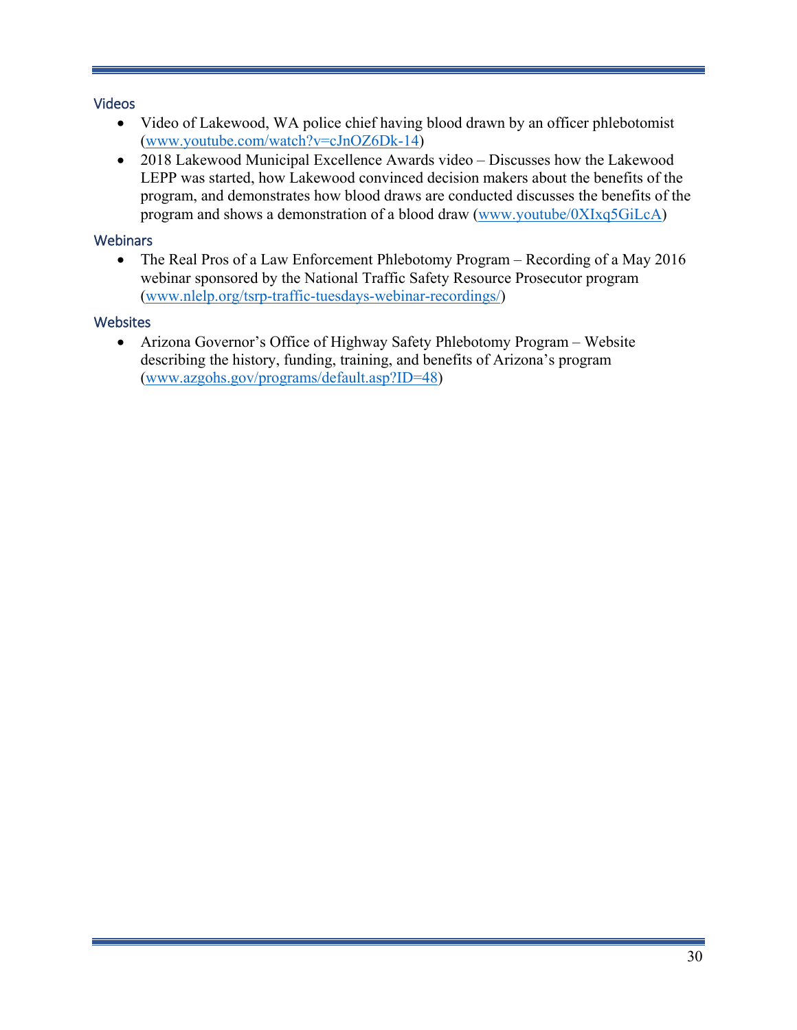### <span id="page-33-0"></span>Videos

- Video of Lakewood, WA police chief having blood drawn by an officer phlebotomist [\(www.youtube.com/watch?v=cJnOZ6Dk-14\)](https://www.youtube.com/watch?v=cJnOZ6Dk-14)
- 2018 Lakewood Municipal Excellence Awards video Discusses how the Lakewood LEPP was started, how Lakewood convinced decision makers about the benefits of the program, and demonstrates how blood draws are conducted discusses the benefits of the program and shows a demonstration of a blood draw [\(www.youtube/0XIxq5GiLcA\)](https://www.youtube/0XIxq5GiLcA)

### <span id="page-33-1"></span>**Webinars**

• The Real Pros of a Law Enforcement Phlebotomy Program – Recording of a May 2016 webinar sponsored by the National Traffic Safety Resource Prosecutor program [\(www.nlelp.org/tsrp-traffic-tuesdays-webinar-recordings/\)](https://www.nlelp.org/tsrp-traffic-tuesdays-webinar-recordings/)

### <span id="page-33-2"></span>**Websites**

• Arizona Governor's Office of Highway Safety Phlebotomy Program – Website describing the history, funding, training, and benefits of Arizona's program [\(www.azgohs.gov/programs/default.asp?ID=48\)](https://www.azgohs.gov/programs/default.asp?ID=48)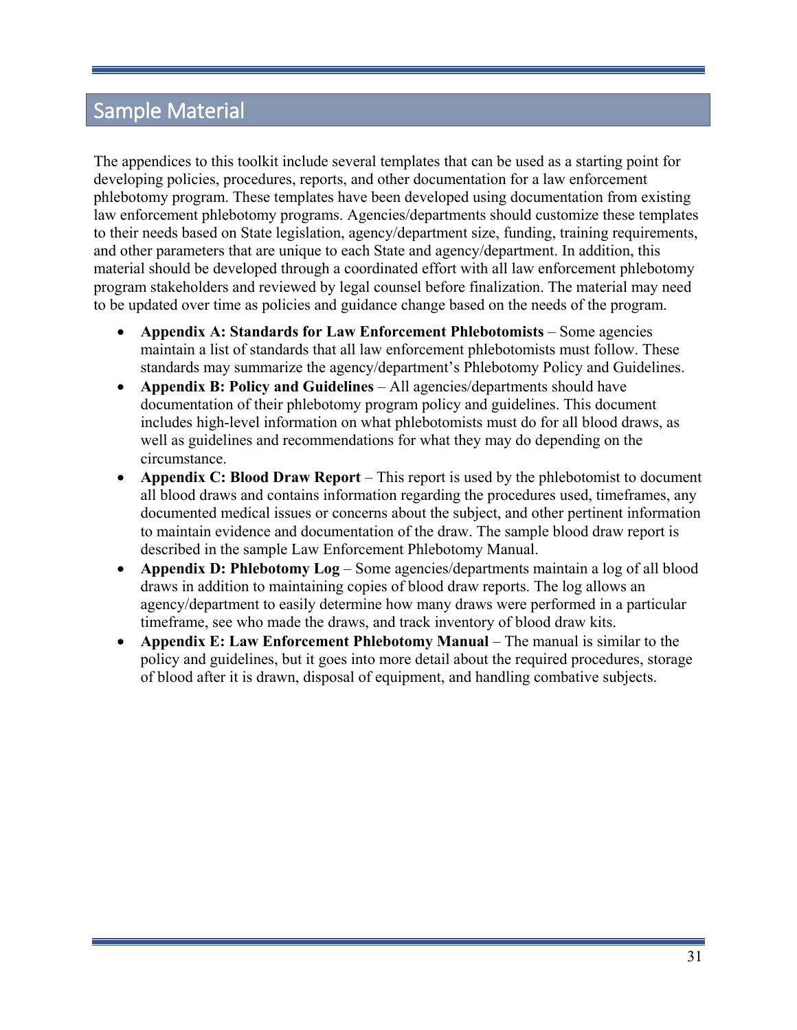# <span id="page-34-0"></span>Sample Material

The appendices to this toolkit include several templates that can be used as a starting point for developing policies, procedures, reports, and other documentation for a law enforcement phlebotomy program. These templates have been developed using documentation from existing law enforcement phlebotomy programs. Agencies/departments should customize these templates to their needs based on State legislation, agency/department size, funding, training requirements, and other parameters that are unique to each State and agency/department. In addition, this material should be developed through a coordinated effort with all law enforcement phlebotomy program stakeholders and reviewed by legal counsel before finalization. The material may need to be updated over time as policies and guidance change based on the needs of the program.

- **Appendix A: Standards for Law Enforcement Phlebotomists** Some agencies maintain a list of standards that all law enforcement phlebotomists must follow. These standards may summarize the agency/department's Phlebotomy Policy and Guidelines.
- **Appendix B: Policy and Guidelines** All agencies/departments should have documentation of their phlebotomy program policy and guidelines. This document includes high-level information on what phlebotomists must do for all blood draws, as well as guidelines and recommendations for what they may do depending on the circumstance.
- **Appendix C: Blood Draw Report** This report is used by the phlebotomist to document all blood draws and contains information regarding the procedures used, timeframes, any documented medical issues or concerns about the subject, and other pertinent information to maintain evidence and documentation of the draw. The sample blood draw report is described in the sample Law Enforcement Phlebotomy Manual.
- **Appendix D: Phlebotomy Log** Some agencies/departments maintain a log of all blood draws in addition to maintaining copies of blood draw reports. The log allows an agency/department to easily determine how many draws were performed in a particular timeframe, see who made the draws, and track inventory of blood draw kits.
- **Appendix E: Law Enforcement Phlebotomy Manual** The manual is similar to the policy and guidelines, but it goes into more detail about the required procedures, storage of blood after it is drawn, disposal of equipment, and handling combative subjects.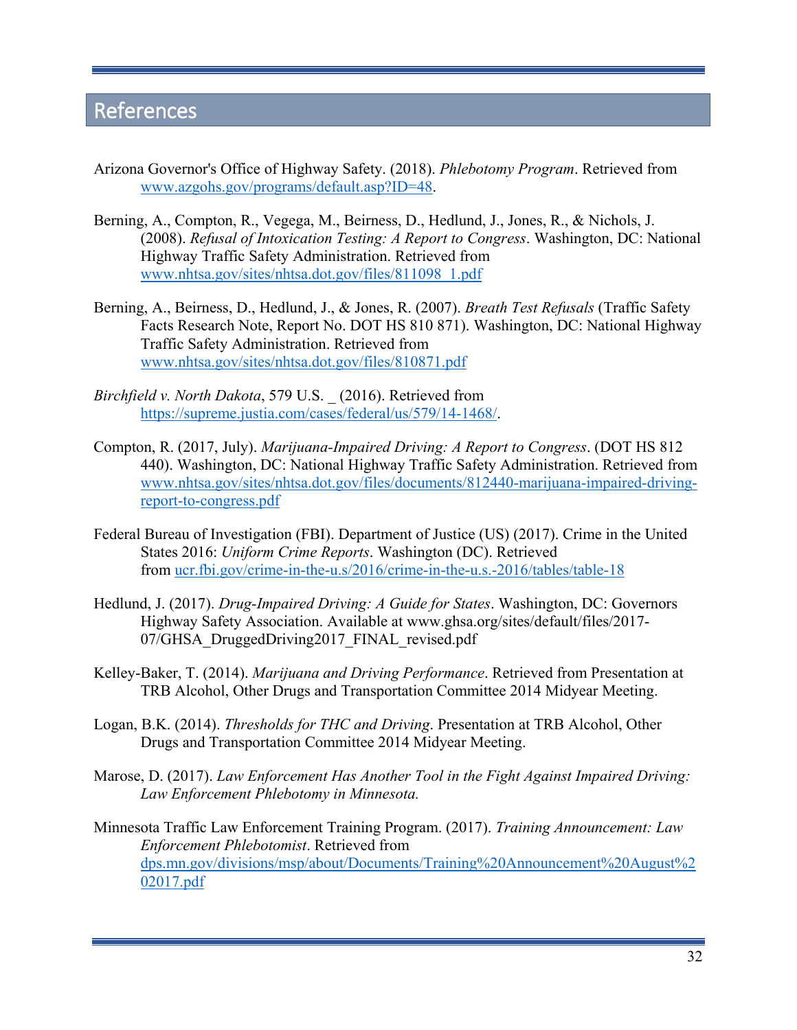# <span id="page-35-0"></span>References

- Arizona Governor's Office of Highway Safety. (2018). *Phlebotomy Program*. Retrieved from [www.azgohs.gov/programs/default.asp?ID=48.](https://www.azgohs.gov/programs/default.asp?ID=48)
- Berning, A., Compton, R., Vegega, M., Beirness, D., Hedlund, J., Jones, R., & Nichols, J. (2008). *Refusal of Intoxication Testing: A Report to Congress*. Washington, DC: National Highway Traffic Safety Administration. Retrieved from [www.nhtsa.gov/sites/nhtsa.dot.gov/files/811098\\_1.pdf](https://www.nhtsa.gov/sites/nhtsa.dot.gov/files/811098_1.pdf)
- Berning, A., Beirness, D., Hedlund, J., & Jones, R. (2007). *Breath Test Refusals* (Traffic Safety Facts Research Note, Report No. DOT HS 810 871). Washington, DC: National Highway Traffic Safety Administration. Retrieved from [www.nhtsa.gov/sites/nhtsa.dot.gov/files/810871.pdf](https://www.nhtsa.gov/sites/nhtsa.dot.gov/files/810871.pdf)
- *Birchfield v. North Dakota*, 579 U.S. \_ (2016). Retrieved from [https://supreme.justia.com/cases/federal/us/579/14-1468/.](https://supreme.justia.com/cases/federal/us/579/14-1468/)
- Compton, R. (2017, July). *Marijuana-Impaired Driving: A Report to Congress*. (DOT HS 812 440). Washington, DC: National Highway Traffic Safety Administration. Retrieved from [www.nhtsa.gov/sites/nhtsa.dot.gov/files/documents/812440-marijuana-impaired-driving](https://www.nhtsa.gov/sites/nhtsa.dot.gov/files/documents/812440-marijuana-impaired-driving-report-to-congress.pdf)[report-to-congress.pdf](https://www.nhtsa.gov/sites/nhtsa.dot.gov/files/documents/812440-marijuana-impaired-driving-report-to-congress.pdf)
- Federal Bureau of Investigation (FBI). Department of Justice (US) (2017). Crime in the United States 2016: *Uniform Crime Reports*. Washington (DC). Retrieved from [ucr.fbi.gov/crime-in-the-u.s/2016/crime-in-the-u.s.-2016/tables/table-18](https://ucr.fbi.gov/crime-in-the-u.s/2016/crime-in-the-u.s.-2016/tables/table-18)
- Hedlund, J. (2017). *Drug-Impaired Driving: A Guide for States*. Washington, DC: Governors Highway Safety Association. Available at www.ghsa.org/sites/default/files/2017- 07/GHSA\_DruggedDriving2017\_FINAL\_revised.pdf
- Kelley-Baker, T. (2014). *Marijuana and Driving Performance*. Retrieved from Presentation at TRB Alcohol, Other Drugs and Transportation Committee 2014 Midyear Meeting.
- Logan, B.K. (2014). *Thresholds for THC and Driving*. Presentation at TRB Alcohol, Other Drugs and Transportation Committee 2014 Midyear Meeting.
- Marose, D. (2017). *Law Enforcement Has Another Tool in the Fight Against Impaired Driving: Law Enforcement Phlebotomy in Minnesota.*
- Minnesota Traffic Law Enforcement Training Program. (2017). *Training Announcement: Law Enforcement Phlebotomist*. Retrieved from [dps.mn.gov/divisions/msp/about/Documents/Training%20Announcement%20August%2](https://dps.mn.gov/divisions/msp/about/Documents/Training%20Announcement%20August%202017.pdf) [02017.pdf](https://dps.mn.gov/divisions/msp/about/Documents/Training%20Announcement%20August%202017.pdf)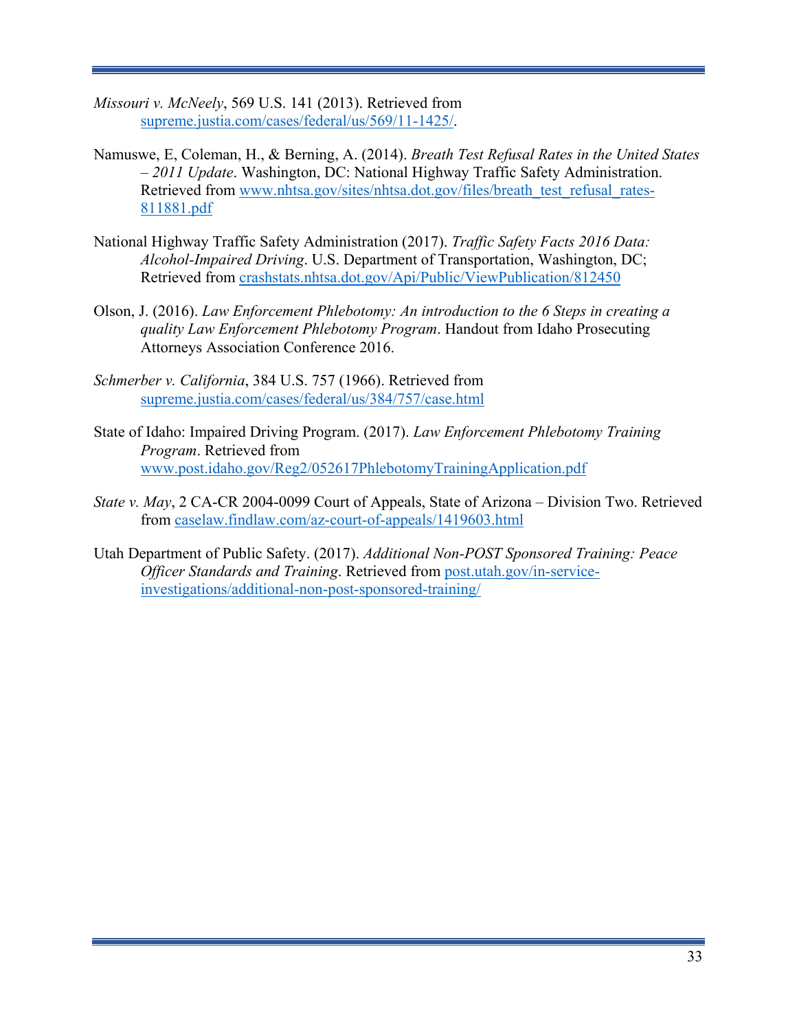- *Missouri v. McNeely*, 569 U.S. 141 (2013). Retrieved from [supreme.justia.com/cases/federal/us/569/11-1425/.](https://supreme.justia.com/cases/federal/us/569/11-1425/)
- Namuswe, E, Coleman, H., & Berning, A. (2014). *Breath Test Refusal Rates in the United States – 2011 Update*. Washington, DC: National Highway Traffic Safety Administration. Retrieved from [www.nhtsa.gov/sites/nhtsa.dot.gov/files/breath\\_test\\_refusal\\_rates-](http://www.nhtsa.gov/sites/nhtsa.dot.gov/files/breath_test_refusal_rates-811881.pdf)[811881.pdf](http://www.nhtsa.gov/sites/nhtsa.dot.gov/files/breath_test_refusal_rates-811881.pdf)
- National Highway Traffic Safety Administration (2017). *Traffic Safety Facts 2016 Data: Alcohol-Impaired Driving*. U.S. Department of Transportation, Washington, DC; Retrieved from [crashstats.nhtsa.dot.gov/Api/Public/ViewPublication/812450](https://crashstats.nhtsa.dot.gov/Api/Public/ViewPublication/812450)
- Olson, J. (2016). *Law Enforcement Phlebotomy: An introduction to the 6 Steps in creating a quality Law Enforcement Phlebotomy Program*. Handout from Idaho Prosecuting Attorneys Association Conference 2016.
- *Schmerber v. California*, 384 U.S. 757 (1966). Retrieved from [supreme.justia.com/cases/federal/us/384/757/case.html](https://supreme.justia.com/cases/federal/us/384/757/case.html)
- State of Idaho: Impaired Driving Program. (2017). *Law Enforcement Phlebotomy Training Program*. Retrieved from [www.post.idaho.gov/Reg2/052617PhlebotomyTrainingApplication.pdf](https://www.post.idaho.gov/Reg2/052617PhlebotomyTrainingApplication.pdf)
- *State v. May*, 2 CA-CR 2004-0099 Court of Appeals, State of Arizona Division Two. Retrieved from [caselaw.findlaw.com/az-court-of-appeals/1419603.html](https://caselaw.findlaw.com/az-court-of-appeals/1419603.html)
- Utah Department of Public Safety. (2017). *Additional Non-POST Sponsored Training: Peace Officer Standards and Training*. Retrieved from [post.utah.gov/in-service](https://post.utah.gov/in-service-investigations/additional-non-post-sponsored-training/)[investigations/additional-non-post-sponsored-training/](https://post.utah.gov/in-service-investigations/additional-non-post-sponsored-training/)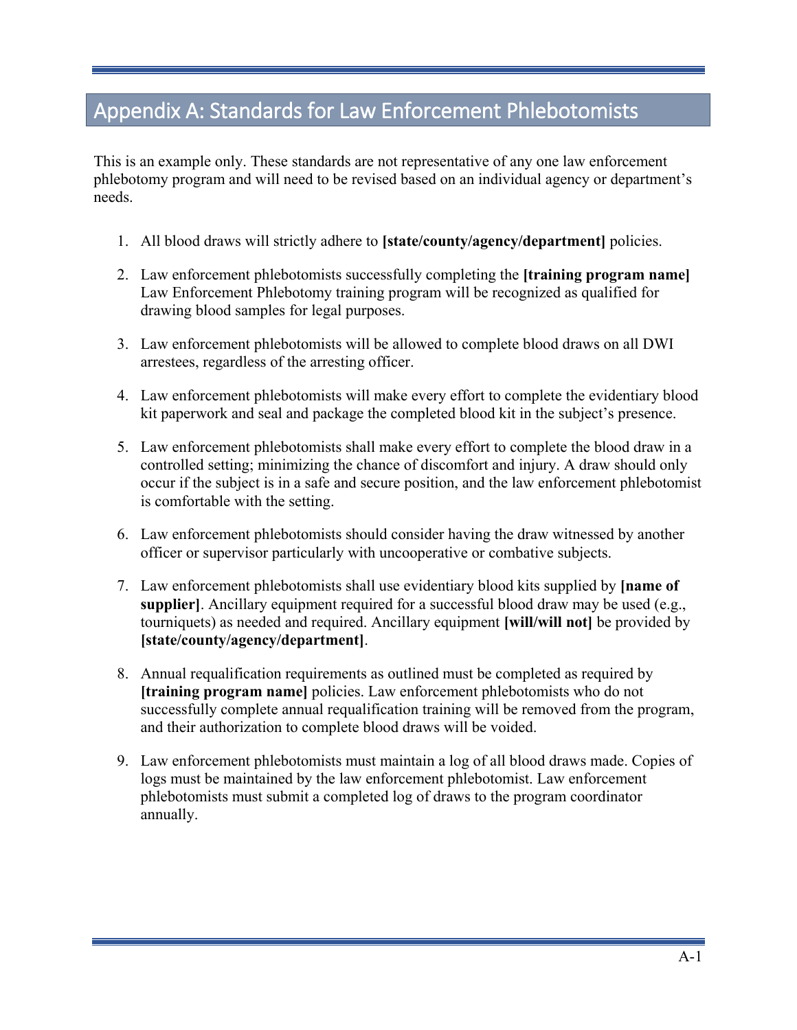# <span id="page-37-0"></span>Appendix A: Standards for Law Enforcement Phlebotomists

This is an example only. These standards are not representative of any one law enforcement phlebotomy program and will need to be revised based on an individual agency or department's needs.

- 1. All blood draws will strictly adhere to **[state/county/agency/department]** policies.
- 2. Law enforcement phlebotomists successfully completing the **[training program name]**  Law Enforcement Phlebotomy training program will be recognized as qualified for drawing blood samples for legal purposes.
- 3. Law enforcement phlebotomists will be allowed to complete blood draws on all DWI arrestees, regardless of the arresting officer.
- 4. Law enforcement phlebotomists will make every effort to complete the evidentiary blood kit paperwork and seal and package the completed blood kit in the subject's presence.
- 5. Law enforcement phlebotomists shall make every effort to complete the blood draw in a controlled setting; minimizing the chance of discomfort and injury. A draw should only occur if the subject is in a safe and secure position, and the law enforcement phlebotomist is comfortable with the setting.
- 6. Law enforcement phlebotomists should consider having the draw witnessed by another officer or supervisor particularly with uncooperative or combative subjects.
- 7. Law enforcement phlebotomists shall use evidentiary blood kits supplied by **[name of supplier**]. Ancillary equipment required for a successful blood draw may be used (e.g., tourniquets) as needed and required. Ancillary equipment **[will/will not]** be provided by **[state/county/agency/department]**.
- 8. Annual requalification requirements as outlined must be completed as required by **[training program name]** policies. Law enforcement phlebotomists who do not successfully complete annual requalification training will be removed from the program, and their authorization to complete blood draws will be voided.
- 9. Law enforcement phlebotomists must maintain a log of all blood draws made. Copies of logs must be maintained by the law enforcement phlebotomist. Law enforcement phlebotomists must submit a completed log of draws to the program coordinator annually.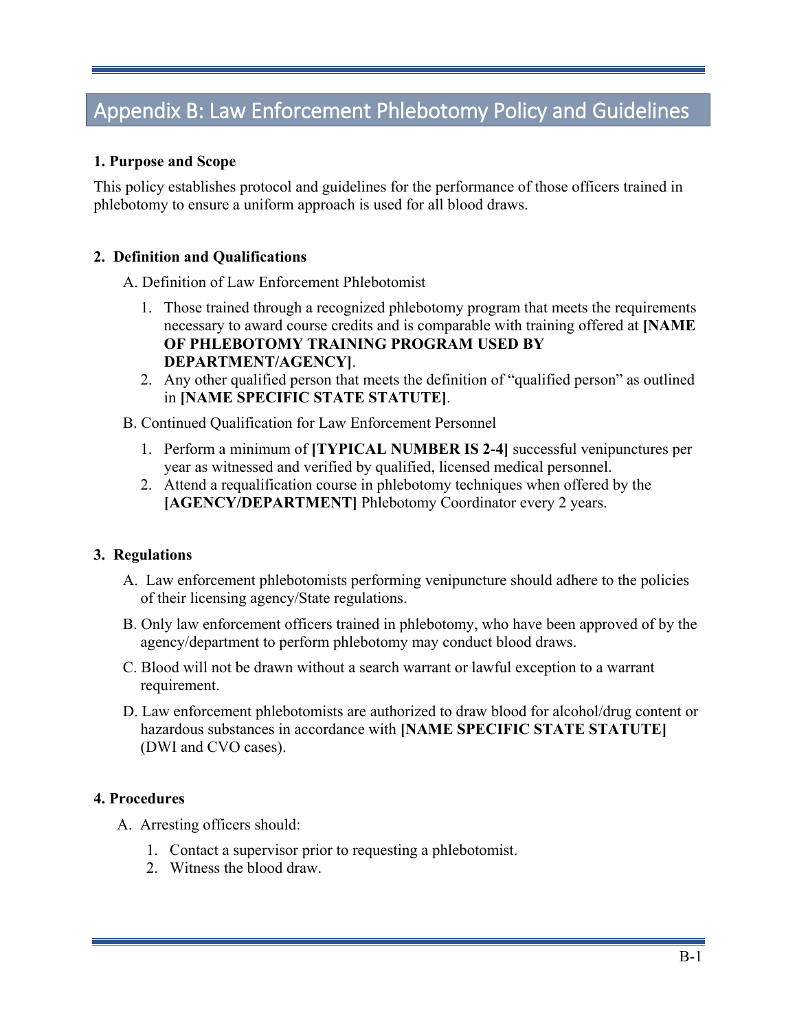# <span id="page-38-0"></span>Appendix B: Law Enforcement Phlebotomy Policy and Guidelines

#### **1. Purpose and Scope**

This policy establishes protocol and guidelines for the performance of those officers trained in phlebotomy to ensure a uniform approach is used for all blood draws.

#### **2. Definition and Qualifications**

A. Definition of Law Enforcement Phlebotomist

- 1. Those trained through a recognized phlebotomy program that meets the requirements necessary to award course credits and is comparable with training offered at **[NAME OF PHLEBOTOMY TRAINING PROGRAM USED BY DEPARTMENT/AGENCY]**.
- 2. Any other qualified person that meets the definition of "qualified person" as outlined in **[NAME SPECIFIC STATE STATUTE]**.
- B. Continued Qualification for Law Enforcement Personnel
	- 1. Perform a minimum of **[TYPICAL NUMBER IS 2-4]** successful venipunctures per year as witnessed and verified by qualified, licensed medical personnel.
	- 2. Attend a requalification course in phlebotomy techniques when offered by the **[AGENCY/DEPARTMENT]** Phlebotomy Coordinator every 2 years.

#### **3. Regulations**

- A. Law enforcement phlebotomists performing venipuncture should adhere to the policies of their licensing agency/State regulations.
- B. Only law enforcement officers trained in phlebotomy, who have been approved of by the agency/department to perform phlebotomy may conduct blood draws.
- C. Blood will not be drawn without a search warrant or lawful exception to a warrant requirement.
- D. Law enforcement phlebotomists are authorized to draw blood for alcohol/drug content or hazardous substances in accordance with **[NAME SPECIFIC STATE STATUTE]** (DWI and CVO cases).

#### **4. Procedures**

- A. Arresting officers should:
	- 1. Contact a supervisor prior to requesting a phlebotomist.
	- 2. Witness the blood draw.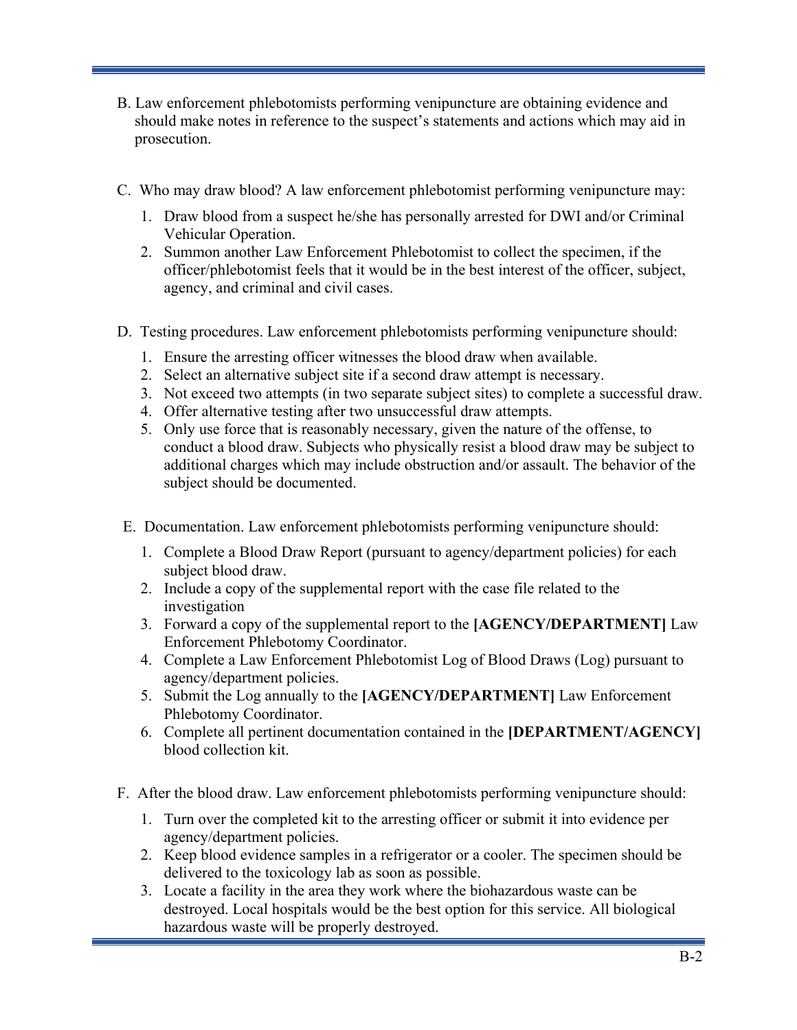- B. Law enforcement phlebotomists performing venipuncture are obtaining evidence and should make notes in reference to the suspect's statements and actions which may aid in prosecution.
- C. Who may draw blood? A law enforcement phlebotomist performing venipuncture may:
	- 1. Draw blood from a suspect he/she has personally arrested for DWI and/or Criminal Vehicular Operation.
	- 2. Summon another Law Enforcement Phlebotomist to collect the specimen, if the officer/phlebotomist feels that it would be in the best interest of the officer, subject, agency, and criminal and civil cases.
- D. Testing procedures. Law enforcement phlebotomists performing venipuncture should:
	- 1. Ensure the arresting officer witnesses the blood draw when available.
	- 2. Select an alternative subject site if a second draw attempt is necessary.
	- 3. Not exceed two attempts (in two separate subject sites) to complete a successful draw.
	- 4. Offer alternative testing after two unsuccessful draw attempts.
	- 5. Only use force that is reasonably necessary, given the nature of the offense, to conduct a blood draw. Subjects who physically resist a blood draw may be subject to additional charges which may include obstruction and/or assault. The behavior of the subject should be documented.
- E. Documentation. Law enforcement phlebotomists performing venipuncture should:
	- 1. Complete a Blood Draw Report (pursuant to agency/department policies) for each subject blood draw.
	- 2. Include a copy of the supplemental report with the case file related to the investigation
	- 3. Forward a copy of the supplemental report to the **[AGENCY/DEPARTMENT]** Law Enforcement Phlebotomy Coordinator.
	- 4. Complete a Law Enforcement Phlebotomist Log of Blood Draws (Log) pursuant to agency/department policies.
	- 5. Submit the Log annually to the **[AGENCY/DEPARTMENT]** Law Enforcement Phlebotomy Coordinator.
	- 6. Complete all pertinent documentation contained in the **[DEPARTMENT/AGENCY]** blood collection kit.
- F. After the blood draw. Law enforcement phlebotomists performing venipuncture should:
	- 1. Turn over the completed kit to the arresting officer or submit it into evidence per agency/department policies.
	- 2. Keep blood evidence samples in a refrigerator or a cooler. The specimen should be delivered to the toxicology lab as soon as possible.
	- 3. Locate a facility in the area they work where the biohazardous waste can be destroyed. Local hospitals would be the best option for this service. All biological hazardous waste will be properly destroyed.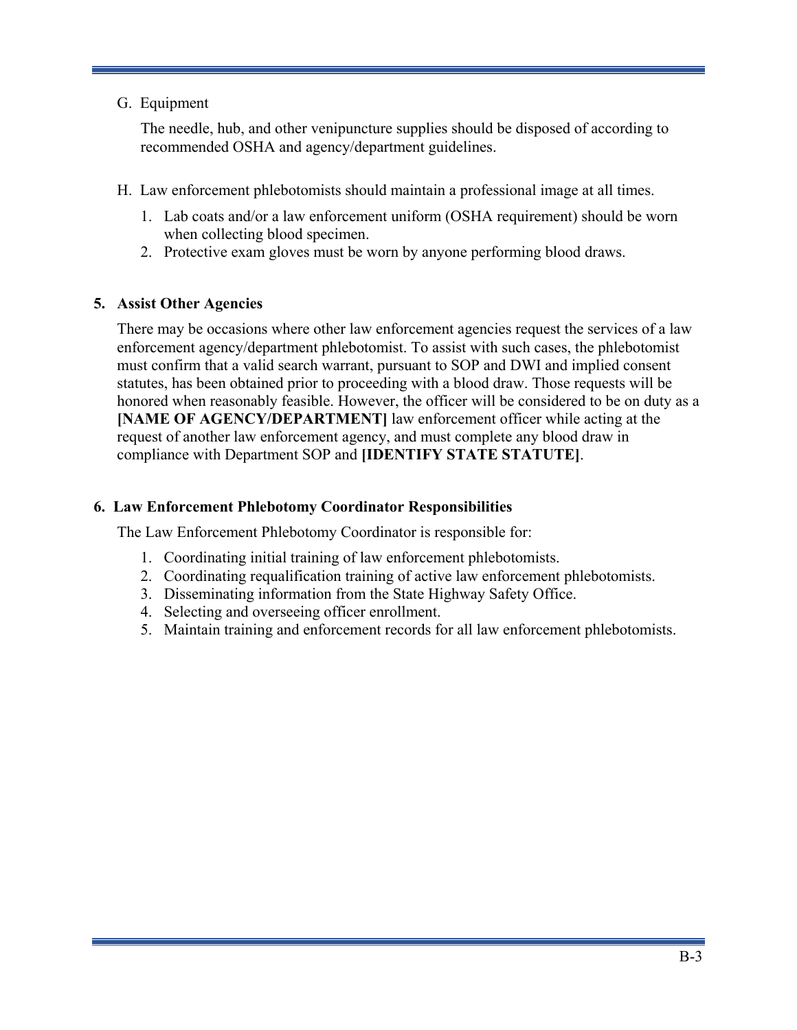### G. Equipment

The needle, hub, and other venipuncture supplies should be disposed of according to recommended OSHA and agency/department guidelines.

- H. Law enforcement phlebotomists should maintain a professional image at all times.
	- 1. Lab coats and/or a law enforcement uniform (OSHA requirement) should be worn when collecting blood specimen.
	- 2. Protective exam gloves must be worn by anyone performing blood draws.

### **5. Assist Other Agencies**

There may be occasions where other law enforcement agencies request the services of a law enforcement agency/department phlebotomist. To assist with such cases, the phlebotomist must confirm that a valid search warrant, pursuant to SOP and DWI and implied consent statutes, has been obtained prior to proceeding with a blood draw. Those requests will be honored when reasonably feasible. However, the officer will be considered to be on duty as a **[NAME OF AGENCY/DEPARTMENT]** law enforcement officer while acting at the request of another law enforcement agency, and must complete any blood draw in compliance with Department SOP and **[IDENTIFY STATE STATUTE]**.

### **6. Law Enforcement Phlebotomy Coordinator Responsibilities**

The Law Enforcement Phlebotomy Coordinator is responsible for:

- 1. Coordinating initial training of law enforcement phlebotomists.
- 2. Coordinating requalification training of active law enforcement phlebotomists.
- 3. Disseminating information from the State Highway Safety Office.
- 4. Selecting and overseeing officer enrollment.
- 5. Maintain training and enforcement records for all law enforcement phlebotomists.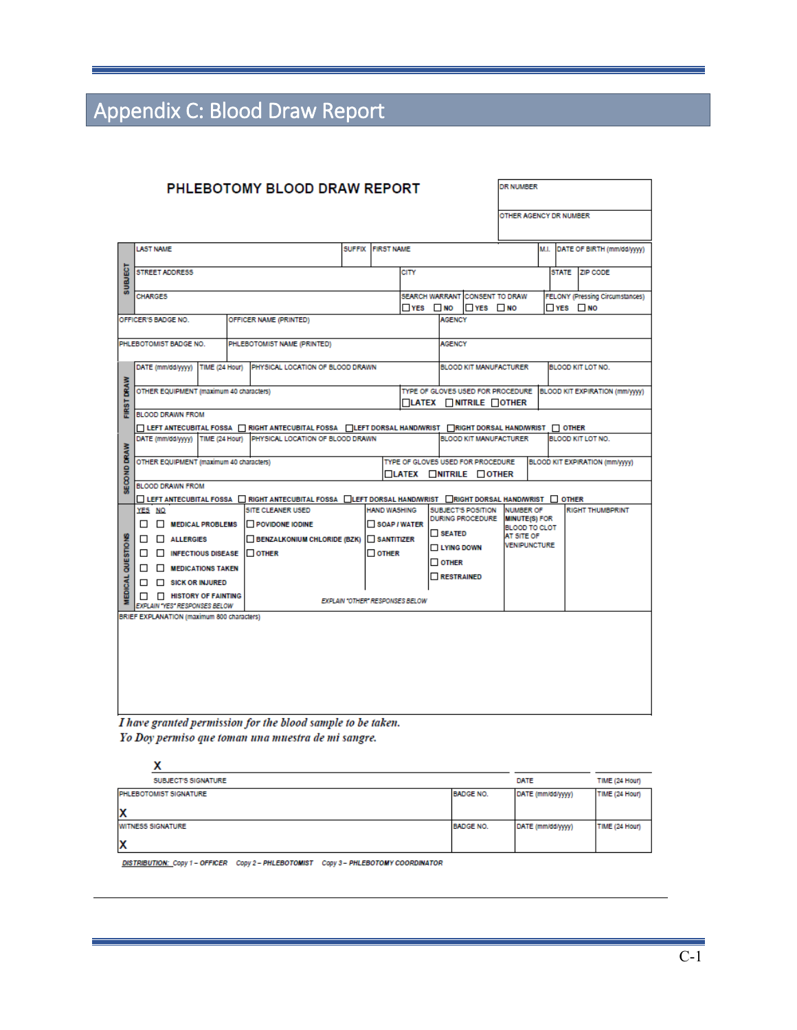# <span id="page-41-0"></span>Appendix C: Blood Draw Report

| <b>PHLEBOTOMY BLOOD DRAW REPORT</b>        |                                                                                                |                  |                         |                                         |  |                                                                                                                                                                            |               | DR NUMBER           |                                                                               |                                        |                         |                                 |                                        |                          |          |                                                                  |
|--------------------------------------------|------------------------------------------------------------------------------------------------|------------------|-------------------------|-----------------------------------------|--|----------------------------------------------------------------------------------------------------------------------------------------------------------------------------|---------------|---------------------|-------------------------------------------------------------------------------|----------------------------------------|-------------------------|---------------------------------|----------------------------------------|--------------------------|----------|------------------------------------------------------------------|
|                                            |                                                                                                |                  |                         |                                         |  |                                                                                                                                                                            |               |                     |                                                                               |                                        |                         | OTHER AGENCY DR NUMBER          |                                        |                          |          |                                                                  |
|                                            |                                                                                                | <b>LAST NAME</b> |                         |                                         |  |                                                                                                                                                                            | <b>SUFFIX</b> | <b>FIRST NAME</b>   |                                                                               |                                        |                         |                                 |                                        | M.I.                     |          | DATE OF BIRTH (mm/dd/yyyy)                                       |
| <b>SUBJECT</b>                             | <b>STREET ADDRESS</b><br><b>CITY</b>                                                           |                  |                         |                                         |  |                                                                                                                                                                            |               |                     |                                                                               |                                        |                         |                                 |                                        | <b>STATE</b>             | ZIP CODE |                                                                  |
|                                            |                                                                                                | <b>CHARGES</b>   |                         |                                         |  |                                                                                                                                                                            |               |                     |                                                                               | SEARCH WARRANT CONSENT TO DRAW         |                         |                                 | <b>FELONY (Pressing Circumstances)</b> |                          |          |                                                                  |
|                                            |                                                                                                |                  | OFFICER'S BADGE NO.     |                                         |  | OFFICER NAME (PRINTED)                                                                                                                                                     |               |                     | $YES$ MO                                                                      | l⊟YES ⊡NO<br>$YES$ MO<br><b>AGENCY</b> |                         |                                 |                                        |                          |          |                                                                  |
|                                            |                                                                                                |                  |                         |                                         |  |                                                                                                                                                                            |               |                     |                                                                               |                                        |                         |                                 |                                        |                          |          |                                                                  |
|                                            |                                                                                                |                  | PHLEBOTOMIST BADGE NO.  |                                         |  | PHLEBOTOMIST NAME (PRINTED)                                                                                                                                                |               |                     |                                                                               | <b>AGENCY</b>                          |                         |                                 |                                        |                          |          |                                                                  |
|                                            |                                                                                                |                  | DATE (mm/dd/yyyy)       | TIME (24 Hour)                          |  | PHYSICAL LOCATION OF BLOOD DRAWN                                                                                                                                           |               |                     |                                                                               |                                        |                         | <b>BLOOD KIT MANUFACTURER</b>   |                                        | <b>BLOOD KIT LOT NO.</b> |          |                                                                  |
| FIRST DRAW                                 |                                                                                                |                  |                         | OTHER EQUIPMENT (maximum 40 characters) |  |                                                                                                                                                                            |               |                     |                                                                               |                                        |                         | <b>LATEX NITRILE OTHER</b>      |                                        |                          |          | TYPE OF GLOVES USED FOR PROCEDURE BLOOD KIT EXPIRATION (mm/yyyy) |
|                                            |                                                                                                |                  | <b>BLOOD DRAWN FROM</b> |                                         |  | □ LEFT ANTECUBITAL FOSSA □ RIGHT ANTECUBITAL FOSSA □ LEFT DORSAL HAND/WRIST                                                                                                |               |                     |                                                                               |                                        |                         | RIGHT DORSAL HAND/WRIST   OTHER |                                        |                          |          |                                                                  |
|                                            |                                                                                                |                  | DATE (mm/dd/yyyy)       | TIME (24 Hour)                          |  | PHYSICAL LOCATION OF BLOOD DRAWN                                                                                                                                           |               |                     |                                                                               |                                        |                         | <b>BLOOD KIT MANUFACTURER</b>   |                                        |                          |          | <b>BLOOD KIT LOT NO.</b>                                         |
| <b>SECOND DRAW</b>                         |                                                                                                |                  |                         | OTHER EQUIPMENT (maximum 40 characters) |  |                                                                                                                                                                            |               |                     | TYPE OF GLOVES USED FOR PROCEDURE<br>$\Box$ LATEX $\Box$ NITRILE $\Box$ OTHER |                                        |                         |                                 |                                        |                          |          | BLOOD KIT EXPIRATION (mm/yyyy)                                   |
|                                            |                                                                                                |                  | <b>BLOOD DRAWN FROM</b> |                                         |  |                                                                                                                                                                            |               |                     |                                                                               |                                        |                         |                                 |                                        |                          |          |                                                                  |
|                                            |                                                                                                | YES NO           |                         |                                         |  | $\square$ Left antecubital fossa $\square$ right antecubital fossa $\square$ left dorsal hand/wrist $\square$ right dorsal hand/wrist $\square$ other<br>SITE CLEANER USED |               | <b>HAND WASHING</b> |                                                                               |                                        | SUBJECT'S POSITION      | <b>NUMBER OF</b>                |                                        |                          |          | <b>RIGHT THUMBPRINT</b>                                          |
|                                            |                                                                                                |                  |                         | MEDICAL PROBLEMS                        |  | <b>IN POVIDONE IODINE</b>                                                                                                                                                  |               | SOAP / WATER        |                                                                               |                                        | <b>DURING PROCEDURE</b> | <b>MINUTE(S) FOR</b>            |                                        |                          |          |                                                                  |
|                                            |                                                                                                |                  | $\Box$ ALLERGIES        |                                         |  | <b>BENZALKONIUM CHLORIDE (BZK)</b>                                                                                                                                         |               | $\Box$ SANTITIZER   |                                                                               | <b>SEATED</b>                          |                         | BLOOD TO CLOT<br>AT SITE OF     |                                        |                          |          |                                                                  |
|                                            |                                                                                                |                  |                         |                                         |  | $\Box$ INFECTIOUS DISEASE $\Box$ OTHER                                                                                                                                     |               | $\Box$ other        |                                                                               | <b>LYING DOWN</b>                      |                         | VENIPUNCTURE                    |                                        |                          |          |                                                                  |
|                                            |                                                                                                |                  |                         | $\Box$ <b>MEDICATIONS TAKEN</b>         |  |                                                                                                                                                                            |               |                     |                                                                               | $\Box$ other                           |                         |                                 |                                        |                          |          |                                                                  |
|                                            |                                                                                                |                  |                         | $\Box$ SICK OR INJURED                  |  |                                                                                                                                                                            |               |                     |                                                                               | <b>RESTRAINED</b>                      |                         |                                 |                                        |                          |          |                                                                  |
| MEDICAL QUESTIONS                          | $\Box$ HISTORY OF FAINTING<br>EXPLAIN "OTHER" RESPONSES BELOW<br>EXPLAIN "YES" RESPONSES BELOW |                  |                         |                                         |  |                                                                                                                                                                            |               |                     |                                                                               |                                        |                         |                                 |                                        |                          |          |                                                                  |
| BRIEF EXPLANATION (maximum 800 characters) |                                                                                                |                  |                         |                                         |  |                                                                                                                                                                            |               |                     |                                                                               |                                        |                         |                                 |                                        |                          |          |                                                                  |
|                                            |                                                                                                |                  |                         |                                         |  |                                                                                                                                                                            |               |                     |                                                                               |                                        |                         |                                 |                                        |                          |          |                                                                  |
|                                            |                                                                                                |                  |                         |                                         |  |                                                                                                                                                                            |               |                     |                                                                               |                                        |                         |                                 |                                        |                          |          |                                                                  |
|                                            |                                                                                                |                  |                         |                                         |  |                                                                                                                                                                            |               |                     |                                                                               |                                        |                         |                                 |                                        |                          |          |                                                                  |
|                                            |                                                                                                |                  |                         |                                         |  |                                                                                                                                                                            |               |                     |                                                                               |                                        |                         |                                 |                                        |                          |          |                                                                  |
|                                            |                                                                                                |                  |                         |                                         |  |                                                                                                                                                                            |               |                     |                                                                               |                                        |                         |                                 |                                        |                          |          |                                                                  |
|                                            | I have granted permission for the blood sample to be taken.                                    |                  |                         |                                         |  |                                                                                                                                                                            |               |                     |                                                                               |                                        |                         |                                 |                                        |                          |          |                                                                  |

Yo Doy permiso que toman una muestra de mi sangre.

| SUBJECT'S SIGNATURE      |                  | DATE              | TIME (24 Hour) |
|--------------------------|------------------|-------------------|----------------|
| PHLEBOTOMIST SIGNATURE   | <b>BADGE NO.</b> | DATE (mm/dd/yyyy) | TIME (24 Hour) |
| x                        |                  |                   |                |
| <b>WITNESS SIGNATURE</b> | <b>BADGE NO.</b> | DATE (mm/dd/yyyy) | TIME (24 Hour) |
| х                        |                  |                   |                |

DISTRIBUTION: Copy 1 - OFFICER Copy 2 - PHLEBOTOMIST Copy 3 - PHLEBOTOMY COORDINATOR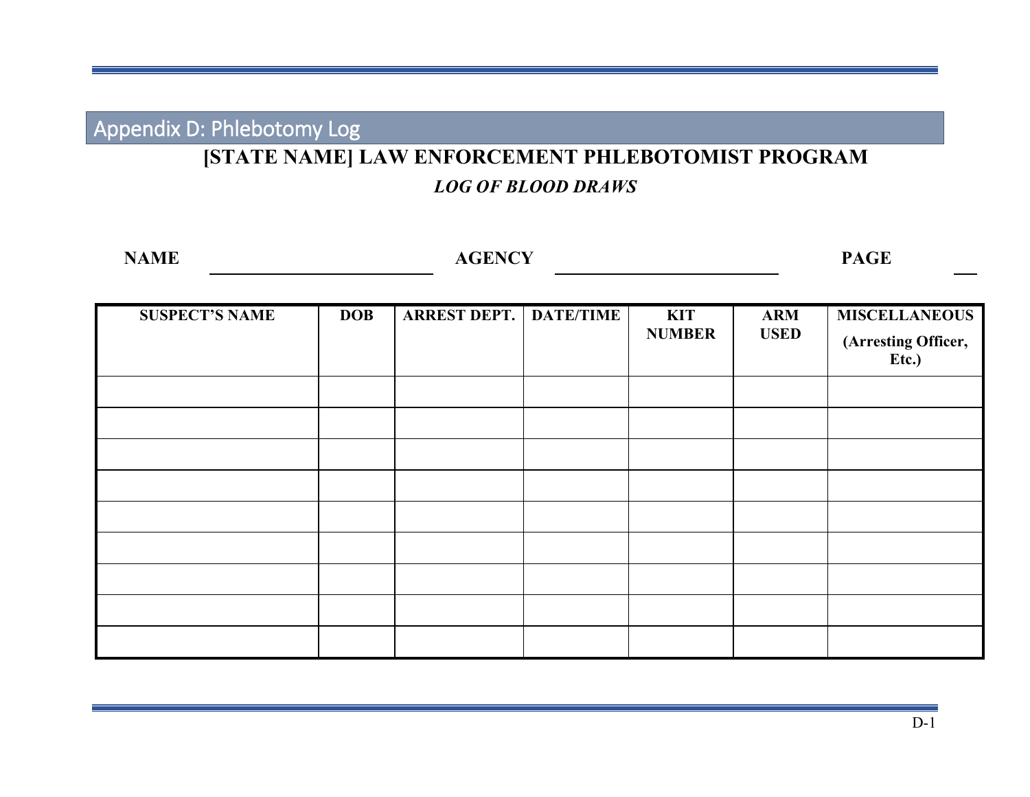Appendix D: Phlebotomy Log

# **[STATE NAME] LAW ENFORCEMENT PHLEBOTOMIST PROGRAM**

# *LOG OF BLOOD DRAWS*

<span id="page-42-0"></span>

| <b>NAME</b>           | <b>AGENCY</b> |                     |                  |                             |                           |                                                      |  |  |
|-----------------------|---------------|---------------------|------------------|-----------------------------|---------------------------|------------------------------------------------------|--|--|
| <b>SUSPECT'S NAME</b> | <b>DOB</b>    | <b>ARREST DEPT.</b> | <b>DATE/TIME</b> | <b>KIT</b><br><b>NUMBER</b> | <b>ARM</b><br><b>USED</b> | <b>MISCELLANEOUS</b><br>(Arresting Officer,<br>Etc.) |  |  |
|                       |               |                     |                  |                             |                           |                                                      |  |  |
|                       |               |                     |                  |                             |                           |                                                      |  |  |
|                       |               |                     |                  |                             |                           |                                                      |  |  |
|                       |               |                     |                  |                             |                           |                                                      |  |  |
|                       |               |                     |                  |                             |                           |                                                      |  |  |
|                       |               |                     |                  |                             |                           |                                                      |  |  |
|                       |               |                     |                  |                             |                           |                                                      |  |  |
|                       |               |                     |                  |                             |                           |                                                      |  |  |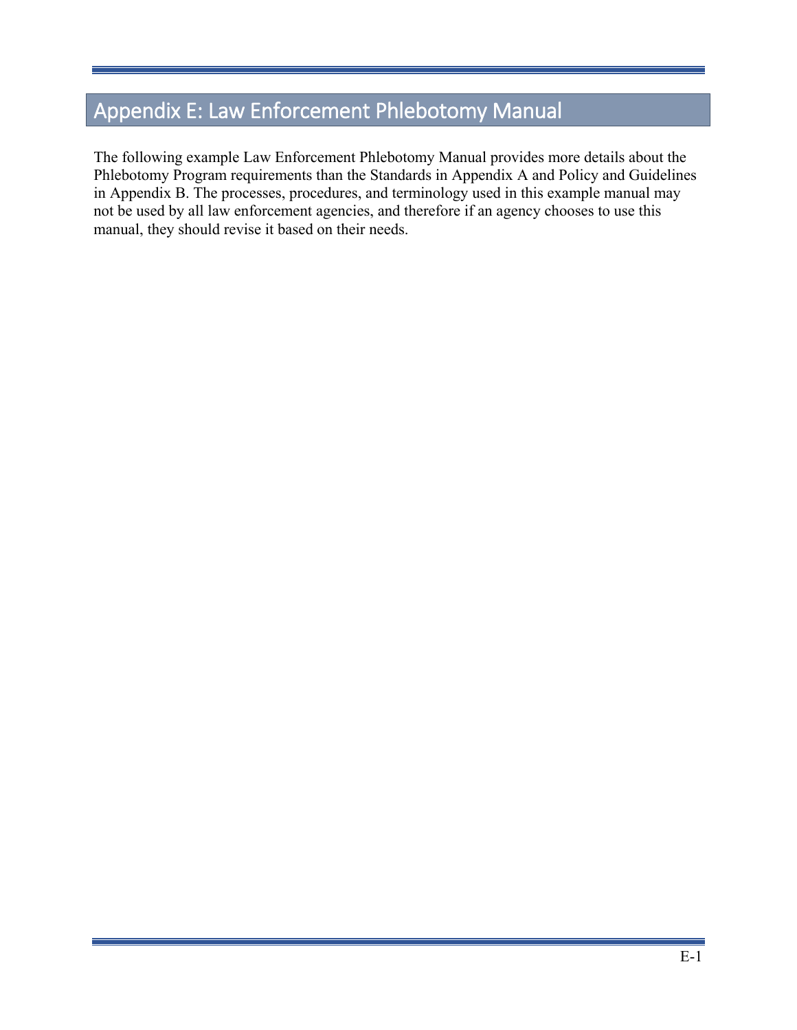# <span id="page-43-0"></span>Appendix E: Law Enforcement Phlebotomy Manual

The following example Law Enforcement Phlebotomy Manual provides more details about the Phlebotomy Program requirements than the Standards in Appendix A and Policy and Guidelines in Appendix B. The processes, procedures, and terminology used in this example manual may not be used by all law enforcement agencies, and therefore if an agency chooses to use this manual, they should revise it based on their needs.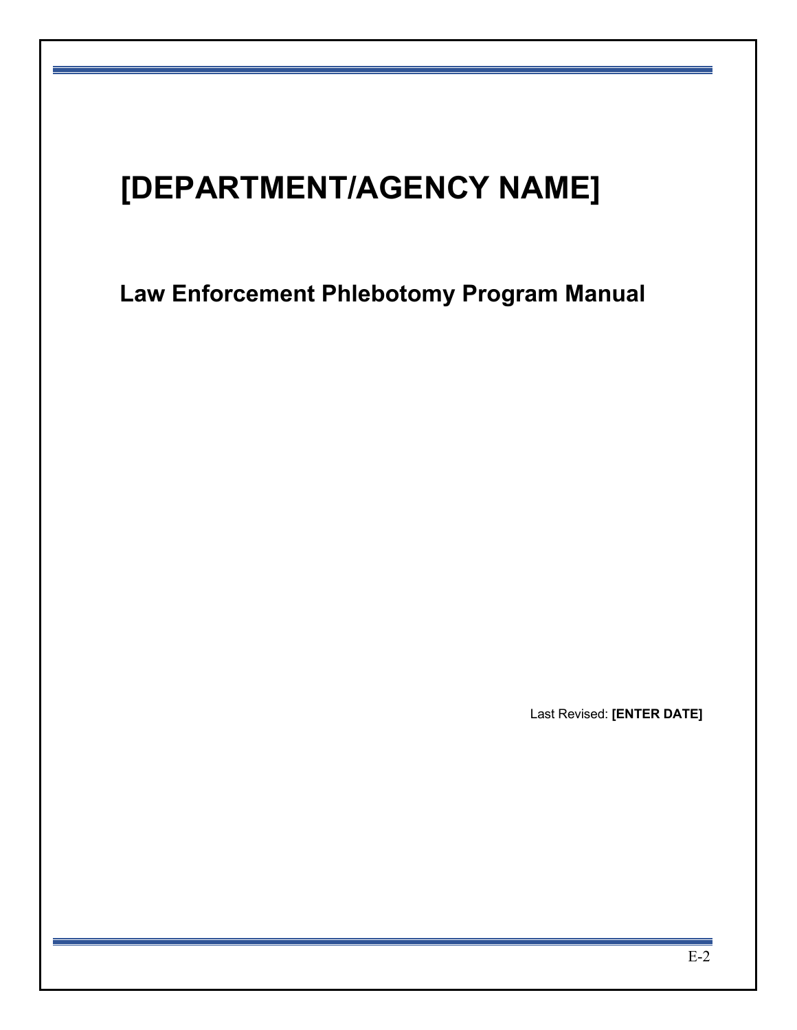# **[DEPARTMENT/AGENCY NAME]**

**Law Enforcement Phlebotomy Program Manual**

Last Revised: **[ENTER DATE]**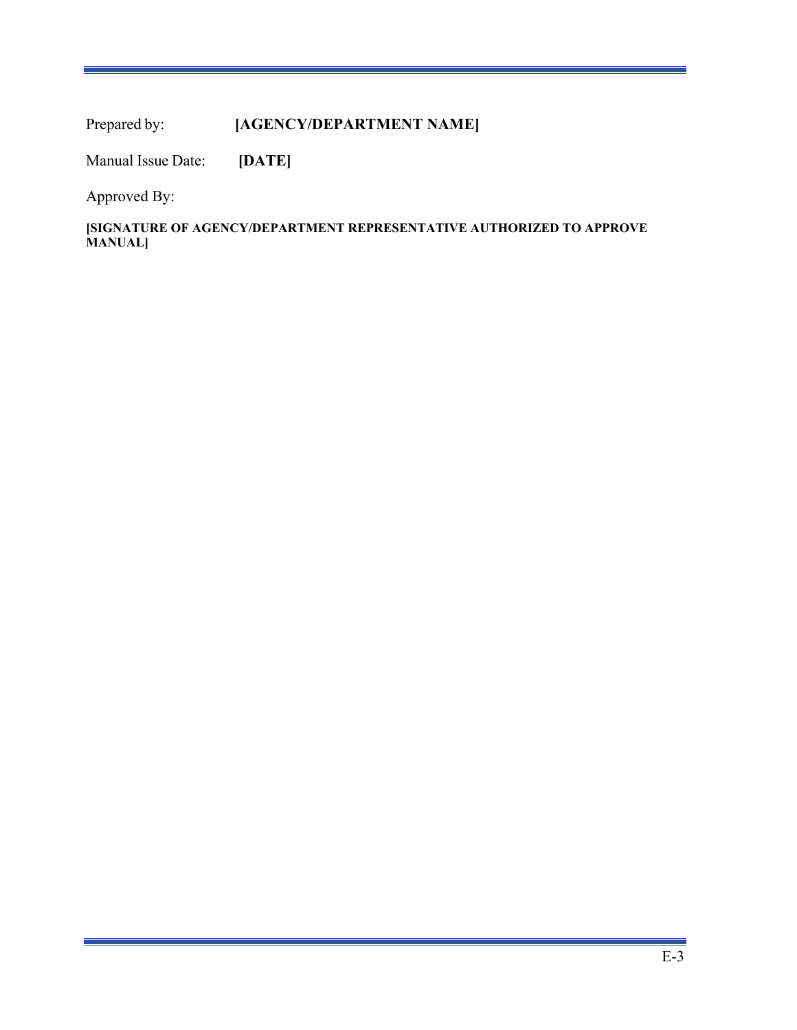Prepared by: **[AGENCY/DEPARTMENT NAME]** 

Manual Issue Date: **[DATE]**

Approved By:

**[SIGNATURE OF AGENCY/DEPARTMENT REPRESENTATIVE AUTHORIZED TO APPROVE MANUAL]**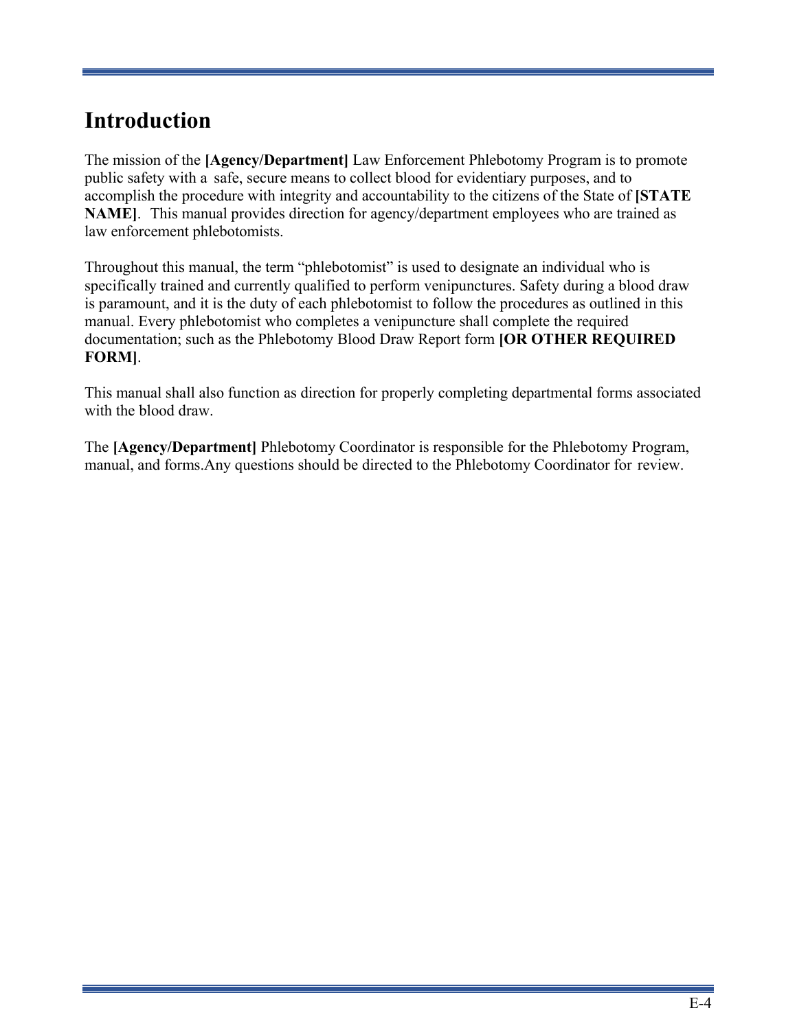# **Introduction**

The mission of the **[Agency/Department]** Law Enforcement Phlebotomy Program is to promote public safety with a safe, secure means to collect blood for evidentiary purposes, and to accomplish the procedure with integrity and accountability to the citizens of the State of **[STATE NAME]**. This manual provides direction for agency/department employees who are trained as law enforcement phlebotomists.

Throughout this manual, the term "phlebotomist" is used to designate an individual who is specifically trained and currently qualified to perform venipunctures. Safety during a blood draw is paramount, and it is the duty of each phlebotomist to follow the procedures as outlined in this manual. Every phlebotomist who completes a venipuncture shall complete the required documentation; such as the Phlebotomy Blood Draw Report form **[OR OTHER REQUIRED FORM]**.

This manual shall also function as direction for properly completing departmental forms associated with the blood draw.

The **[Agency/Department]** Phlebotomy Coordinator is responsible for the Phlebotomy Program, manual, and forms.Any questions should be directed to the Phlebotomy Coordinator for review.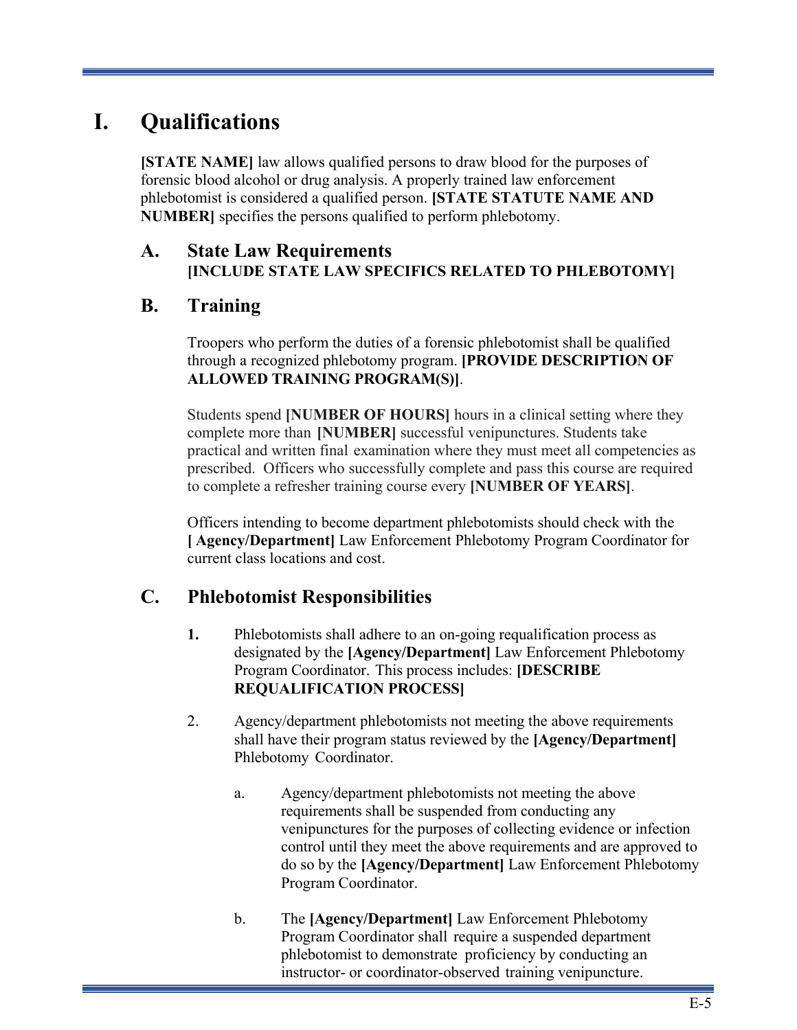# **I. Qualifications**

**[STATE NAME]** law allows qualified persons to draw blood for the purposes of forensic blood alcohol or drug analysis. A properly trained law enforcement phlebotomist is considered a qualified person. **[STATE STATUTE NAME AND NUMBER]** specifies the persons qualified to perform phlebotomy.

### **A. State Law Requirements [INCLUDE STATE LAW SPECIFICS RELATED TO PHLEBOTOMY]**

### **B. Training**

Troopers who perform the duties of a forensic phlebotomist shall be qualified through a recognized phlebotomy program. **[PROVIDE DESCRIPTION OF ALLOWED TRAINING PROGRAM(S)]**.

Students spend **[NUMBER OF HOURS]** hours in a clinical setting where they complete more than **[NUMBER]** successful venipunctures. Students take practical and written final examination where they must meet all competencies as prescribed. Officers who successfully complete and pass this course are required to complete a refresher training course every **[NUMBER OF YEARS]**.

Officers intending to become department phlebotomists should check with the **[ Agency/Department]** Law Enforcement Phlebotomy Program Coordinator for current class locations and cost.

# **C. Phlebotomist Responsibilities**

- **1.** Phlebotomists shall adhere to an on-going requalification process as designated by the **[Agency/Department]** Law Enforcement Phlebotomy Program Coordinator. This process includes: **[DESCRIBE REQUALIFICATION PROCESS]**
- 2. Agency/department phlebotomists not meeting the above requirements shall have their program status reviewed by the **[Agency/Department]** Phlebotomy Coordinator.
	- a. Agency/department phlebotomists not meeting the above requirements shall be suspended from conducting any venipunctures for the purposes of collecting evidence or infection control until they meet the above requirements and are approved to do so by the **[Agency/Department]** Law Enforcement Phlebotomy Program Coordinator.
	- b. The **[Agency/Department]** Law Enforcement Phlebotomy Program Coordinator shall require a suspended department phlebotomist to demonstrate proficiency by conducting an instructor- or coordinator-observed training venipuncture.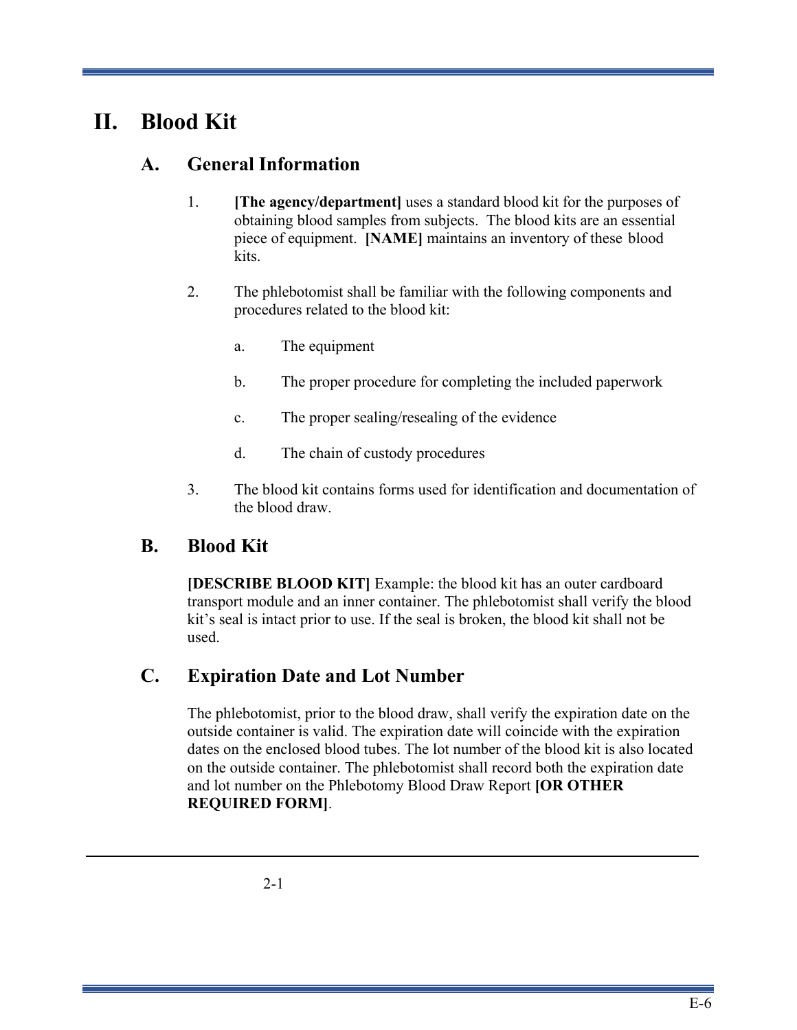# **II. Blood Kit**

### **A. General Information**

- 1. **[The agency/department]** uses a standard blood kit for the purposes of obtaining blood samples from subjects. The blood kits are an essential piece of equipment. **[NAME]** maintains an inventory of these blood kits.
- 2. The phlebotomist shall be familiar with the following components and procedures related to the blood kit:
	- a. The equipment
	- b. The proper procedure for completing the included paperwork
	- c. The proper sealing/resealing of the evidence
	- d. The chain of custody procedures
- 3. The blood kit contains forms used for identification and documentation of the blood draw.

### **B. Blood Kit**

**[DESCRIBE BLOOD KIT]** Example: the blood kit has an outer cardboard transport module and an inner container. The phlebotomist shall verify the blood kit's seal is intact prior to use. If the seal is broken, the blood kit shall not be used.

### **C. Expiration Date and Lot Number**

The phlebotomist, prior to the blood draw, shall verify the expiration date on the outside container is valid. The expiration date will coincide with the expiration dates on the enclosed blood tubes. The lot number of the blood kit is also located on the outside container. The phlebotomist shall record both the expiration date and lot number on the Phlebotomy Blood Draw Report **[OR OTHER REQUIRED FORM]**.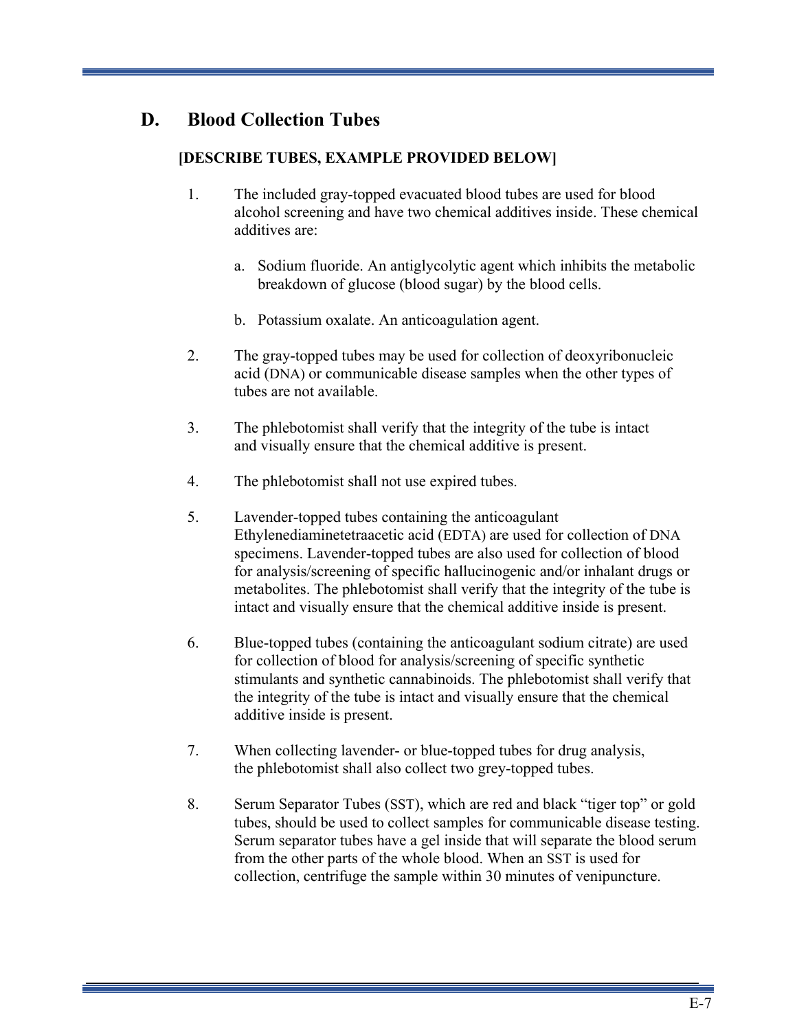# **D. Blood Collection Tubes**

### **[DESCRIBE TUBES, EXAMPLE PROVIDED BELOW]**

- 1. The included gray-topped evacuated blood tubes are used for blood alcohol screening and have two chemical additives inside. These chemical additives are:
	- a. Sodium fluoride. An antiglycolytic agent which inhibits the metabolic breakdown of glucose (blood sugar) by the blood cells.
	- b. Potassium oxalate. An anticoagulation agent.
- 2. The gray-topped tubes may be used for collection of deoxyribonucleic acid (DNA) or communicable disease samples when the other types of tubes are not available.
- 3. The phlebotomist shall verify that the integrity of the tube is intact and visually ensure that the chemical additive is present.
- 4. The phlebotomist shall not use expired tubes.
- 5. Lavender-topped tubes containing the anticoagulant Ethylenediaminetetraacetic acid (EDTA) are used for collection of DNA specimens. Lavender-topped tubes are also used for collection of blood for analysis/screening of specific hallucinogenic and/or inhalant drugs or metabolites. The phlebotomist shall verify that the integrity of the tube is intact and visually ensure that the chemical additive inside is present.
- 6. Blue-topped tubes (containing the anticoagulant sodium citrate) are used for collection of blood for analysis/screening of specific synthetic stimulants and synthetic cannabinoids. The phlebotomist shall verify that the integrity of the tube is intact and visually ensure that the chemical additive inside is present.
- 7. When collecting lavender- or blue-topped tubes for drug analysis, the phlebotomist shall also collect two grey-topped tubes.
- 8. Serum Separator Tubes (SST), which are red and black "tiger top" or gold tubes, should be used to collect samples for communicable disease testing. Serum separator tubes have a gel inside that will separate the blood serum from the other parts of the whole blood. When an SST is used for collection, centrifuge the sample within 30 minutes of venipuncture.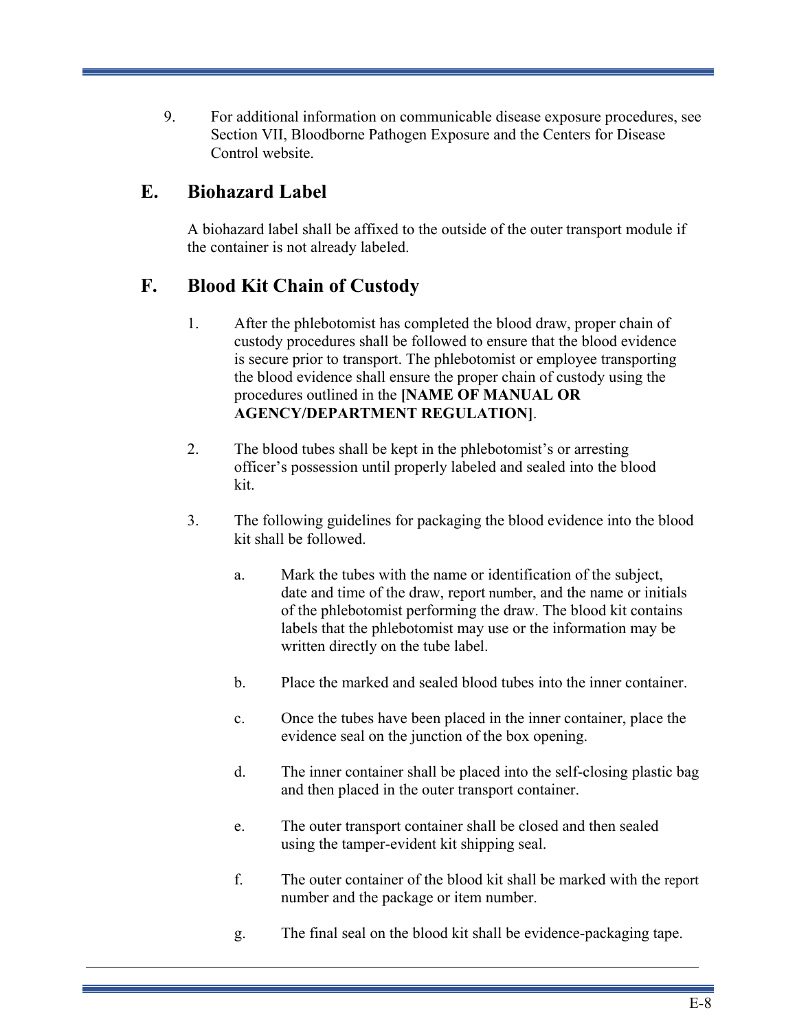9. For additional information on communicable disease exposure procedures, see Section VII, Bloodborne Pathogen Exposure and the Centers for Disease Control website.

# **E. Biohazard Label**

A biohazard label shall be affixed to the outside of the outer transport module if the container is not already labeled.

# **F. Blood Kit Chain of Custody**

- 1. After the phlebotomist has completed the blood draw, proper chain of custody procedures shall be followed to ensure that the blood evidence is secure prior to transport. The phlebotomist or employee transporting the blood evidence shall ensure the proper chain of custody using the procedures outlined in the **[NAME OF MANUAL OR AGENCY/DEPARTMENT REGULATION]**.
- 2. The blood tubes shall be kept in the phlebotomist's or arresting officer's possession until properly labeled and sealed into the blood kit.
- 3. The following guidelines for packaging the blood evidence into the blood kit shall be followed.
	- a. Mark the tubes with the name or identification of the subject, date and time of the draw, report number, and the name or initials of the phlebotomist performing the draw. The blood kit contains labels that the phlebotomist may use or the information may be written directly on the tube label.
	- b. Place the marked and sealed blood tubes into the inner container.
	- c. Once the tubes have been placed in the inner container, place the evidence seal on the junction of the box opening.
	- d. The inner container shall be placed into the self-closing plastic bag and then placed in the outer transport container.
	- e. The outer transport container shall be closed and then sealed using the tamper-evident kit shipping seal.
	- f. The outer container of the blood kit shall be marked with the report number and the package or item number.
	- g. The final seal on the blood kit shall be evidence-packaging tape.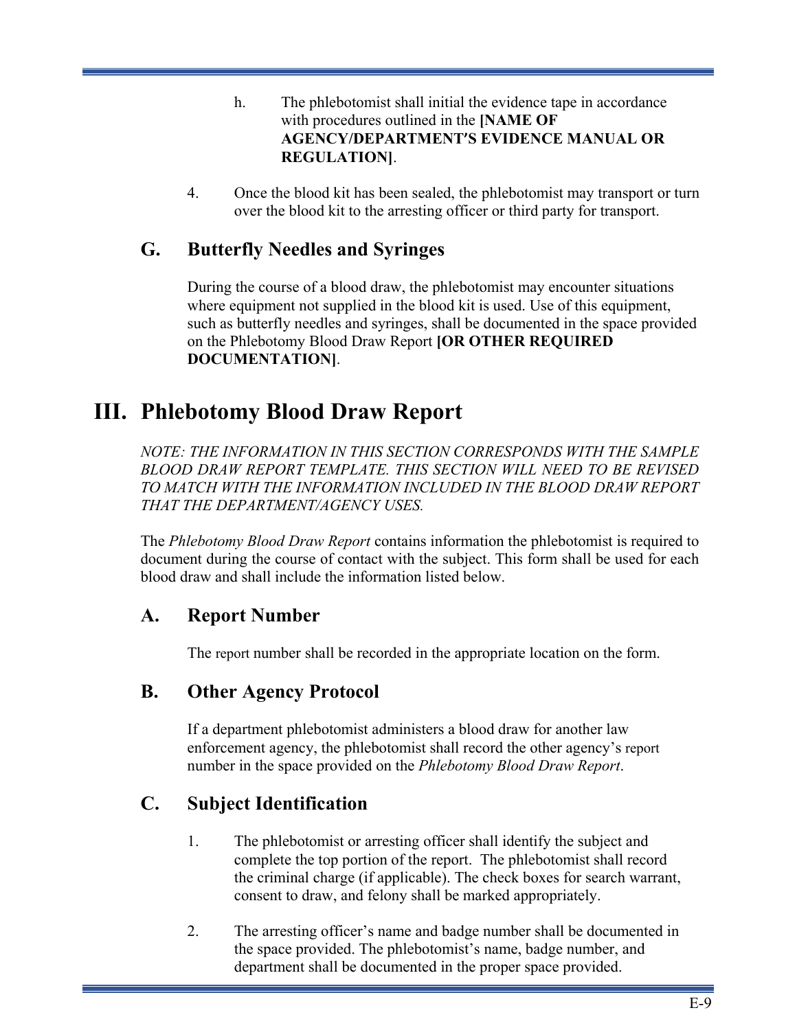- h. The phlebotomist shall initial the evidence tape in accordance with procedures outlined in the **[NAME OF AGENCY/DEPARTMENT'S EVIDENCE MANUAL OR REGULATION]**.
- 4. Once the blood kit has been sealed, the phlebotomist may transport or turn over the blood kit to the arresting officer or third party for transport.

# **G. Butterfly Needles and Syringes**

During the course of a blood draw, the phlebotomist may encounter situations where equipment not supplied in the blood kit is used. Use of this equipment, such as butterfly needles and syringes, shall be documented in the space provided on the Phlebotomy Blood Draw Report **[OR OTHER REQUIRED DOCUMENTATION]**.

# **III. Phlebotomy Blood Draw Report**

*NOTE: THE INFORMATION IN THIS SECTION CORRESPONDS WITH THE SAMPLE BLOOD DRAW REPORT TEMPLATE. THIS SECTION WILL NEED TO BE REVISED TO MATCH WITH THE INFORMATION INCLUDED IN THE BLOOD DRAW REPORT THAT THE DEPARTMENT/AGENCY USES.*

The *Phlebotomy Blood Draw Report* contains information the phlebotomist is required to document during the course of contact with the subject. This form shall be used for each blood draw and shall include the information listed below.

### **A. Report Number**

The report number shall be recorded in the appropriate location on the form.

# **B. Other Agency Protocol**

If a department phlebotomist administers a blood draw for another law enforcement agency, the phlebotomist shall record the other agency's report number in the space provided on the *Phlebotomy Blood Draw Report*.

# **C. Subject Identification**

- 1. The phlebotomist or arresting officer shall identify the subject and complete the top portion of the report. The phlebotomist shall record the criminal charge (if applicable). The check boxes for search warrant, consent to draw, and felony shall be marked appropriately.
- 2. The arresting officer's name and badge number shall be documented in the space provided. The phlebotomist's name, badge number, and department shall be documented in the proper space provided.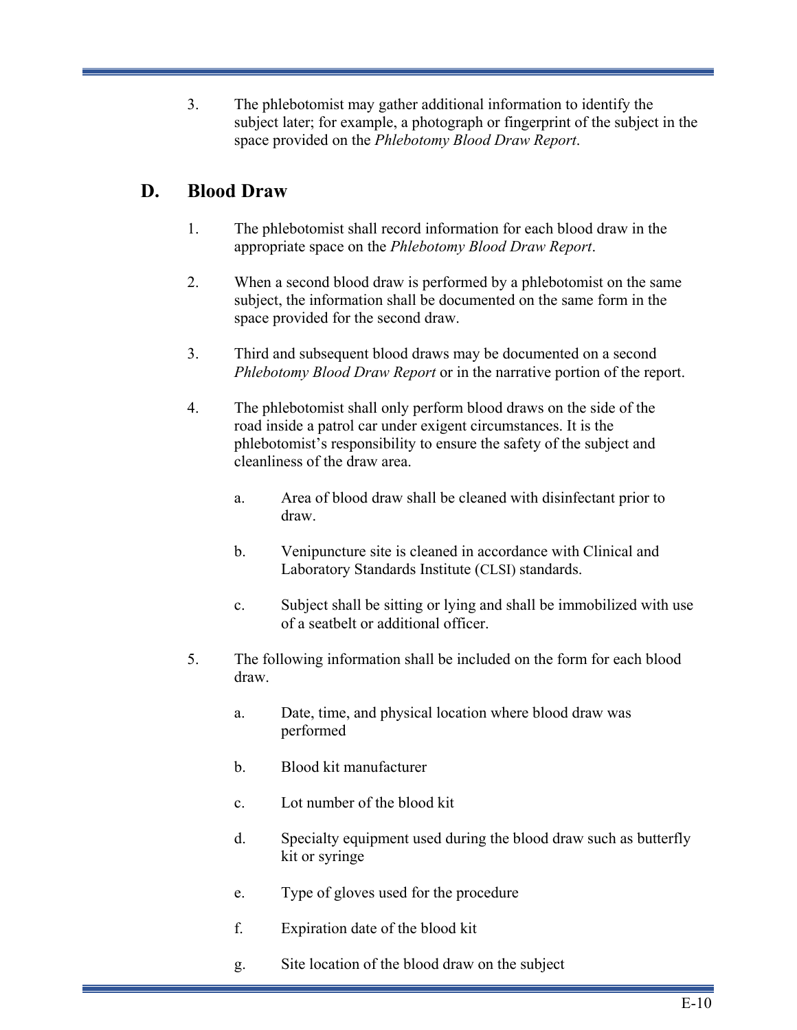3. The phlebotomist may gather additional information to identify the subject later; for example, a photograph or fingerprint of the subject in the space provided on the *Phlebotomy Blood Draw Report*.

# **D. Blood Draw**

- 1. The phlebotomist shall record information for each blood draw in the appropriate space on the *Phlebotomy Blood Draw Report*.
- 2. When a second blood draw is performed by a phlebotomist on the same subject, the information shall be documented on the same form in the space provided for the second draw.
- 3. Third and subsequent blood draws may be documented on a second *Phlebotomy Blood Draw Report* or in the narrative portion of the report.
- 4. The phlebotomist shall only perform blood draws on the side of the road inside a patrol car under exigent circumstances. It is the phlebotomist's responsibility to ensure the safety of the subject and cleanliness of the draw area.
	- a. Area of blood draw shall be cleaned with disinfectant prior to draw.
	- b. Venipuncture site is cleaned in accordance with Clinical and Laboratory Standards Institute (CLSI) standards.
	- c. Subject shall be sitting or lying and shall be immobilized with use of a seatbelt or additional officer.
- 5. The following information shall be included on the form for each blood draw.
	- a. Date, time, and physical location where blood draw was performed
	- b. Blood kit manufacturer
	- c. Lot number of the blood kit
	- d. Specialty equipment used during the blood draw such as butterfly kit or syringe
	- e. Type of gloves used for the procedure
	- f. Expiration date of the blood kit
	- g. Site location of the blood draw on the subject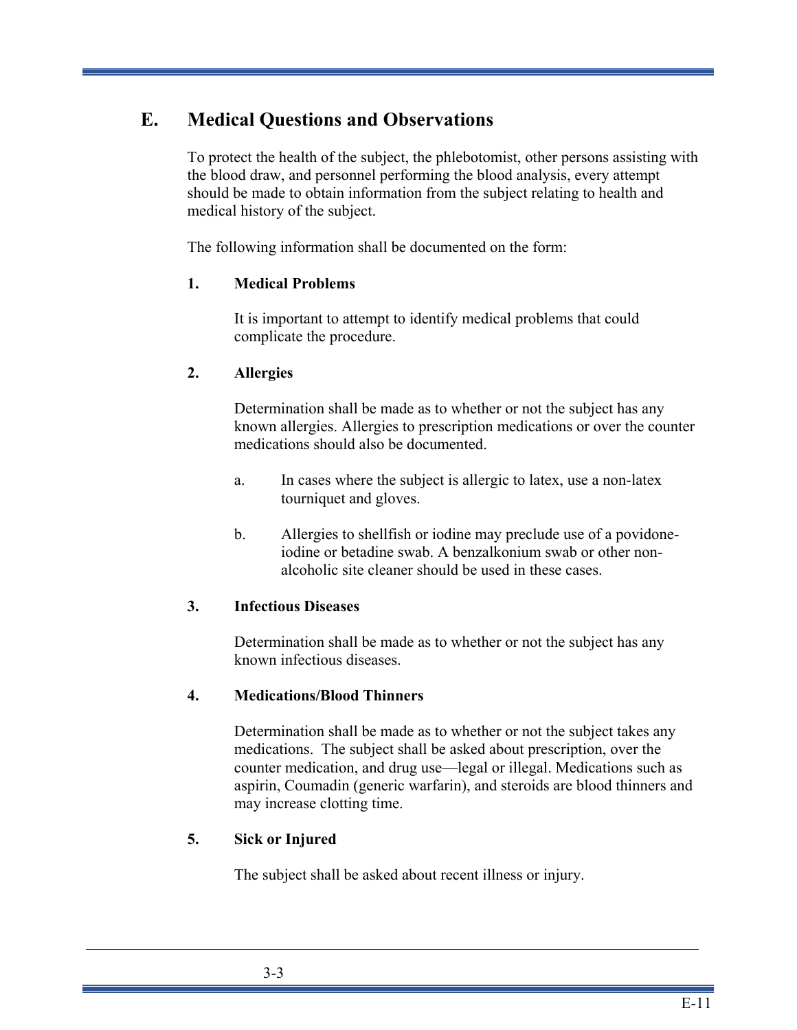# **E. Medical Questions and Observations**

To protect the health of the subject, the phlebotomist, other persons assisting with the blood draw, and personnel performing the blood analysis, every attempt should be made to obtain information from the subject relating to health and medical history of the subject.

The following information shall be documented on the form:

### **1. Medical Problems**

It is important to attempt to identify medical problems that could complicate the procedure.

### **2. Allergies**

Determination shall be made as to whether or not the subject has any known allergies. Allergies to prescription medications or over the counter medications should also be documented.

- a. In cases where the subject is allergic to latex, use a non-latex tourniquet and gloves.
- b. Allergies to shellfish or iodine may preclude use of a povidoneiodine or betadine swab. A benzalkonium swab or other nonalcoholic site cleaner should be used in these cases.

### **3. Infectious Diseases**

Determination shall be made as to whether or not the subject has any known infectious diseases.

### **4. Medications/Blood Thinners**

Determination shall be made as to whether or not the subject takes any medications. The subject shall be asked about prescription, over the counter medication, and drug use—legal or illegal. Medications such as aspirin, Coumadin (generic warfarin), and steroids are blood thinners and may increase clotting time.

### **5. Sick or Injured**

The subject shall be asked about recent illness or injury.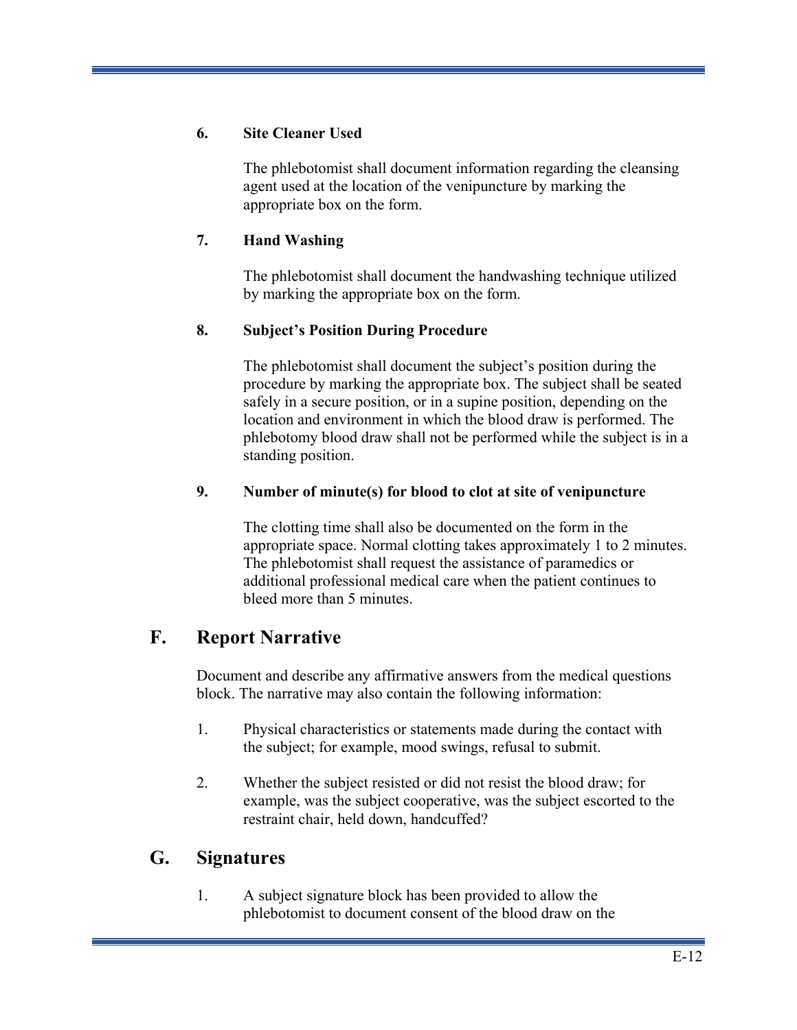### **6. Site Cleaner Used**

The phlebotomist shall document information regarding the cleansing agent used at the location of the venipuncture by marking the appropriate box on the form.

### **7. Hand Washing**

The phlebotomist shall document the handwashing technique utilized by marking the appropriate box on the form.

### **8. Subject's Position During Procedure**

The phlebotomist shall document the subject's position during the procedure by marking the appropriate box. The subject shall be seated safely in a secure position, or in a supine position, depending on the location and environment in which the blood draw is performed. The phlebotomy blood draw shall not be performed while the subject is in a standing position.

### **9. Number of minute(s) for blood to clot at site of venipuncture**

The clotting time shall also be documented on the form in the appropriate space. Normal clotting takes approximately 1 to 2 minutes. The phlebotomist shall request the assistance of paramedics or additional professional medical care when the patient continues to bleed more than 5 minutes.

# **F. Report Narrative**

Document and describe any affirmative answers from the medical questions block. The narrative may also contain the following information:

- 1. Physical characteristics or statements made during the contact with the subject; for example, mood swings, refusal to submit.
- 2. Whether the subject resisted or did not resist the blood draw; for example, was the subject cooperative, was the subject escorted to the restraint chair, held down, handcuffed?

### **G. Signatures**

1. A subject signature block has been provided to allow the phlebotomist to document consent of the blood draw on the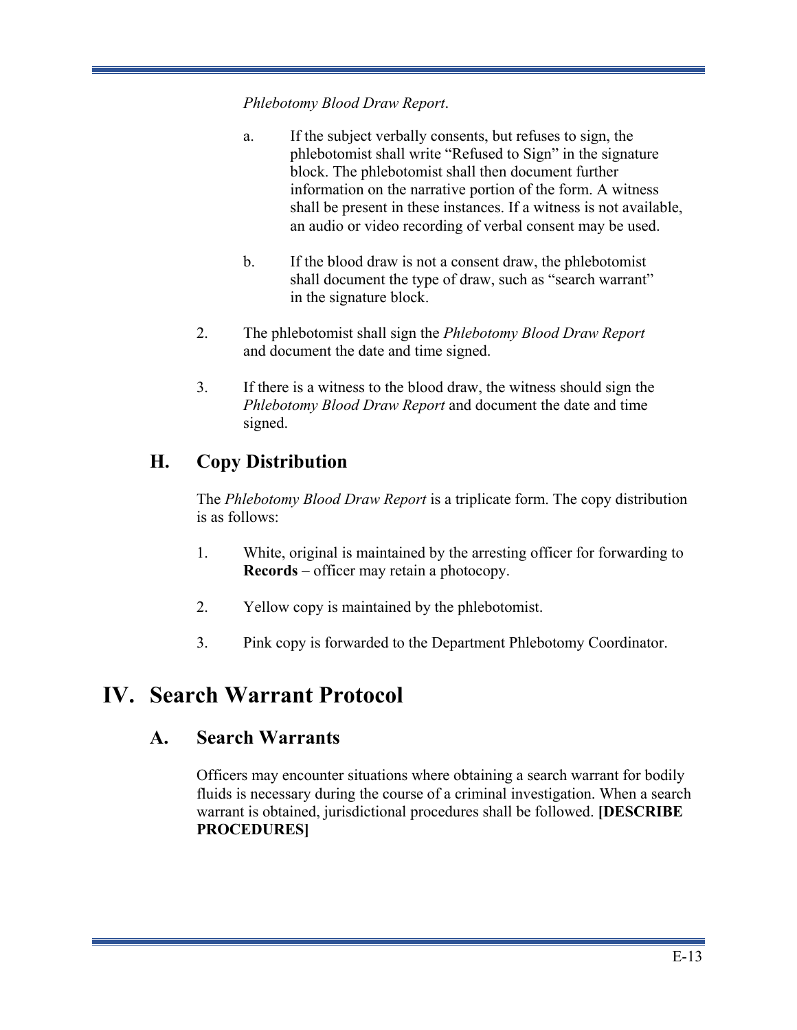*Phlebotomy Blood Draw Report*.

- a. If the subject verbally consents, but refuses to sign, the phlebotomist shall write "Refused to Sign" in the signature block. The phlebotomist shall then document further information on the narrative portion of the form. A witness shall be present in these instances. If a witness is not available, an audio or video recording of verbal consent may be used.
- b. If the blood draw is not a consent draw, the phlebotomist shall document the type of draw, such as "search warrant" in the signature block.
- 2. The phlebotomist shall sign the *Phlebotomy Blood Draw Report*  and document the date and time signed.
- 3. If there is a witness to the blood draw, the witness should sign the *Phlebotomy Blood Draw Report* and document the date and time signed.

# **H. Copy Distribution**

The *Phlebotomy Blood Draw Report* is a triplicate form. The copy distribution is as follows:

- 1. White, original is maintained by the arresting officer for forwarding to **Records** – officer may retain a photocopy.
- 2. Yellow copy is maintained by the phlebotomist.
- 3. Pink copy is forwarded to the Department Phlebotomy Coordinator.

# **IV. Search Warrant Protocol**

### **A. Search Warrants**

Officers may encounter situations where obtaining a search warrant for bodily fluids is necessary during the course of a criminal investigation. When a search warrant is obtained, jurisdictional procedures shall be followed. **[DESCRIBE PROCEDURES]**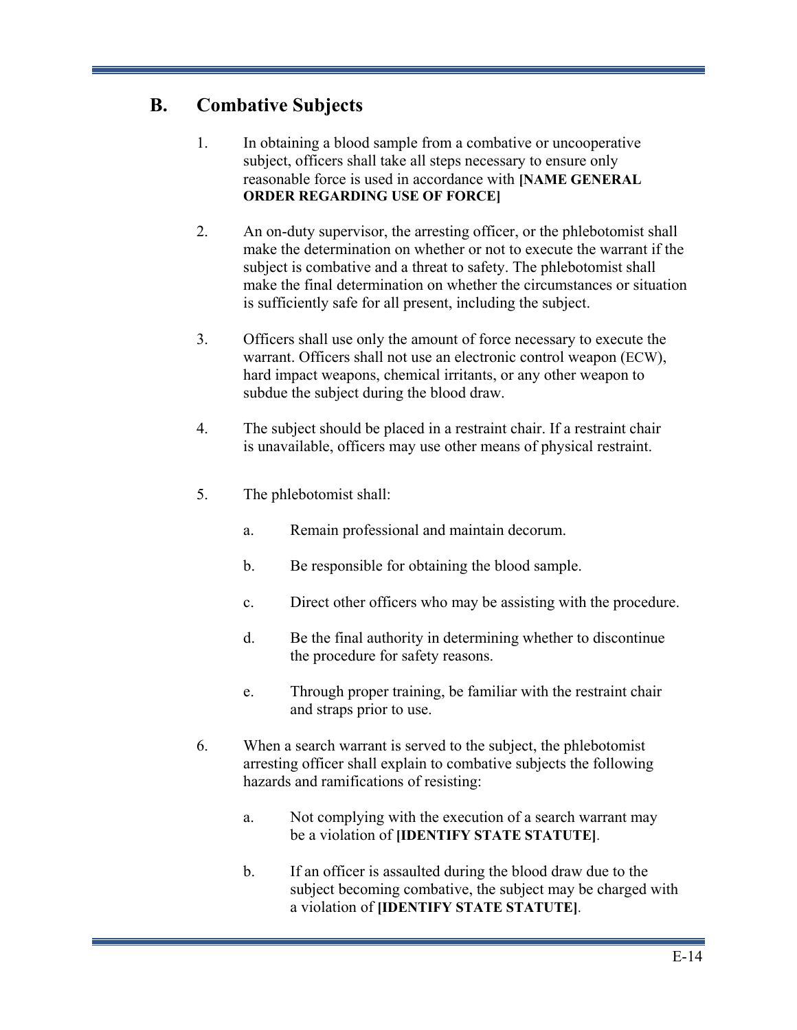# **B. Combative Subjects**

- 1. In obtaining a blood sample from a combative or uncooperative subject, officers shall take all steps necessary to ensure only reasonable force is used in accordance with **[NAME GENERAL ORDER REGARDING USE OF FORCE]**
- 2. An on-duty supervisor, the arresting officer, or the phlebotomist shall make the determination on whether or not to execute the warrant if the subject is combative and a threat to safety. The phlebotomist shall make the final determination on whether the circumstances or situation is sufficiently safe for all present, including the subject.
- 3. Officers shall use only the amount of force necessary to execute the warrant. Officers shall not use an electronic control weapon (ECW), hard impact weapons, chemical irritants, or any other weapon to subdue the subject during the blood draw.
- 4. The subject should be placed in a restraint chair. If a restraint chair is unavailable, officers may use other means of physical restraint.
- 5. The phlebotomist shall:
	- a. Remain professional and maintain decorum.
	- b. Be responsible for obtaining the blood sample.
	- c. Direct other officers who may be assisting with the procedure.
	- d. Be the final authority in determining whether to discontinue the procedure for safety reasons.
	- e. Through proper training, be familiar with the restraint chair and straps prior to use.
- 6. When a search warrant is served to the subject, the phlebotomist arresting officer shall explain to combative subjects the following hazards and ramifications of resisting:
	- a. Not complying with the execution of a search warrant may be a violation of **[IDENTIFY STATE STATUTE]**.
	- b. If an officer is assaulted during the blood draw due to the subject becoming combative, the subject may be charged with a violation of **[IDENTIFY STATE STATUTE]**.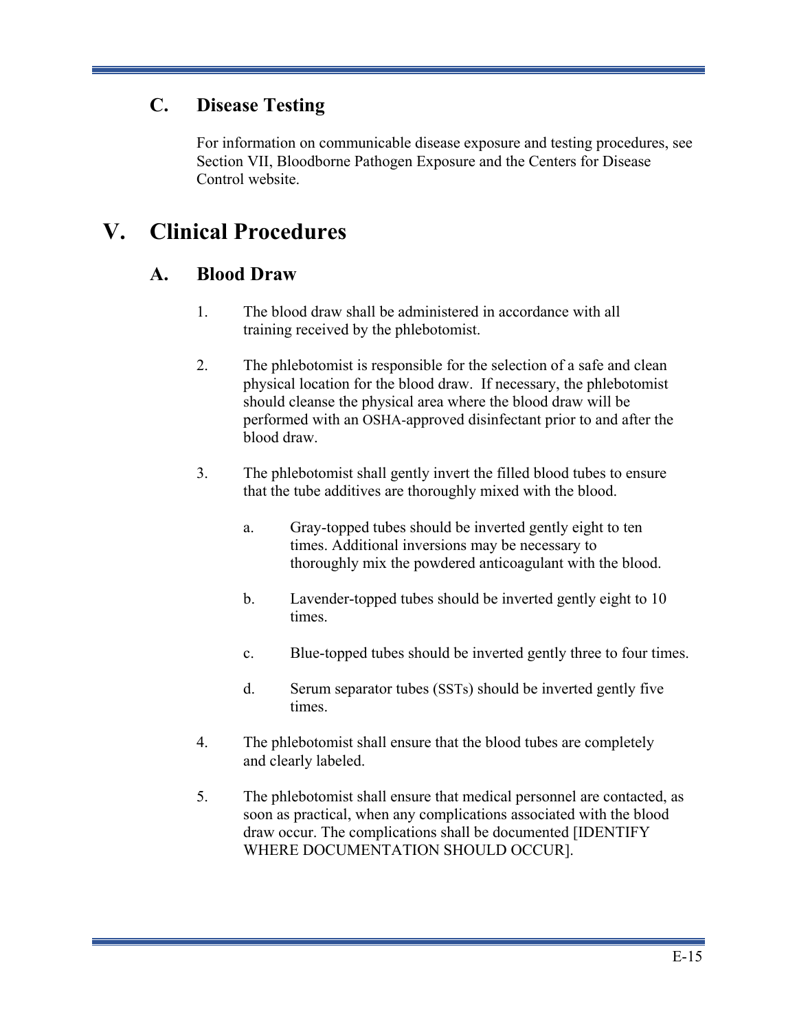# **C. Disease Testing**

For information on communicable disease exposure and testing procedures, see Section VII, Bloodborne Pathogen Exposure and the Centers for Disease Control website.

# **V. Clinical Procedures**

# **A. Blood Draw**

- 1. The blood draw shall be administered in accordance with all training received by the phlebotomist.
- 2. The phlebotomist is responsible for the selection of a safe and clean physical location for the blood draw. If necessary, the phlebotomist should cleanse the physical area where the blood draw will be performed with an OSHA-approved disinfectant prior to and after the blood draw.
- 3. The phlebotomist shall gently invert the filled blood tubes to ensure that the tube additives are thoroughly mixed with the blood.
	- a. Gray-topped tubes should be inverted gently eight to ten times. Additional inversions may be necessary to thoroughly mix the powdered anticoagulant with the blood.
	- b. Lavender-topped tubes should be inverted gently eight to 10 times.
	- c. Blue-topped tubes should be inverted gently three to four times.
	- d. Serum separator tubes (SSTs) should be inverted gently five times.
- 4. The phlebotomist shall ensure that the blood tubes are completely and clearly labeled.
- 5. The phlebotomist shall ensure that medical personnel are contacted, as soon as practical, when any complications associated with the blood draw occur. The complications shall be documented [IDENTIFY WHERE DOCUMENTATION SHOULD OCCUR].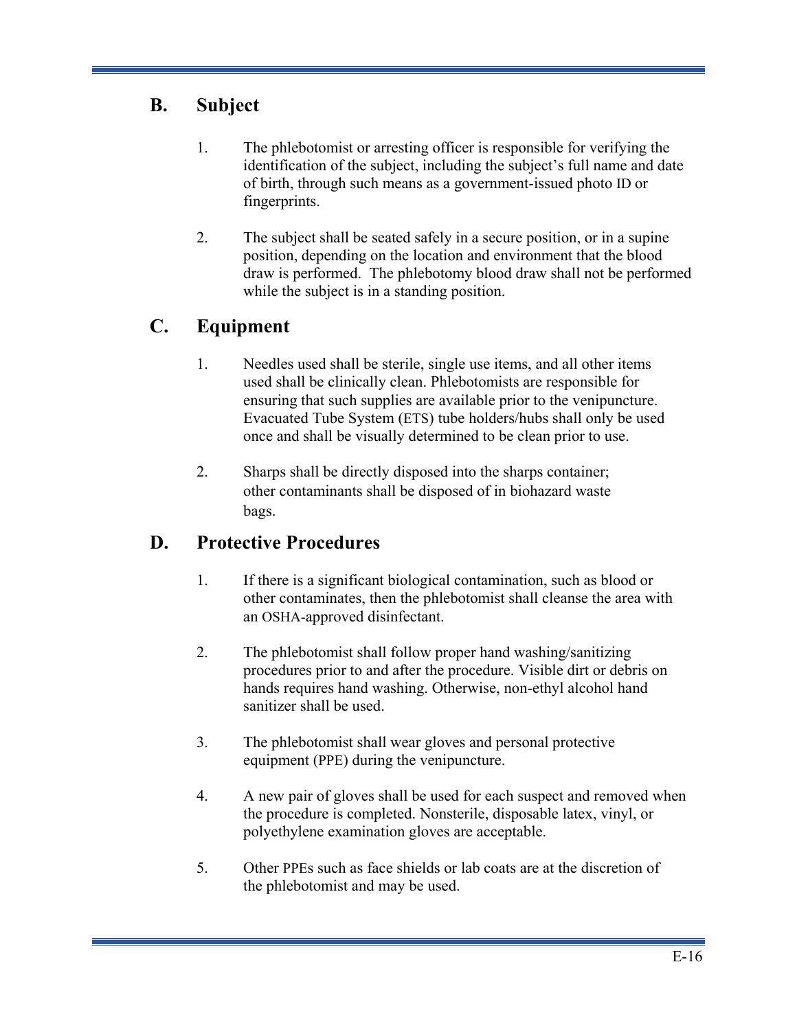# **B. Subject**

- 1. The phlebotomist or arresting officer is responsible for verifying the identification of the subject, including the subject's full name and date of birth, through such means as a government-issued photo ID or fingerprints.
- 2. The subject shall be seated safely in a secure position, or in a supine position, depending on the location and environment that the blood draw is performed. The phlebotomy blood draw shall not be performed while the subject is in a standing position.

# **C. Equipment**

- 1. Needles used shall be sterile, single use items, and all other items used shall be clinically clean. Phlebotomists are responsible for ensuring that such supplies are available prior to the venipuncture. Evacuated Tube System (ETS) tube holders/hubs shall only be used once and shall be visually determined to be clean prior to use.
- 2. Sharps shall be directly disposed into the sharps container; other contaminants shall be disposed of in biohazard waste bags.

# **D. Protective Procedures**

- 1. If there is a significant biological contamination, such as blood or other contaminates, then the phlebotomist shall cleanse the area with an OSHA-approved disinfectant.
- 2. The phlebotomist shall follow proper hand washing/sanitizing procedures prior to and after the procedure. Visible dirt or debris on hands requires hand washing. Otherwise, non-ethyl alcohol hand sanitizer shall be used.
- 3. The phlebotomist shall wear gloves and personal protective equipment (PPE) during the venipuncture.
- 4. A new pair of gloves shall be used for each suspect and removed when the procedure is completed. Nonsterile, disposable latex, vinyl, or polyethylene examination gloves are acceptable.
- 5. Other PPEs such as face shields or lab coats are at the discretion of the phlebotomist and may be used.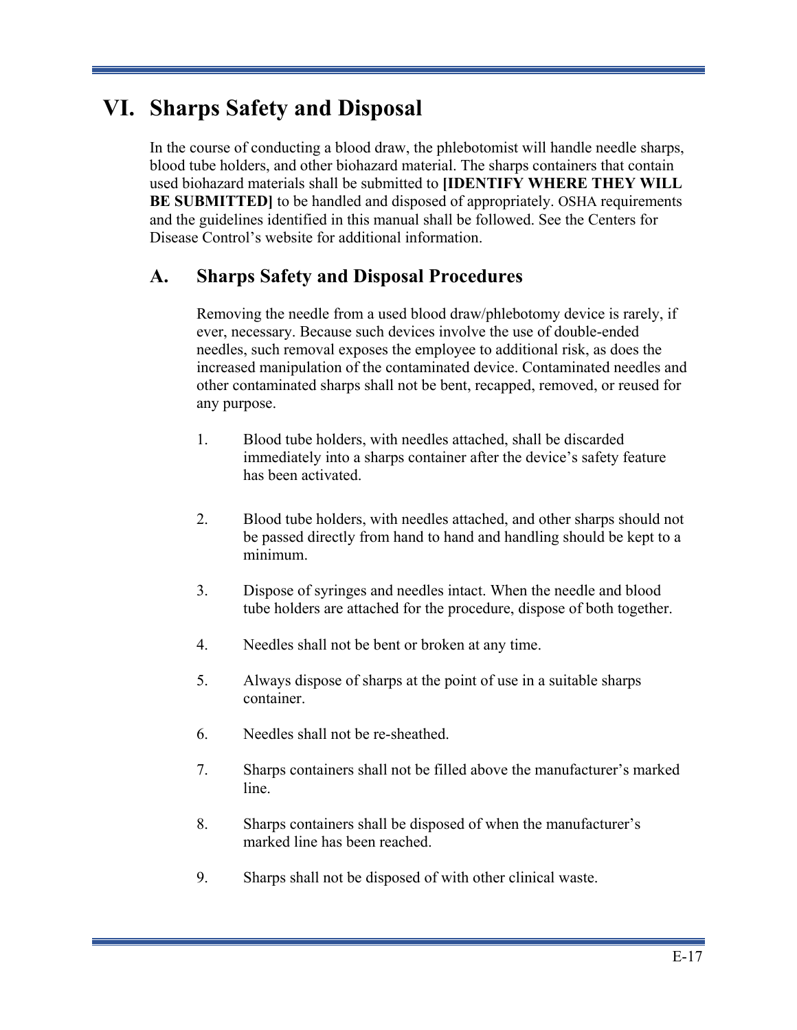# **VI. Sharps Safety and Disposal**

In the course of conducting a blood draw, the phlebotomist will handle needle sharps, blood tube holders, and other biohazard material. The sharps containers that contain used biohazard materials shall be submitted to **[IDENTIFY WHERE THEY WILL BE SUBMITTED** to be handled and disposed of appropriately. OSHA requirements and the guidelines identified in this manual shall be followed. See the Centers for Disease Control's website for additional information.

# **A. Sharps Safety and Disposal Procedures**

Removing the needle from a used blood draw/phlebotomy device is rarely, if ever, necessary. Because such devices involve the use of double-ended needles, such removal exposes the employee to additional risk, as does the increased manipulation of the contaminated device. Contaminated needles and other contaminated sharps shall not be bent, recapped, removed, or reused for any purpose.

- 1. Blood tube holders, with needles attached, shall be discarded immediately into a sharps container after the device's safety feature has been activated.
- 2. Blood tube holders, with needles attached, and other sharps should not be passed directly from hand to hand and handling should be kept to a minimum.
- 3. Dispose of syringes and needles intact. When the needle and blood tube holders are attached for the procedure, dispose of both together.
- 4. Needles shall not be bent or broken at any time.
- 5. Always dispose of sharps at the point of use in a suitable sharps container.
- 6. Needles shall not be re-sheathed.
- 7. Sharps containers shall not be filled above the manufacturer's marked line.
- 8. Sharps containers shall be disposed of when the manufacturer's marked line has been reached.
- 9. Sharps shall not be disposed of with other clinical waste.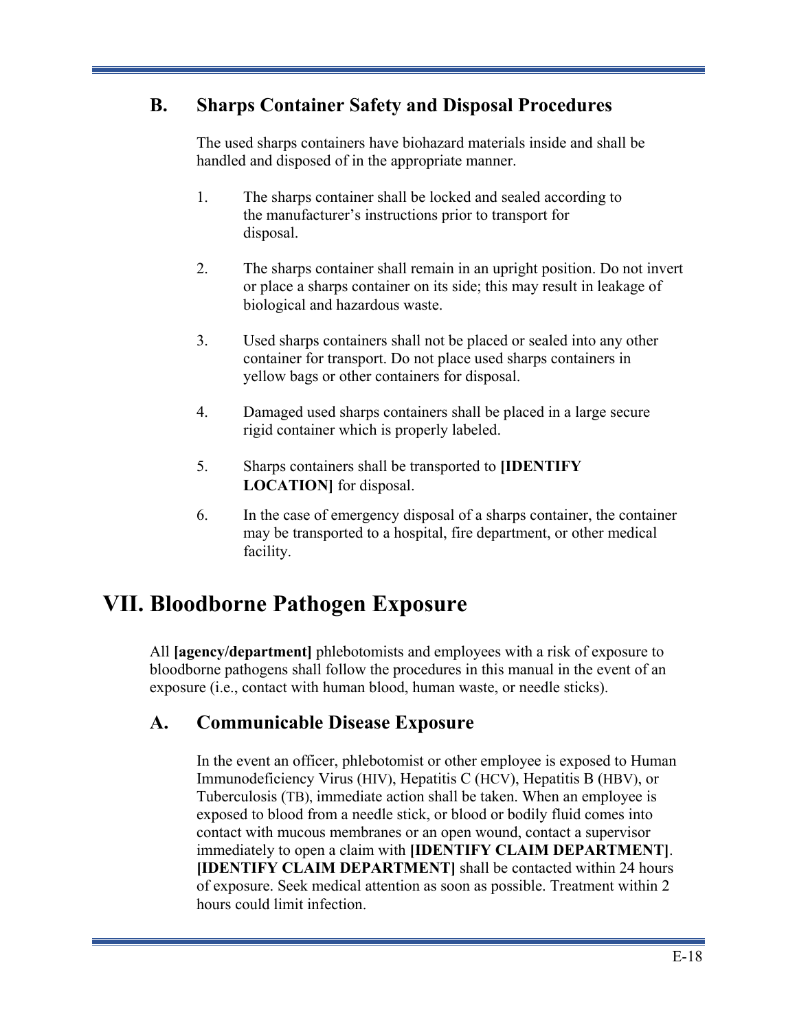# **B. Sharps Container Safety and Disposal Procedures**

The used sharps containers have biohazard materials inside and shall be handled and disposed of in the appropriate manner.

- 1. The sharps container shall be locked and sealed according to the manufacturer's instructions prior to transport for disposal.
- 2. The sharps container shall remain in an upright position. Do not invert or place a sharps container on its side; this may result in leakage of biological and hazardous waste.
- 3. Used sharps containers shall not be placed or sealed into any other container for transport. Do not place used sharps containers in yellow bags or other containers for disposal.
- 4. Damaged used sharps containers shall be placed in a large secure rigid container which is properly labeled.
- 5. Sharps containers shall be transported to **[IDENTIFY LOCATION]** for disposal.
- 6. In the case of emergency disposal of a sharps container, the container may be transported to a hospital, fire department, or other medical facility.

# **VII. Bloodborne Pathogen Exposure**

All **[agency/department]** phlebotomists and employees with a risk of exposure to bloodborne pathogens shall follow the procedures in this manual in the event of an exposure (i.e., contact with human blood, human waste, or needle sticks).

# **A. Communicable Disease Exposure**

In the event an officer, phlebotomist or other employee is exposed to Human Immunodeficiency Virus (HIV), Hepatitis C (HCV), Hepatitis B (HBV), or Tuberculosis (TB), immediate action shall be taken. When an employee is exposed to blood from a needle stick, or blood or bodily fluid comes into contact with mucous membranes or an open wound, contact a supervisor immediately to open a claim with **[IDENTIFY CLAIM DEPARTMENT]**. **[IDENTIFY CLAIM DEPARTMENT]** shall be contacted within 24 hours of exposure. Seek medical attention as soon as possible. Treatment within 2 hours could limit infection.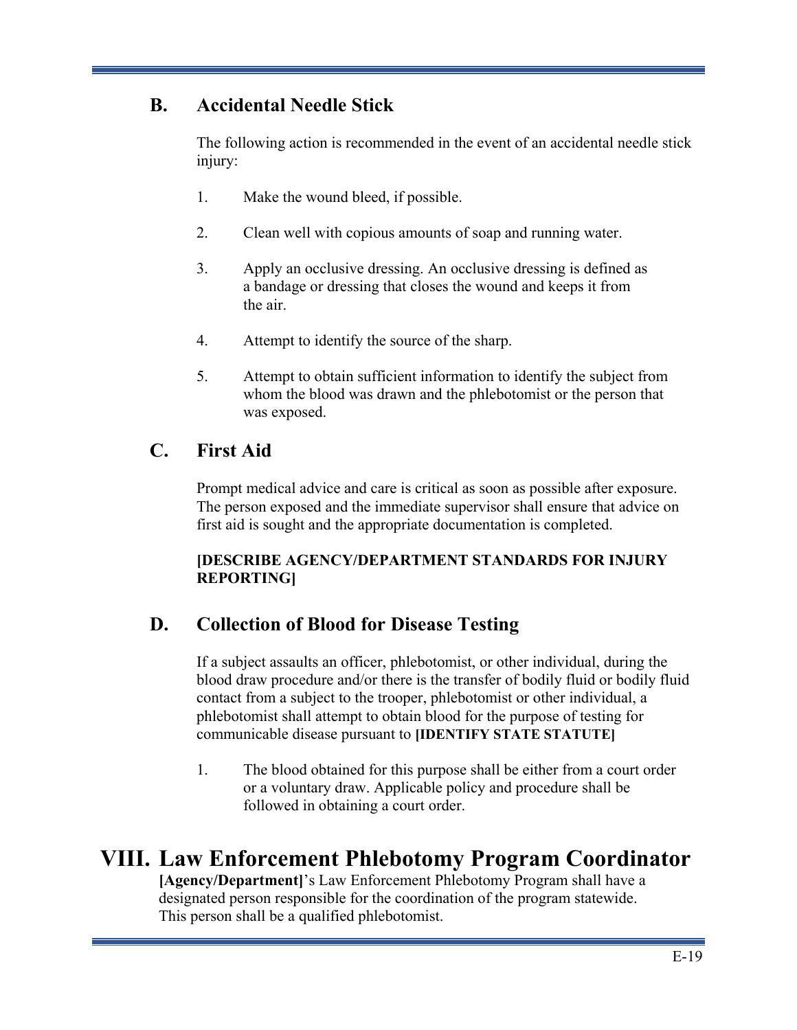# **B. Accidental Needle Stick**

The following action is recommended in the event of an accidental needle stick injury:

- 1. Make the wound bleed, if possible.
- 2. Clean well with copious amounts of soap and running water.
- 3. Apply an occlusive dressing. An occlusive dressing is defined as a bandage or dressing that closes the wound and keeps it from the air.
- 4. Attempt to identify the source of the sharp.
- 5. Attempt to obtain sufficient information to identify the subject from whom the blood was drawn and the phlebotomist or the person that was exposed.

# **C. First Aid**

Prompt medical advice and care is critical as soon as possible after exposure. The person exposed and the immediate supervisor shall ensure that advice on first aid is sought and the appropriate documentation is completed.

### **[DESCRIBE AGENCY/DEPARTMENT STANDARDS FOR INJURY REPORTING]**

# **D. Collection of Blood for Disease Testing**

If a subject assaults an officer, phlebotomist, or other individual, during the blood draw procedure and/or there is the transfer of bodily fluid or bodily fluid contact from a subject to the trooper, phlebotomist or other individual, a phlebotomist shall attempt to obtain blood for the purpose of testing for communicable disease pursuant to **[IDENTIFY STATE STATUTE]**

1. The blood obtained for this purpose shall be either from a court order or a voluntary draw. Applicable policy and procedure shall be followed in obtaining a court order.

# **VIII. Law Enforcement Phlebotomy Program Coordinator**

**[Agency/Department]**'s Law Enforcement Phlebotomy Program shall have a designated person responsible for the coordination of the program statewide. This person shall be a qualified phlebotomist.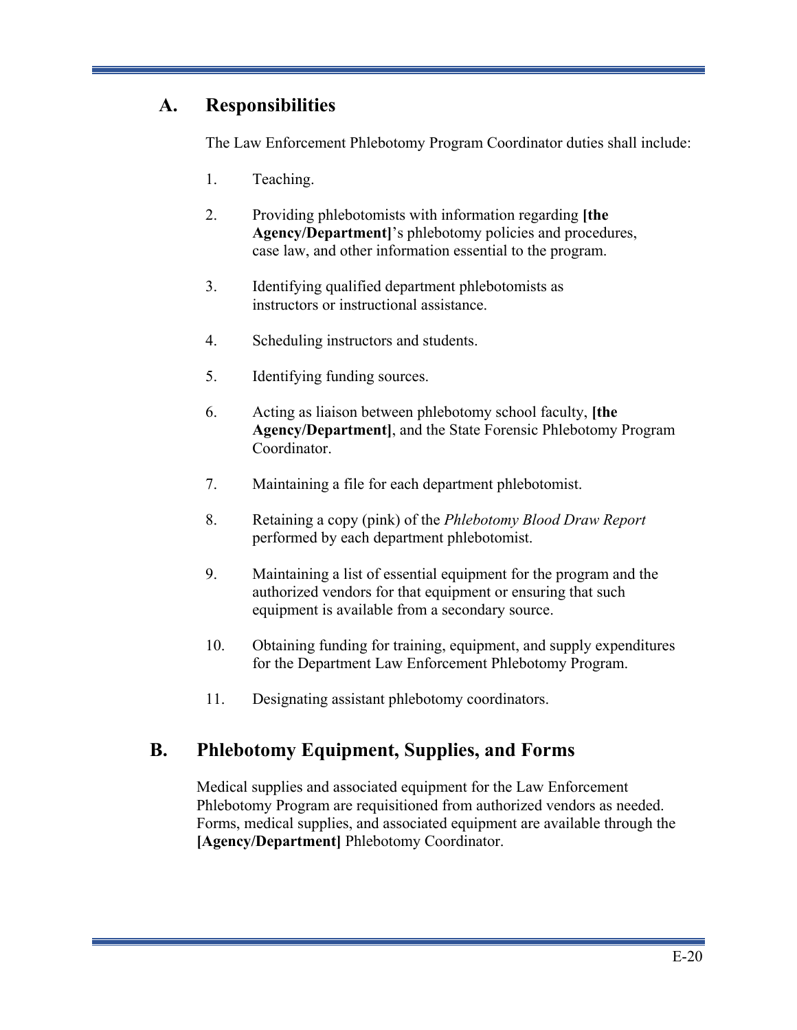# **A. Responsibilities**

The Law Enforcement Phlebotomy Program Coordinator duties shall include:

- 1. Teaching.
- 2. Providing phlebotomists with information regarding **[the Agency/Department]**'s phlebotomy policies and procedures, case law, and other information essential to the program.
- 3. Identifying qualified department phlebotomists as instructors or instructional assistance.
- 4. Scheduling instructors and students.
- 5. Identifying funding sources.
- 6. Acting as liaison between phlebotomy school faculty, **[the Agency/Department]**, and the State Forensic Phlebotomy Program Coordinator.
- 7. Maintaining a file for each department phlebotomist.
- 8. Retaining a copy (pink) of the *Phlebotomy Blood Draw Report*  performed by each department phlebotomist.
- 9. Maintaining a list of essential equipment for the program and the authorized vendors for that equipment or ensuring that such equipment is available from a secondary source.
- 10. Obtaining funding for training, equipment, and supply expenditures for the Department Law Enforcement Phlebotomy Program.
- 11. Designating assistant phlebotomy coordinators.

# **B. Phlebotomy Equipment, Supplies, and Forms**

Medical supplies and associated equipment for the Law Enforcement Phlebotomy Program are requisitioned from authorized vendors as needed. Forms, medical supplies, and associated equipment are available through the **[Agency/Department]** Phlebotomy Coordinator.